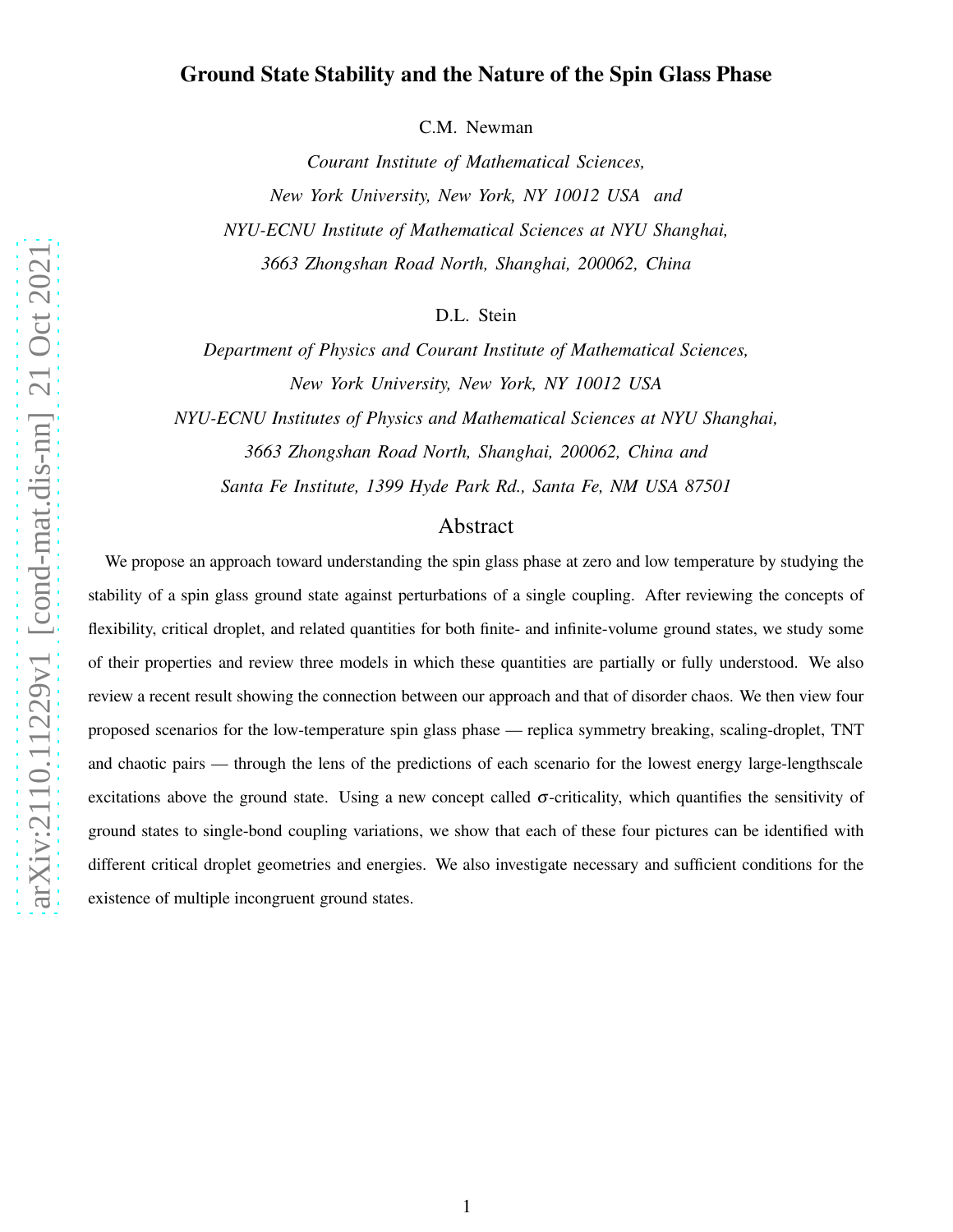# arXiv:2110.11229v1 [cond-mat.dis-nn] 21 Oct 2021 [arXiv:2110.11229v1 \[cond-mat.dis-nn\] 21 Oct 2021](http://arxiv.org/abs/2110.11229v1)

# Ground State Stability and the Nature of the Spin Glass Phase

C.M. Newman

*Courant Institute of Mathematical Sciences, New York University, New York, NY 10012 USA and NYU-ECNU Institute of Mathematical Sciences at NYU Shanghai, 3663 Zhongshan Road North, Shanghai, 200062, China*

D.L. Stein

*Department of Physics and Courant Institute of Mathematical Sciences, New York University, New York, NY 10012 USA*

*NYU-ECNU Institutes of Physics and Mathematical Sciences at NYU Shanghai, 3663 Zhongshan Road North, Shanghai, 200062, China and Santa Fe Institute, 1399 Hyde Park Rd., Santa Fe, NM USA 87501*

### Abstract

We propose an approach toward understanding the spin glass phase at zero and low temperature by studying the stability of a spin glass ground state against perturbations of a single coupling. After reviewing the concepts of flexibility, critical droplet, and related quantities for both finite- and infinite-volume ground states, we study some of their properties and review three models in which these quantities are partially or fully understood. We also review a recent result showing the connection between our approach and that of disorder chaos. We then view four proposed scenarios for the low-temperature spin glass phase — replica symmetry breaking, scaling-droplet, TNT and chaotic pairs — through the lens of the predictions of each scenario for the lowest energy large-lengthscale excitations above the ground state. Using a new concept called  $\sigma$ -criticality, which quantifies the sensitivity of ground states to single-bond coupling variations, we show that each of these four pictures can be identified with different critical droplet geometries and energies. We also investigate necessary and sufficient conditions for the existence of multiple incongruent ground states.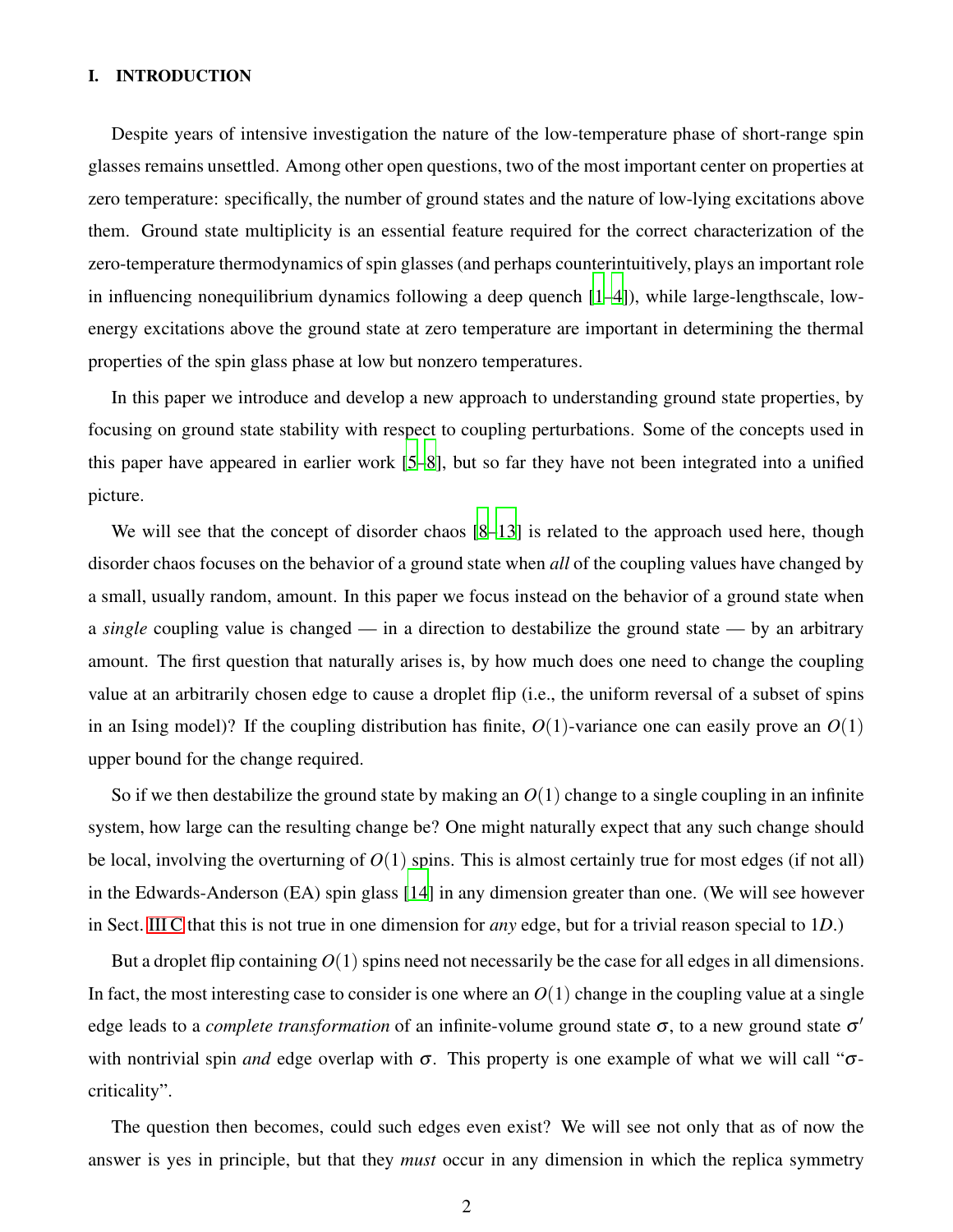# I. INTRODUCTION

Despite years of intensive investigation the nature of the low-temperature phase of short-range spin glasses remains unsettled. Among other open questions, two of the most important center on properties at zero temperature: specifically, the number of ground states and the nature of low-lying excitations above them. Ground state multiplicity is an essential feature required for the correct characterization of the zero-temperature thermodynamics of spin glasses (and perhaps counterintuitively, plays an important role in influencing nonequilibrium dynamics following a deep quench [\[1](#page-42-0)[–4](#page-42-1)]), while large-lengthscale, lowenergy excitations above the ground state at zero temperature are important in determining the thermal properties of the spin glass phase at low but nonzero temperatures.

In this paper we introduce and develop a new approach to understanding ground state properties, by focusing on ground state stability with respect to coupling perturbations. Some of the concepts used in this paper have appeared in earlier work [\[5](#page-42-2)[–8](#page-42-3)], but so far they have not been integrated into a unified picture.

We will see that the concept of disorder chaos  $[8-13]$  $[8-13]$  is related to the approach used here, though disorder chaos focuses on the behavior of a ground state when *all* of the coupling values have changed by a small, usually random, amount. In this paper we focus instead on the behavior of a ground state when a *single* coupling value is changed — in a direction to destabilize the ground state — by an arbitrary amount. The first question that naturally arises is, by how much does one need to change the coupling value at an arbitrarily chosen edge to cause a droplet flip (i.e., the uniform reversal of a subset of spins in an Ising model)? If the coupling distribution has finite,  $O(1)$ -variance one can easily prove an  $O(1)$ upper bound for the change required.

So if we then destabilize the ground state by making an *O*(1) change to a single coupling in an infinite system, how large can the resulting change be? One might naturally expect that any such change should be local, involving the overturning of  $O(1)$  spins. This is almost certainly true for most edges (if not all) in the Edwards-Anderson (EA) spin glass [\[14](#page-42-5)] in any dimension greater than one. (We will see however in Sect. [III C](#page-11-0) that this is not true in one dimension for *any* edge, but for a trivial reason special to 1*D*.)

But a droplet flip containing  $O(1)$  spins need not necessarily be the case for all edges in all dimensions. In fact, the most interesting case to consider is one where an  $O(1)$  change in the coupling value at a single edge leads to a *complete transformation* of an infinite-volume ground state  $\sigma$ , to a new ground state  $\sigma'$ with nontrivial spin *and* edge overlap with  $\sigma$ . This property is one example of what we will call " $\sigma$ criticality".

The question then becomes, could such edges even exist? We will see not only that as of now the answer is yes in principle, but that they *must* occur in any dimension in which the replica symmetry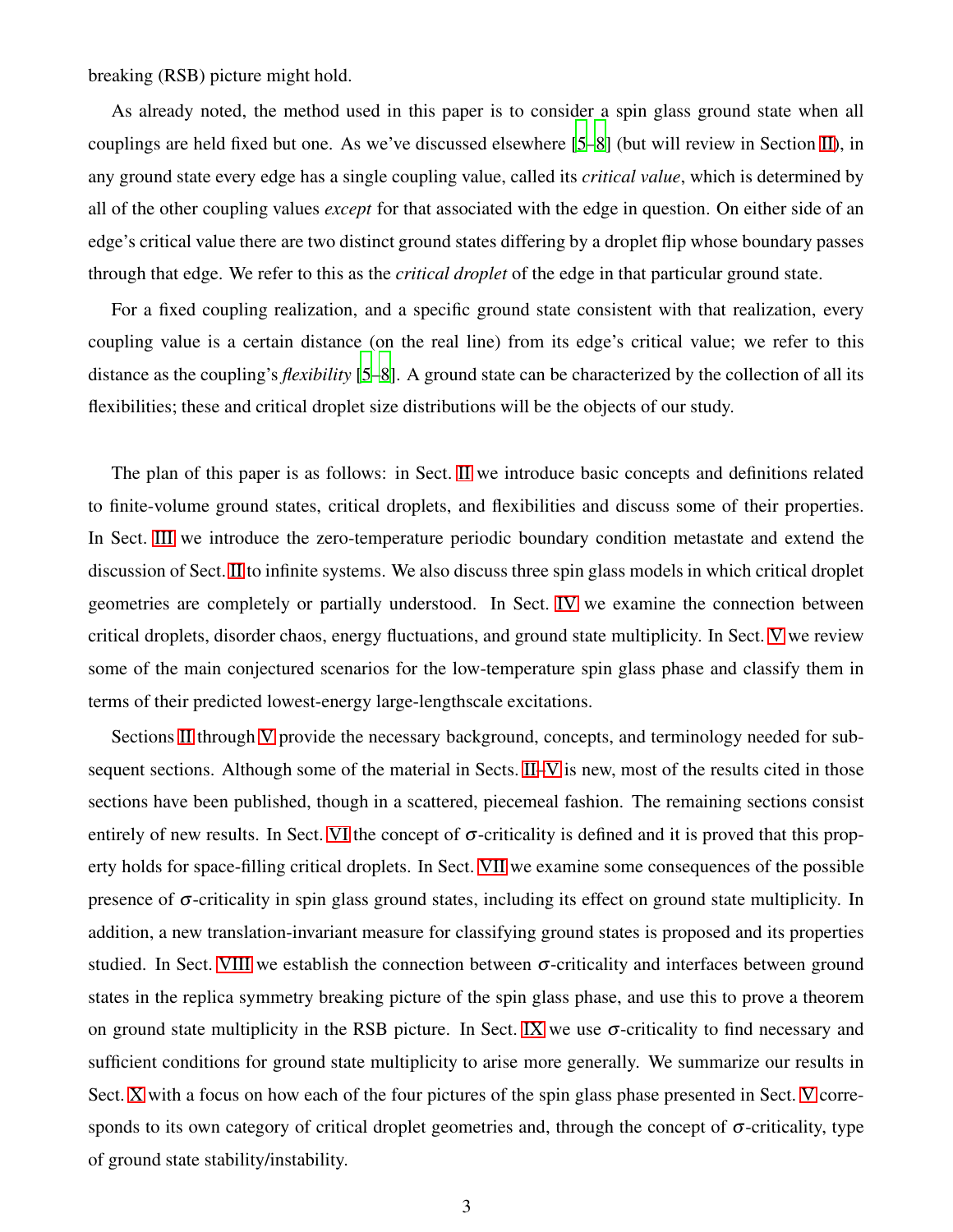breaking (RSB) picture might hold.

As already noted, the method used in this paper is to consider a spin glass ground state when all couplings are held fixed but one. As we've discussed elsewhere [\[5](#page-42-2)[–8](#page-42-3)] (but will review in Section [II\)](#page-3-0), in any ground state every edge has a single coupling value, called its *critical value*, which is determined by all of the other coupling values *except* for that associated with the edge in question. On either side of an edge's critical value there are two distinct ground states differing by a droplet flip whose boundary passes through that edge. We refer to this as the *critical droplet* of the edge in that particular ground state.

For a fixed coupling realization, and a specific ground state consistent with that realization, every coupling value is a certain distance (on the real line) from its edge's critical value; we refer to this distance as the coupling's *flexibility* [\[5](#page-42-2)[–8\]](#page-42-3). A ground state can be characterized by the collection of all its flexibilities; these and critical droplet size distributions will be the objects of our study.

The plan of this paper is as follows: in Sect. [II](#page-3-0) we introduce basic concepts and definitions related to finite-volume ground states, critical droplets, and flexibilities and discuss some of their properties. In Sect. [III](#page-8-0) we introduce the zero-temperature periodic boundary condition metastate and extend the discussion of Sect. [II](#page-3-0) to infinite systems. We also discuss three spin glass models in which critical droplet geometries are completely or partially understood. In Sect. [IV](#page-14-0) we examine the connection between critical droplets, disorder chaos, energy fluctuations, and ground state multiplicity. In Sect. [V](#page-18-0) we review some of the main conjectured scenarios for the low-temperature spin glass phase and classify them in terms of their predicted lowest-energy large-lengthscale excitations.

Sections [II](#page-3-0) through [V](#page-18-0) provide the necessary background, concepts, and terminology needed for sub-sequent sections. Although some of the material in Sects. [II–](#page-3-0)[V](#page-18-0) is new, most of the results cited in those sections have been published, though in a scattered, piecemeal fashion. The remaining sections consist entirely of new results. In Sect. [VI](#page-21-0) the concept of  $\sigma$ -criticality is defined and it is proved that this property holds for space-filling critical droplets. In Sect. [VII](#page-25-0) we examine some consequences of the possible presence of  $\sigma$ -criticality in spin glass ground states, including its effect on ground state multiplicity. In addition, a new translation-invariant measure for classifying ground states is proposed and its properties studied. In Sect. [VIII](#page-28-0) we establish the connection between  $\sigma$ -criticality and interfaces between ground states in the replica symmetry breaking picture of the spin glass phase, and use this to prove a theorem on ground state multiplicity in the RSB picture. In Sect. [IX](#page-33-0) we use  $\sigma$ -criticality to find necessary and sufficient conditions for ground state multiplicity to arise more generally. We summarize our results in Sect. [X](#page-38-0) with a focus on how each of the four pictures of the spin glass phase presented in Sect. [V](#page-18-0) corresponds to its own category of critical droplet geometries and, through the concept of  $\sigma$ -criticality, type of ground state stability/instability.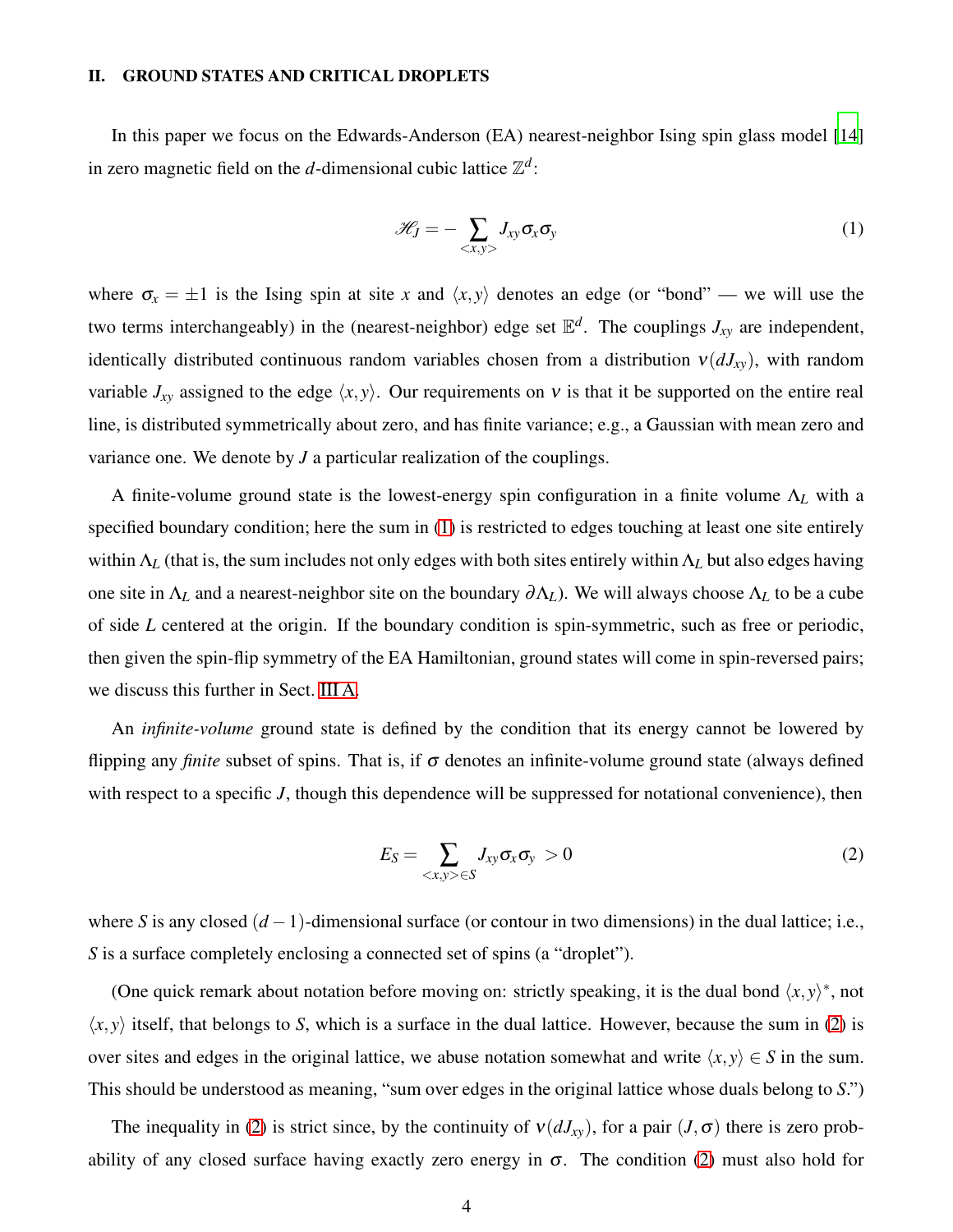## <span id="page-3-0"></span>II. GROUND STATES AND CRITICAL DROPLETS

In this paper we focus on the Edwards-Anderson (EA) nearest-neighbor Ising spin glass model [\[14](#page-42-5)] in zero magnetic field on the *d*-dimensional cubic lattice  $\mathbb{Z}^d$ :

<span id="page-3-1"></span>
$$
\mathcal{H}_J = -\sum_{\langle x, y \rangle} J_{xy} \sigma_x \sigma_y \tag{1}
$$

where  $\sigma_x = \pm 1$  is the Ising spin at site *x* and  $\langle x, y \rangle$  denotes an edge (or "bond" — we will use the two terms interchangeably) in the (nearest-neighbor) edge set E *d* . The couplings *Jxy* are independent, identically distributed continuous random variables chosen from a distribution  $v(dJ_{xy})$ , with random variable  $J_{xy}$  assigned to the edge  $\langle x, y \rangle$ . Our requirements on v is that it be supported on the entire real line, is distributed symmetrically about zero, and has finite variance; e.g., a Gaussian with mean zero and variance one. We denote by *J* a particular realization of the couplings.

A finite-volume ground state is the lowest-energy spin configuration in a finite volume Λ*<sup>L</sup>* with a specified boundary condition; here the sum in [\(1\)](#page-3-1) is restricted to edges touching at least one site entirely within Λ*<sup>L</sup>* (that is, the sum includes not only edges with both sites entirely within Λ*<sup>L</sup>* but also edges having one site in Λ*<sup>L</sup>* and a nearest-neighbor site on the boundary <sup>∂</sup>Λ*L*). We will always choose Λ*<sup>L</sup>* to be a cube of side *L* centered at the origin. If the boundary condition is spin-symmetric, such as free or periodic, then given the spin-flip symmetry of the EA Hamiltonian, ground states will come in spin-reversed pairs; we discuss this further in Sect. [III A.](#page-8-1)

An *infinite-volume* ground state is defined by the condition that its energy cannot be lowered by flipping any *finite* subset of spins. That is, if  $\sigma$  denotes an infinite-volume ground state (always defined with respect to a specific *J*, though this dependence will be suppressed for notational convenience), then

<span id="page-3-2"></span>
$$
E_S = \sum_{\langle x, y \rangle \in S} J_{xy} \sigma_x \sigma_y > 0 \tag{2}
$$

where *S* is any closed (*d* −1)-dimensional surface (or contour in two dimensions) in the dual lattice; i.e., *S* is a surface completely enclosing a connected set of spins (a "droplet").

(One quick remark about notation before moving on: strictly speaking, it is the dual bond  $\langle x, y \rangle^*$ , not  $\langle x, y \rangle$  itself, that belongs to *S*, which is a surface in the dual lattice. However, because the sum in [\(2\)](#page-3-2) is over sites and edges in the original lattice, we abuse notation somewhat and write  $\langle x, y \rangle \in S$  in the sum. This should be understood as meaning, "sum over edges in the original lattice whose duals belong to *S*.")

The inequality in [\(2\)](#page-3-2) is strict since, by the continuity of  $v(dJ_{xy})$ , for a pair  $(J, \sigma)$  there is zero probability of any closed surface having exactly zero energy in  $\sigma$ . The condition [\(2\)](#page-3-2) must also hold for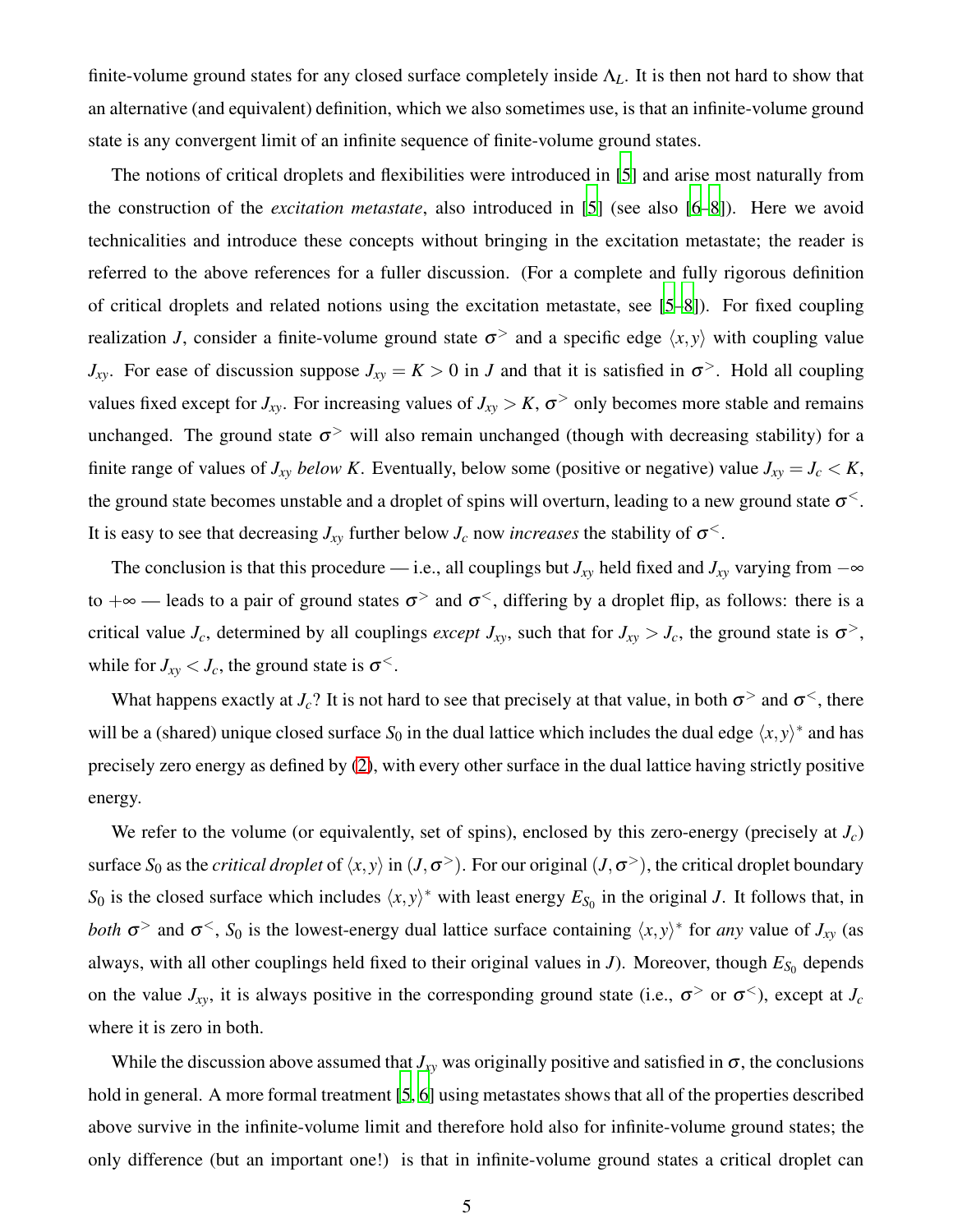finite-volume ground states for any closed surface completely inside Λ*L*. It is then not hard to show that an alternative (and equivalent) definition, which we also sometimes use, is that an infinite-volume ground state is any convergent limit of an infinite sequence of finite-volume ground states.

The notions of critical droplets and flexibilities were introduced in [\[5\]](#page-42-2) and arise most naturally from the construction of the *excitation metastate*, also introduced in [\[5\]](#page-42-2) (see also [\[6](#page-42-6)[–8](#page-42-3)]). Here we avoid technicalities and introduce these concepts without bringing in the excitation metastate; the reader is referred to the above references for a fuller discussion. (For a complete and fully rigorous definition of critical droplets and related notions using the excitation metastate, see [\[5](#page-42-2)[–8](#page-42-3)]). For fixed coupling realization *J*, consider a finite-volume ground state  $\sigma$  and a specific edge  $\langle x, y \rangle$  with coupling value *J*<sub>*xy*</sub>. For ease of discussion suppose  $J_{xy} = K > 0$  in *J* and that it is satisfied in  $\sigma$ <sup>></sup>. Hold all coupling values fixed except for  $J_{xy}$ . For increasing values of  $J_{xy} > K$ ,  $\sigma$ <sup>></sup> only becomes more stable and remains unchanged. The ground state  $\sigma$ <sup>></sup> will also remain unchanged (though with decreasing stability) for a finite range of values of  $J_{xy}$  *below K*. Eventually, below some (positive or negative) value  $J_{xy} = J_c \lt K$ , the ground state becomes unstable and a droplet of spins will overturn, leading to a new ground state  $\sigma^{\lt}$ . It is easy to see that decreasing  $J_{xy}$  further below  $J_c$  now *increases* the stability of  $\sigma^{\lt}$ .

The conclusion is that this procedure — i.e., all couplings but  $J_{xy}$  held fixed and  $J_{xy}$  varying from  $-\infty$ to  $+\infty$  — leads to a pair of ground states  $\sigma$ <sup>></sup> and  $\sigma$ <sup><</sup>, differing by a droplet flip, as follows: there is a critical value  $J_c$ , determined by all couplings *except*  $J_{xy}$ , such that for  $J_{xy} > J_c$ , the ground state is  $\sigma^>$ , while for  $J_{xy} < J_c$ , the ground state is  $\sigma^2$ .

What happens exactly at  $J_c$ ? It is not hard to see that precisely at that value, in both  $\sigma$ <sup>></sup> and  $\sigma$ <sup><</sup>, there will be a (shared) unique closed surface  $S_0$  in the dual lattice which includes the dual edge  $\langle x, y \rangle^*$  and has precisely zero energy as defined by [\(2\)](#page-3-2), with every other surface in the dual lattice having strictly positive energy.

We refer to the volume (or equivalently, set of spins), enclosed by this zero-energy (precisely at *Jc*) surface  $S_0$  as the *critical droplet* of  $\langle x, y \rangle$  in  $(J, \sigma^> )$ . For our original  $(J, \sigma^> )$ , the critical droplet boundary *S*<sup>0</sup> is the closed surface which includes  $\langle x, y \rangle^*$  with least energy  $E_{S_0}$  in the original *J*. It follows that, in *both*  $\sigma$  and  $\sigma$ <sup><</sup>, *S*<sub>0</sub> is the lowest-energy dual lattice surface containing  $\langle x, y \rangle^*$  for *any* value of *J<sub>xy</sub>* (as always, with all other couplings held fixed to their original values in *J*). Moreover, though  $E_{S_0}$  depends on the value  $J_{xy}$ , it is always positive in the corresponding ground state (i.e.,  $\sigma^>$  or  $\sigma^<$ ), except at  $J_c$ where it is zero in both.

While the discussion above assumed that  $J_{xy}$  was originally positive and satisfied in  $\sigma$ , the conclusions hold in general. A more formal treatment [\[5](#page-42-2), [6\]](#page-42-6) using metastates shows that all of the properties described above survive in the infinite-volume limit and therefore hold also for infinite-volume ground states; the only difference (but an important one!) is that in infinite-volume ground states a critical droplet can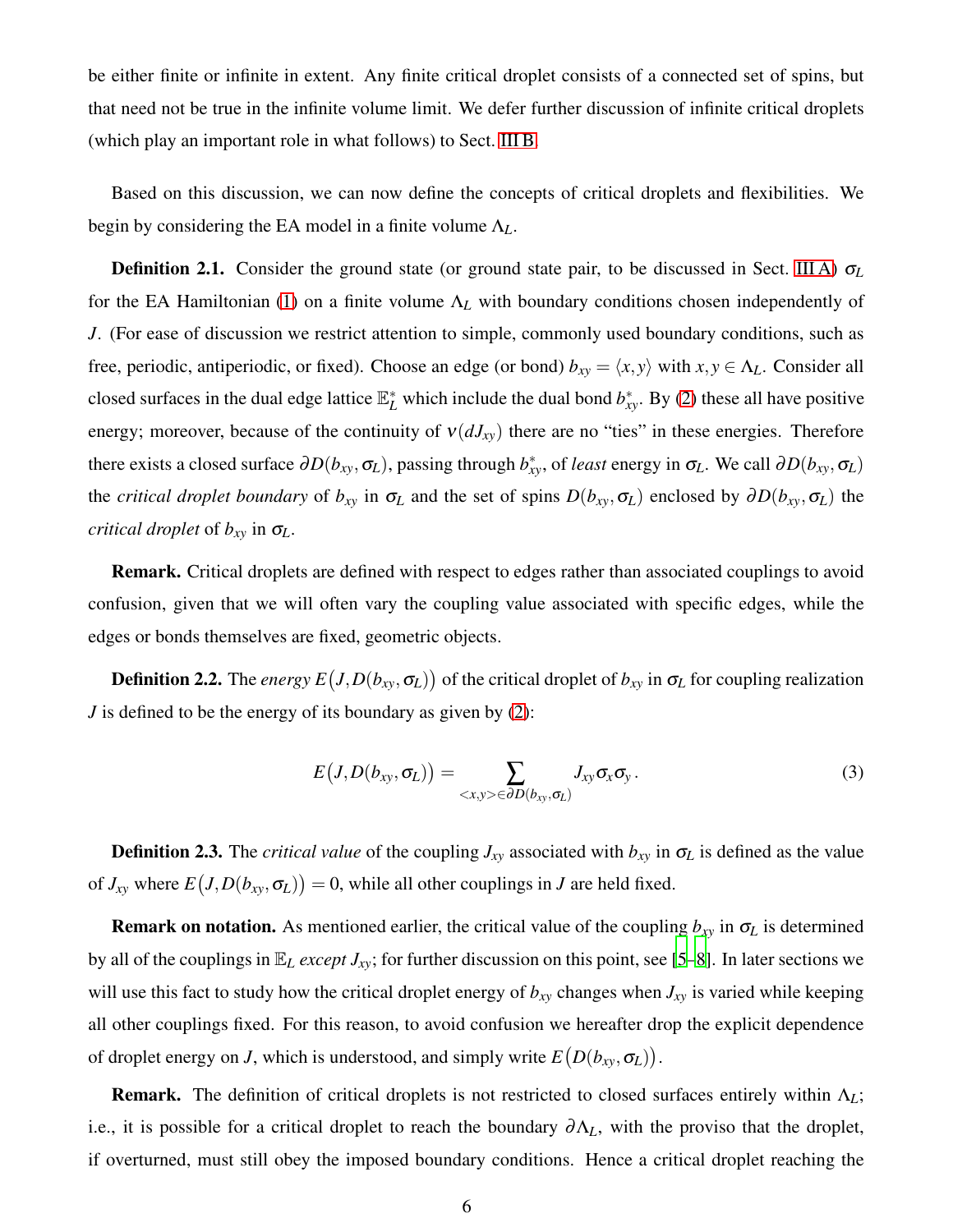be either finite or infinite in extent. Any finite critical droplet consists of a connected set of spins, but that need not be true in the infinite volume limit. We defer further discussion of infinite critical droplets (which play an important role in what follows) to Sect. [III B.](#page-9-0)

Based on this discussion, we can now define the concepts of critical droplets and flexibilities. We begin by considering the EA model in a finite volume Λ*L*.

Definition 2.1. Consider the ground state (or ground state pair, to be discussed in Sect. [III A\)](#page-8-1) <sup>σ</sup>*<sup>L</sup>* for the EA Hamiltonian [\(1\)](#page-3-1) on a finite volume Λ*<sup>L</sup>* with boundary conditions chosen independently of *J*. (For ease of discussion we restrict attention to simple, commonly used boundary conditions, such as free, periodic, antiperiodic, or fixed). Choose an edge (or bond)  $b_{xy} = \langle x, y \rangle$  with  $x, y \in \Lambda_L$ . Consider all closed surfaces in the dual edge lattice  $\mathbb{E}_{L}^{*}$  which include the dual bond  $b_{xy}^{*}$ . By [\(2\)](#page-3-2) these all have positive energy; moreover, because of the continuity of  $v(dJ_{xy})$  there are no "ties" in these energies. Therefore there exists a closed surface  $\partial D(b_{xy}, \sigma_L)$ , passing through  $b_{xy}^*$ , of *least* energy in  $\sigma_L$ . We call  $\partial D(b_{xy}, \sigma_L)$ the *critical droplet boundary* of  $b_{xy}$  in  $\sigma_L$  and the set of spins  $D(b_{xy}, \sigma_L)$  enclosed by  $\partial D(b_{xy}, \sigma_L)$  the *critical droplet* of *bxy* in <sup>σ</sup>*L*.

Remark. Critical droplets are defined with respect to edges rather than associated couplings to avoid confusion, given that we will often vary the coupling value associated with specific edges, while the edges or bonds themselves are fixed, geometric objects.

**Definition 2.2.** The *energy*  $E(J, D(b_{xy}, \sigma_L))$  of the critical droplet of  $b_{xy}$  in  $\sigma_L$  for coupling realization *J* is defined to be the energy of its boundary as given by [\(2\)](#page-3-2):

<span id="page-5-0"></span>
$$
E\big(J,D(b_{xy},\sigma_L)\big)=\sum_{\langle x,y\rangle\in\partial D(b_{xy},\sigma_L)}J_{xy}\sigma_x\sigma_y.
$$
\n(3)

**Definition 2.3.** The *critical value* of the coupling  $J_{xy}$  associated with  $b_{xy}$  in  $\sigma_L$  is defined as the value of  $J_{xy}$  where  $E(J, D(b_{xy}, \sigma_L)) = 0$ , while all other couplings in *J* are held fixed.

**Remark on notation.** As mentioned earlier, the critical value of the coupling  $b_{xy}$  in  $\sigma_L$  is determined by all of the couplings in E*<sup>L</sup> except Jxy*; for further discussion on this point, see [\[5](#page-42-2)[–8](#page-42-3)]. In later sections we will use this fact to study how the critical droplet energy of  $b_{xy}$  changes when  $J_{xy}$  is varied while keeping all other couplings fixed. For this reason, to avoid confusion we hereafter drop the explicit dependence of droplet energy on *J*, which is understood, and simply write  $E(D(b_{xy}, \sigma_L))$ .

Remark. The definition of critical droplets is not restricted to closed surfaces entirely within Λ*L*; i.e., it is possible for a critical droplet to reach the boundary  $\partial \Lambda_L$ , with the proviso that the droplet, if overturned, must still obey the imposed boundary conditions. Hence a critical droplet reaching the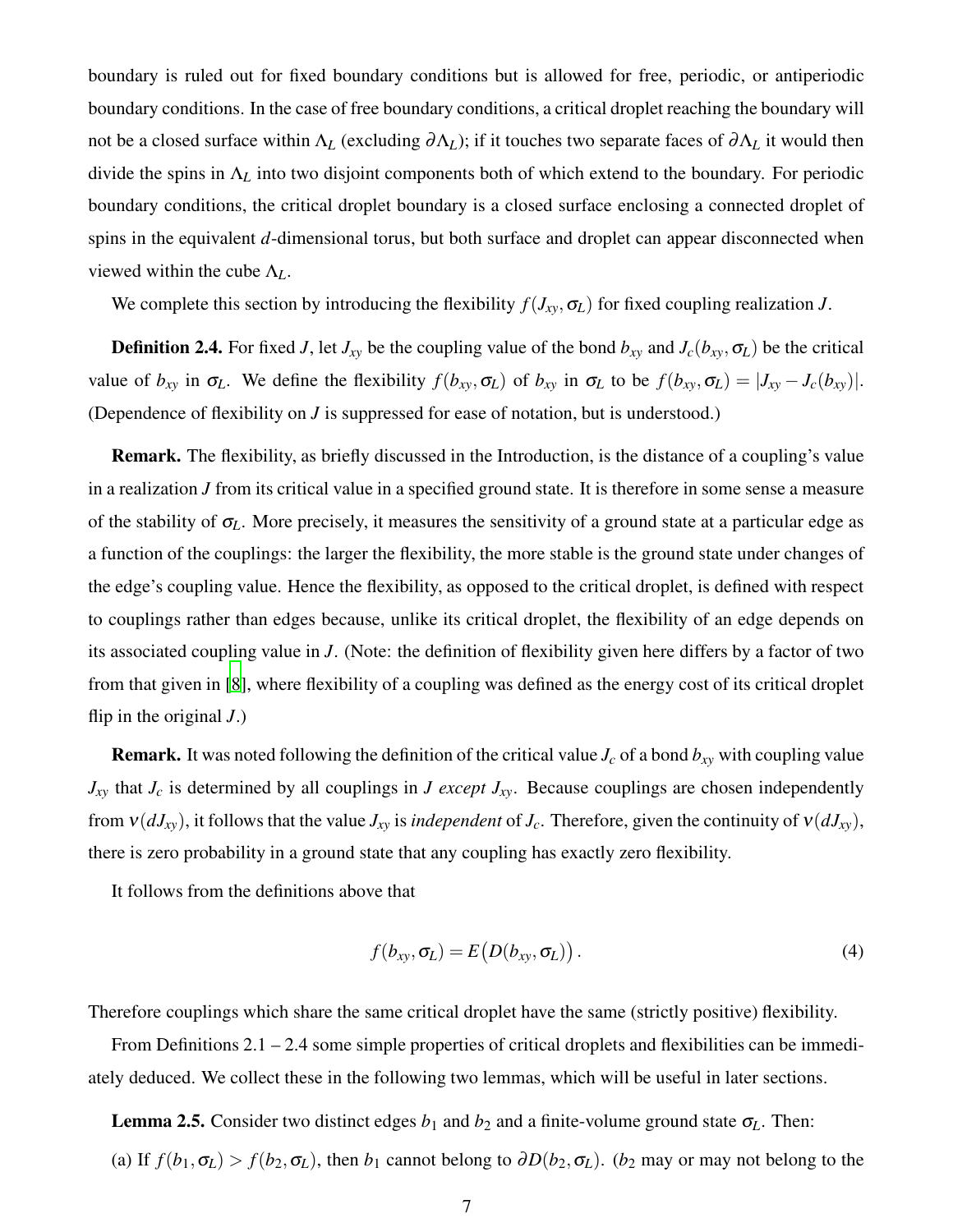boundary is ruled out for fixed boundary conditions but is allowed for free, periodic, or antiperiodic boundary conditions. In the case of free boundary conditions, a critical droplet reaching the boundary will not be a closed surface within Λ*<sup>L</sup>* (excluding <sup>∂</sup>Λ*L*); if it touches two separate faces of <sup>∂</sup>Λ*<sup>L</sup>* it would then divide the spins in Λ*<sup>L</sup>* into two disjoint components both of which extend to the boundary. For periodic boundary conditions, the critical droplet boundary is a closed surface enclosing a connected droplet of spins in the equivalent *d*-dimensional torus, but both surface and droplet can appear disconnected when viewed within the cube Λ*L*.

We complete this section by introducing the flexibility  $f(J_{xy}, \sigma_L)$  for fixed coupling realization *J*.

**Definition 2.4.** For fixed *J*, let  $J_{xy}$  be the coupling value of the bond  $b_{xy}$  and  $J_c(b_{xy}, \sigma_L)$  be the critical value of  $b_{xy}$  in  $\sigma_L$ . We define the flexibility  $f(b_{xy}, \sigma_L)$  of  $b_{xy}$  in  $\sigma_L$  to be  $f(b_{xy}, \sigma_L) = |J_{xy} - J_c(b_{xy})|$ . (Dependence of flexibility on *J* is suppressed for ease of notation, but is understood.)

Remark. The flexibility, as briefly discussed in the Introduction, is the distance of a coupling's value in a realization *J* from its critical value in a specified ground state. It is therefore in some sense a measure of the stability of <sup>σ</sup>*L*. More precisely, it measures the sensitivity of a ground state at a particular edge as a function of the couplings: the larger the flexibility, the more stable is the ground state under changes of the edge's coupling value. Hence the flexibility, as opposed to the critical droplet, is defined with respect to couplings rather than edges because, unlike its critical droplet, the flexibility of an edge depends on its associated coupling value in *J*. (Note: the definition of flexibility given here differs by a factor of two from that given in [\[8\]](#page-42-3), where flexibility of a coupling was defined as the energy cost of its critical droplet flip in the original *J*.)

**Remark.** It was noted following the definition of the critical value  $J_c$  of a bond  $b_{xy}$  with coupling value  $J_{xy}$  that  $J_c$  is determined by all couplings in *J except*  $J_{xy}$ . Because couplings are chosen independently from  $v(dJ_{xy})$ , it follows that the value  $J_{xy}$  is *independent* of  $J_c$ . Therefore, given the continuity of  $v(dJ_{xy})$ , there is zero probability in a ground state that any coupling has exactly zero flexibility.

It follows from the definitions above that

<span id="page-6-0"></span>
$$
f(b_{xy}, \sigma_L) = E\big(D(b_{xy}, \sigma_L)\big). \tag{4}
$$

Therefore couplings which share the same critical droplet have the same (strictly positive) flexibility.

From Definitions 2.1 – 2.4 some simple properties of critical droplets and flexibilities can be immediately deduced. We collect these in the following two lemmas, which will be useful in later sections.

**Lemma 2.5.** Consider two distinct edges  $b_1$  and  $b_2$  and a finite-volume ground state  $\sigma$ <sub>L</sub>. Then: (a) If  $f(b_1, \sigma_L) > f(b_2, \sigma_L)$ , then  $b_1$  cannot belong to  $\partial D(b_2, \sigma_L)$ . (*b*<sub>2</sub> may or may not belong to the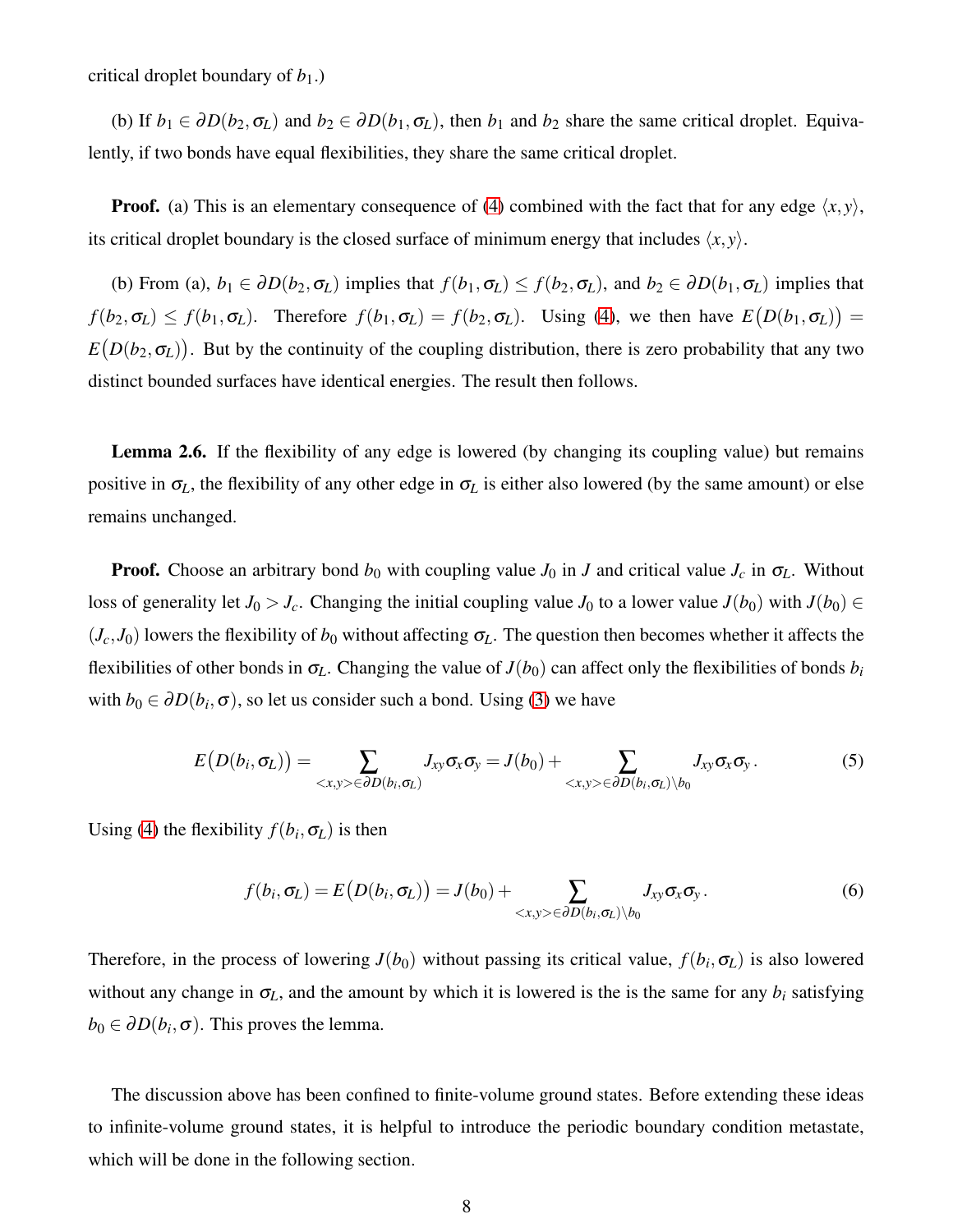critical droplet boundary of  $b_1$ .)

(b) If  $b_1 \in \partial D(b_2, \sigma_L)$  and  $b_2 \in \partial D(b_1, \sigma_L)$ , then  $b_1$  and  $b_2$  share the same critical droplet. Equivalently, if two bonds have equal flexibilities, they share the same critical droplet.

**Proof.** (a) This is an elementary consequence of [\(4\)](#page-6-0) combined with the fact that for any edge  $\langle x, y \rangle$ , its critical droplet boundary is the closed surface of minimum energy that includes  $\langle x, y \rangle$ .

(b) From (a),  $b_1 \in \partial D(b_2, \sigma_L)$  implies that  $f(b_1, \sigma_L) \leq f(b_2, \sigma_L)$ , and  $b_2 \in \partial D(b_1, \sigma_L)$  implies that  $f(b_2, \sigma_L) \leq f(b_1, \sigma_L)$ . Therefore  $f(b_1, \sigma_L) = f(b_2, \sigma_L)$ . Using [\(4\)](#page-6-0), we then have  $E(D(b_1, \sigma_L)) =$  $E(D(b_2, \sigma_L))$ . But by the continuity of the coupling distribution, there is zero probability that any two distinct bounded surfaces have identical energies. The result then follows.

Lemma 2.6. If the flexibility of any edge is lowered (by changing its coupling value) but remains positive in  $\sigma_L$ , the flexibility of any other edge in  $\sigma_L$  is either also lowered (by the same amount) or else remains unchanged.

**Proof.** Choose an arbitrary bond  $b_0$  with coupling value  $J_0$  in *J* and critical value  $J_c$  in  $\sigma_L$ . Without loss of generality let *J*<sub>0</sub> > *J*<sub>*c*</sub>. Changing the initial coupling value *J*<sub>0</sub> to a lower value *J*(*b*<sub>0</sub>) with *J*(*b*<sub>0</sub>) ∈  $(J_c, J_0)$  lowers the flexibility of  $b_0$  without affecting  $\sigma_L$ . The question then becomes whether it affects the flexibilities of other bonds in  $\sigma_L$ . Changing the value of  $J(b_0)$  can affect only the flexibilities of bonds  $b_i$ with  $b_0 \in \partial D(b_i, \sigma)$ , so let us consider such a bond. Using [\(3\)](#page-5-0) we have

$$
E(D(b_i, \sigma_L)) = \sum_{\langle x, y \rangle \in \partial D(b_i, \sigma_L)} J_{xy} \sigma_x \sigma_y = J(b_0) + \sum_{\langle x, y \rangle \in \partial D(b_i, \sigma_L) \setminus b_0} J_{xy} \sigma_x \sigma_y.
$$
 (5)

Using [\(4\)](#page-6-0) the flexibility  $f(b_i, \sigma_L)$  is then

$$
f(b_i, \sigma_L) = E\big(D(b_i, \sigma_L)\big) = J(b_0) + \sum_{\langle x, y \rangle \in \partial D(b_i, \sigma_L) \setminus b_0} J_{xy} \sigma_x \sigma_y.
$$
\n
$$
(6)
$$

Therefore, in the process of lowering  $J(b_0)$  without passing its critical value,  $f(b_i, \sigma_L)$  is also lowered without any change in  $\sigma$ <sub>L</sub>, and the amount by which it is lowered is the is the same for any  $b_i$  satisfying  $b_0 \in \partial D(b_i, \sigma)$ . This proves the lemma.

The discussion above has been confined to finite-volume ground states. Before extending these ideas to infinite-volume ground states, it is helpful to introduce the periodic boundary condition metastate, which will be done in the following section.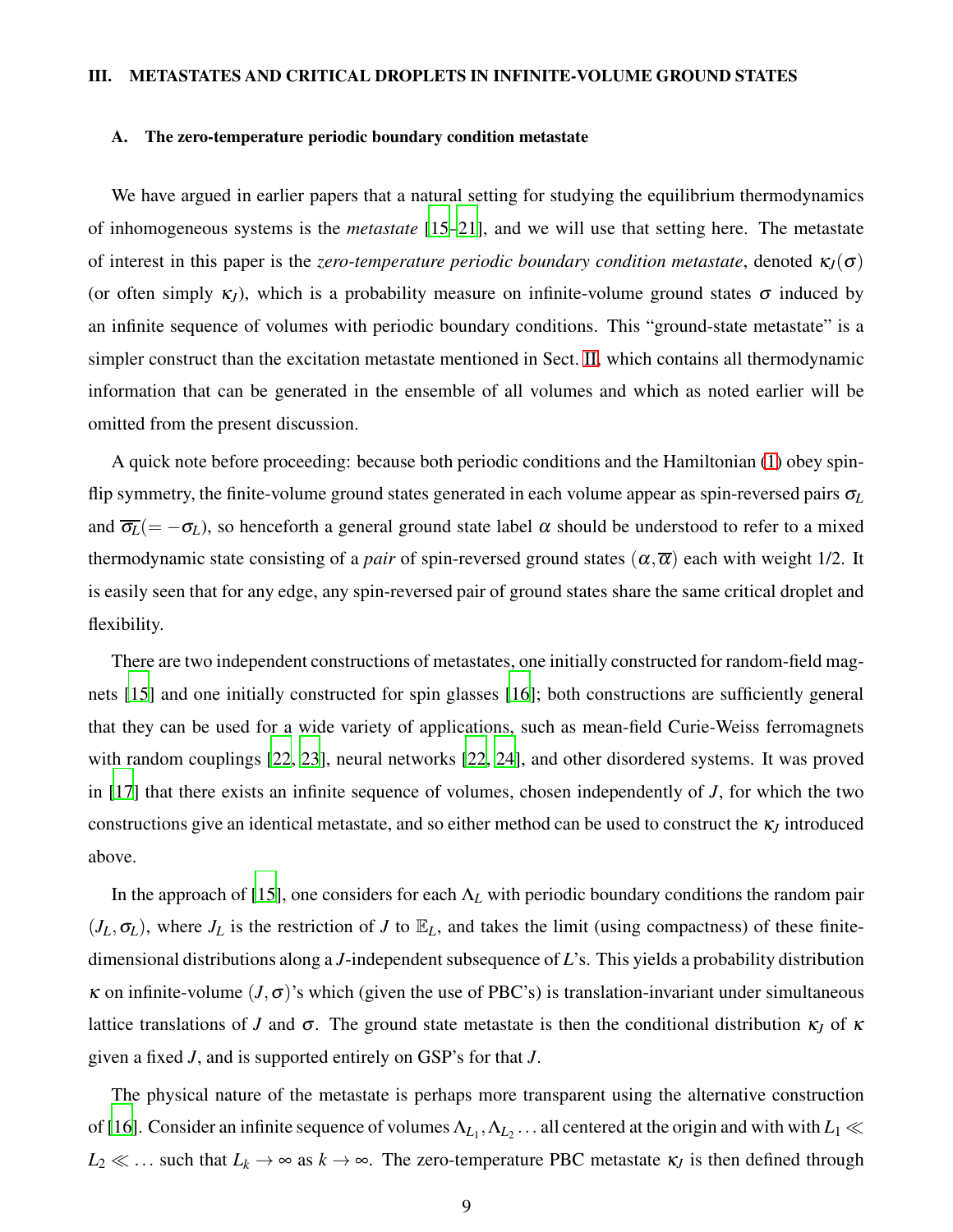### <span id="page-8-0"></span>III. METASTATES AND CRITICAL DROPLETS IN INFINITE-VOLUME GROUND STATES

### <span id="page-8-1"></span>A. The zero-temperature periodic boundary condition metastate

We have argued in earlier papers that a natural setting for studying the equilibrium thermodynamics of inhomogeneous systems is the *metastate* [\[15](#page-42-7)[–21\]](#page-42-8), and we will use that setting here. The metastate of interest in this paper is the *zero-temperature periodic boundary condition metastate*, denoted  $\kappa_J(\sigma)$ (or often simply  $\kappa_J$ ), which is a probability measure on infinite-volume ground states  $\sigma$  induced by an infinite sequence of volumes with periodic boundary conditions. This "ground-state metastate" is a simpler construct than the excitation metastate mentioned in Sect. [II,](#page-3-0) which contains all thermodynamic information that can be generated in the ensemble of all volumes and which as noted earlier will be omitted from the present discussion.

A quick note before proceeding: because both periodic conditions and the Hamiltonian [\(1\)](#page-3-1) obey spinflip symmetry, the finite-volume ground states generated in each volume appear as spin-reversed pairs <sup>σ</sup>*<sup>L</sup>* and  $\overline{\sigma_L}$ (=  $-\sigma_L$ ), so henceforth a general ground state label  $\alpha$  should be understood to refer to a mixed thermodynamic state consisting of a *pair* of spin-reversed ground states  $(\alpha, \overline{\alpha})$  each with weight 1/2. It is easily seen that for any edge, any spin-reversed pair of ground states share the same critical droplet and flexibility.

There are two independent constructions of metastates, one initially constructed for random-field magnets [\[15\]](#page-42-7) and one initially constructed for spin glasses [\[16](#page-42-9)]; both constructions are sufficiently general that they can be used for a wide variety of applications, such as mean-field Curie-Weiss ferromagnets with random couplings [\[22](#page-42-10), [23\]](#page-42-11), neural networks [\[22](#page-42-10), [24\]](#page-42-12), and other disordered systems. It was proved in [\[17\]](#page-42-13) that there exists an infinite sequence of volumes, chosen independently of *J*, for which the two constructions give an identical metastate, and so either method can be used to construct the <sup>κ</sup>*<sup>J</sup>* introduced above.

In the approach of [\[15](#page-42-7)], one considers for each Λ*<sup>L</sup>* with periodic boundary conditions the random pair  $(J_L, \sigma_L)$ , where  $J_L$  is the restriction of *J* to  $\mathbb{E}_L$ , and takes the limit (using compactness) of these finitedimensional distributions along a *J*-independent subsequence of *L*'s. This yields a probability distribution <sup>κ</sup> on infinite-volume (*J*,σ)'s which (given the use of PBC's) is translation-invariant under simultaneous lattice translations of *J* and  $\sigma$ . The ground state metastate is then the conditional distribution κ<sub>*J*</sub> of κ given a fixed *J*, and is supported entirely on GSP's for that *J*.

The physical nature of the metastate is perhaps more transparent using the alternative construction of [\[16\]](#page-42-9). Consider an infinite sequence of volumes  $\Lambda_{L_1}, \Lambda_{L_2}$  ... all centered at the origin and with with  $L_1 \ll$  $L_2 \ll \ldots$  such that  $L_k \to \infty$  as  $k \to \infty$ . The zero-temperature PBC metastate  $\kappa_J$  is then defined through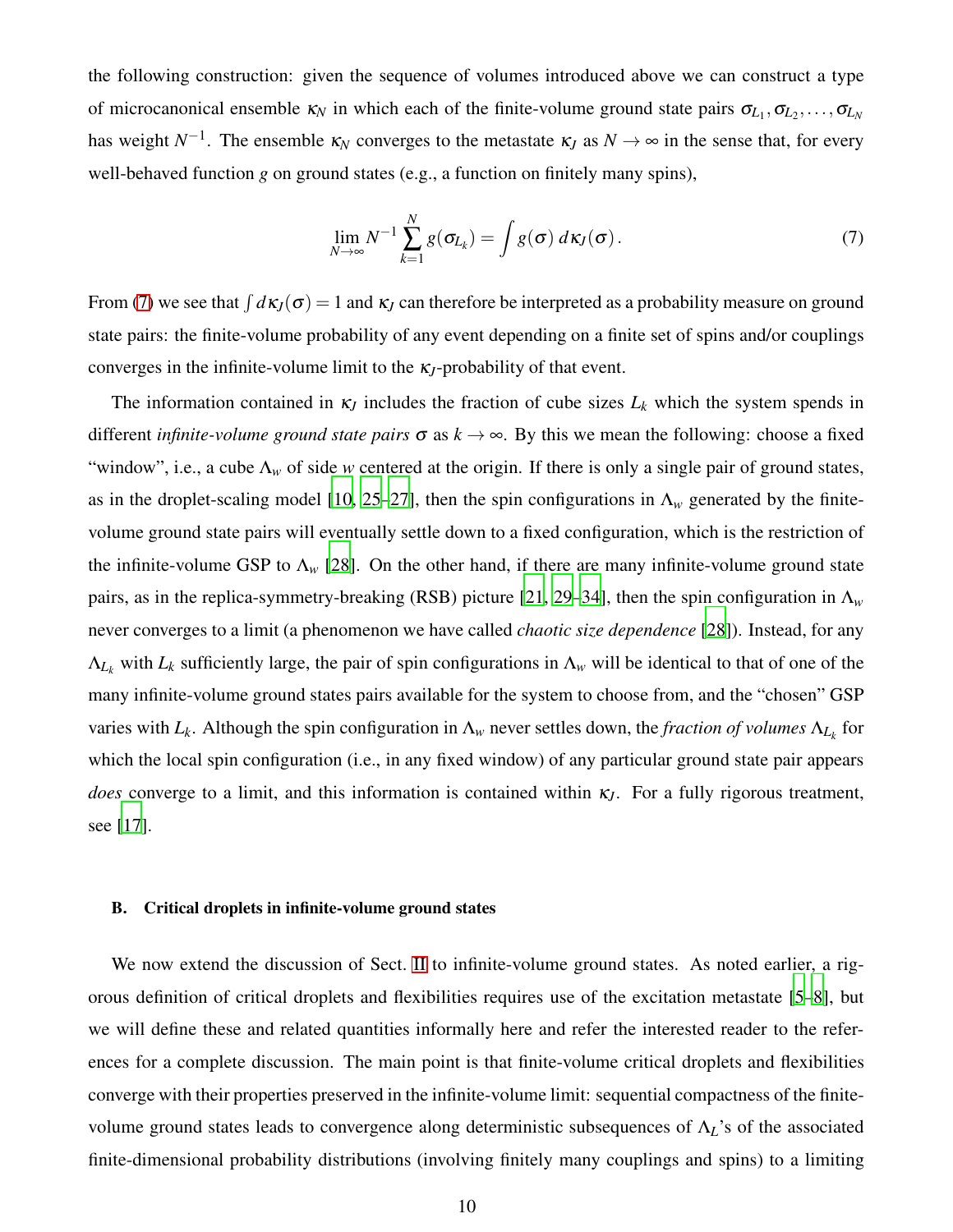the following construction: given the sequence of volumes introduced above we can construct a type of microcanonical ensemble  $\kappa_N$  in which each of the finite-volume ground state pairs  $\sigma_{L_1}, \sigma_{L_2}, \ldots, \sigma_{L_N}$ has weight  $N^{-1}$ . The ensemble  $\kappa_N$  converges to the metastate  $\kappa_J$  as  $N \to \infty$  in the sense that, for every well-behaved function *g* on ground states (e.g., a function on finitely many spins),

<span id="page-9-1"></span>
$$
\lim_{N \to \infty} N^{-1} \sum_{k=1}^{N} g(\sigma_{L_k}) = \int g(\sigma) \, d\kappa_J(\sigma). \tag{7}
$$

From [\(7\)](#page-9-1) we see that  $\int d\kappa_J(\sigma) = 1$  and  $\kappa_J$  can therefore be interpreted as a probability measure on ground state pairs: the finite-volume probability of any event depending on a finite set of spins and/or couplings converges in the infinite-volume limit to the <sup>κ</sup>*J*-probability of that event.

The information contained in  $\kappa_J$  includes the fraction of cube sizes  $L_k$  which the system spends in different *infinite-volume ground state pairs*  $\sigma$  as  $k \to \infty$ . By this we mean the following: choose a fixed "window", i.e., a cube  $\Lambda_w$  of side *w* centered at the origin. If there is only a single pair of ground states, as in the droplet-scaling model [\[10](#page-42-14), [25](#page-42-15)[–27\]](#page-43-0), then the spin configurations in  $\Lambda_w$  generated by the finitevolume ground state pairs will eventually settle down to a fixed configuration, which is the restriction of the infinite-volume GSP to  $\Lambda_{w}$  [\[28\]](#page-43-1). On the other hand, if there are many infinite-volume ground state pairs, as in the replica-symmetry-breaking (RSB) picture [\[21,](#page-42-8) [29](#page-43-2)[–34\]](#page-43-3), then the spin configuration in  $\Lambda_w$ never converges to a limit (a phenomenon we have called *chaotic size dependence* [\[28](#page-43-1)]). Instead, for any  $\Lambda_{L_k}$  with  $L_k$  sufficiently large, the pair of spin configurations in  $\Lambda_w$  will be identical to that of one of the many infinite-volume ground states pairs available for the system to choose from, and the "chosen" GSP varies with  $L_k$ . Although the spin configuration in  $\Lambda_w$  never settles down, the *fraction of volumes*  $\Lambda_{L_k}$  for which the local spin configuration (i.e., in any fixed window) of any particular ground state pair appears *does* converge to a limit, and this information is contained within <sup>κ</sup>*J*. For a fully rigorous treatment, see [\[17\]](#page-42-13).

### <span id="page-9-0"></span>B. Critical droplets in infinite-volume ground states

We now extend the discussion of Sect. [II](#page-3-0) to infinite-volume ground states. As noted earlier, a rigorous definition of critical droplets and flexibilities requires use of the excitation metastate [\[5](#page-42-2)[–8\]](#page-42-3), but we will define these and related quantities informally here and refer the interested reader to the references for a complete discussion. The main point is that finite-volume critical droplets and flexibilities converge with their properties preserved in the infinite-volume limit: sequential compactness of the finitevolume ground states leads to convergence along deterministic subsequences of Λ*L*'s of the associated finite-dimensional probability distributions (involving finitely many couplings and spins) to a limiting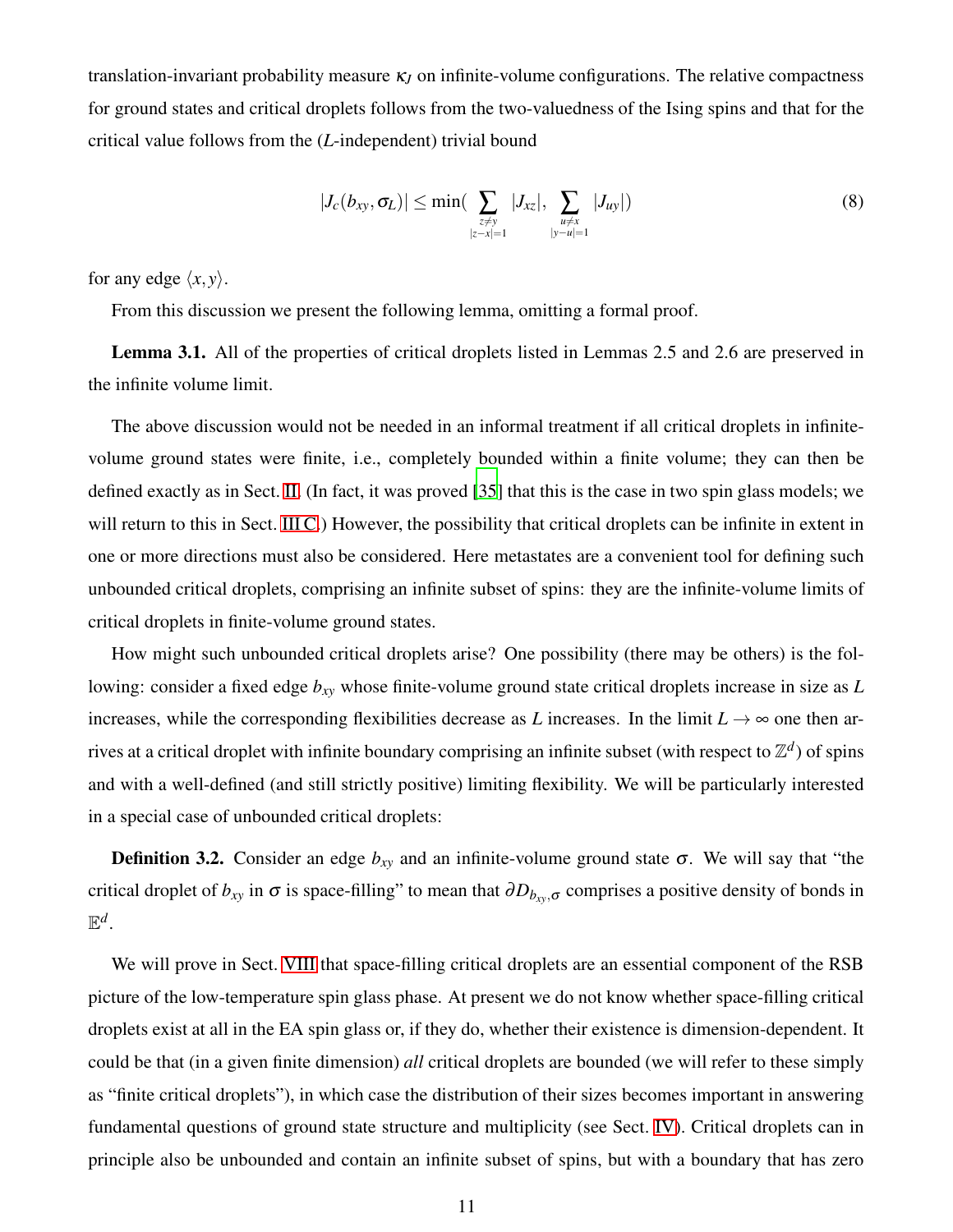translation-invariant probability measure  $\kappa$ <sub>*I*</sub> on infinite-volume configurations. The relative compactness for ground states and critical droplets follows from the two-valuedness of the Ising spins and that for the critical value follows from the (*L*-independent) trivial bound

<span id="page-10-0"></span>
$$
|J_c(b_{xy}, \sigma_L)| \le \min(\sum_{\substack{z \ne y \\ |z - x| = 1}} |J_{xz}|, \sum_{\substack{u \ne x \\ |y - u| = 1}} |J_{uy}|)
$$
(8)

for any edge  $\langle x, y \rangle$ .

From this discussion we present the following lemma, omitting a formal proof.

Lemma 3.1. All of the properties of critical droplets listed in Lemmas 2.5 and 2.6 are preserved in the infinite volume limit.

The above discussion would not be needed in an informal treatment if all critical droplets in infinitevolume ground states were finite, i.e., completely bounded within a finite volume; they can then be defined exactly as in Sect. [II.](#page-3-0) (In fact, it was proved [\[35](#page-43-4)] that this is the case in two spin glass models; we will return to this in Sect. [III C.](#page-11-0)) However, the possibility that critical droplets can be infinite in extent in one or more directions must also be considered. Here metastates are a convenient tool for defining such unbounded critical droplets, comprising an infinite subset of spins: they are the infinite-volume limits of critical droplets in finite-volume ground states.

How might such unbounded critical droplets arise? One possibility (there may be others) is the following: consider a fixed edge *bxy* whose finite-volume ground state critical droplets increase in size as *L* increases, while the corresponding flexibilities decrease as *L* increases. In the limit  $L \rightarrow \infty$  one then arrives at a critical droplet with infinite boundary comprising an infinite subset (with respect to  $\mathbb{Z}^d$ ) of spins and with a well-defined (and still strictly positive) limiting flexibility. We will be particularly interested in a special case of unbounded critical droplets:

**Definition 3.2.** Consider an edge  $b_{xy}$  and an infinite-volume ground state  $\sigma$ . We will say that "the critical droplet of  $b_{xy}$  in  $\sigma$  is space-filling" to mean that  $\partial D_{b_{xy},\sigma}$  comprises a positive density of bonds in  $\mathbb{E}^d$ .

We will prove in Sect. [VIII](#page-28-0) that space-filling critical droplets are an essential component of the RSB picture of the low-temperature spin glass phase. At present we do not know whether space-filling critical droplets exist at all in the EA spin glass or, if they do, whether their existence is dimension-dependent. It could be that (in a given finite dimension) *all* critical droplets are bounded (we will refer to these simply as "finite critical droplets"), in which case the distribution of their sizes becomes important in answering fundamental questions of ground state structure and multiplicity (see Sect. [IV\)](#page-14-0). Critical droplets can in principle also be unbounded and contain an infinite subset of spins, but with a boundary that has zero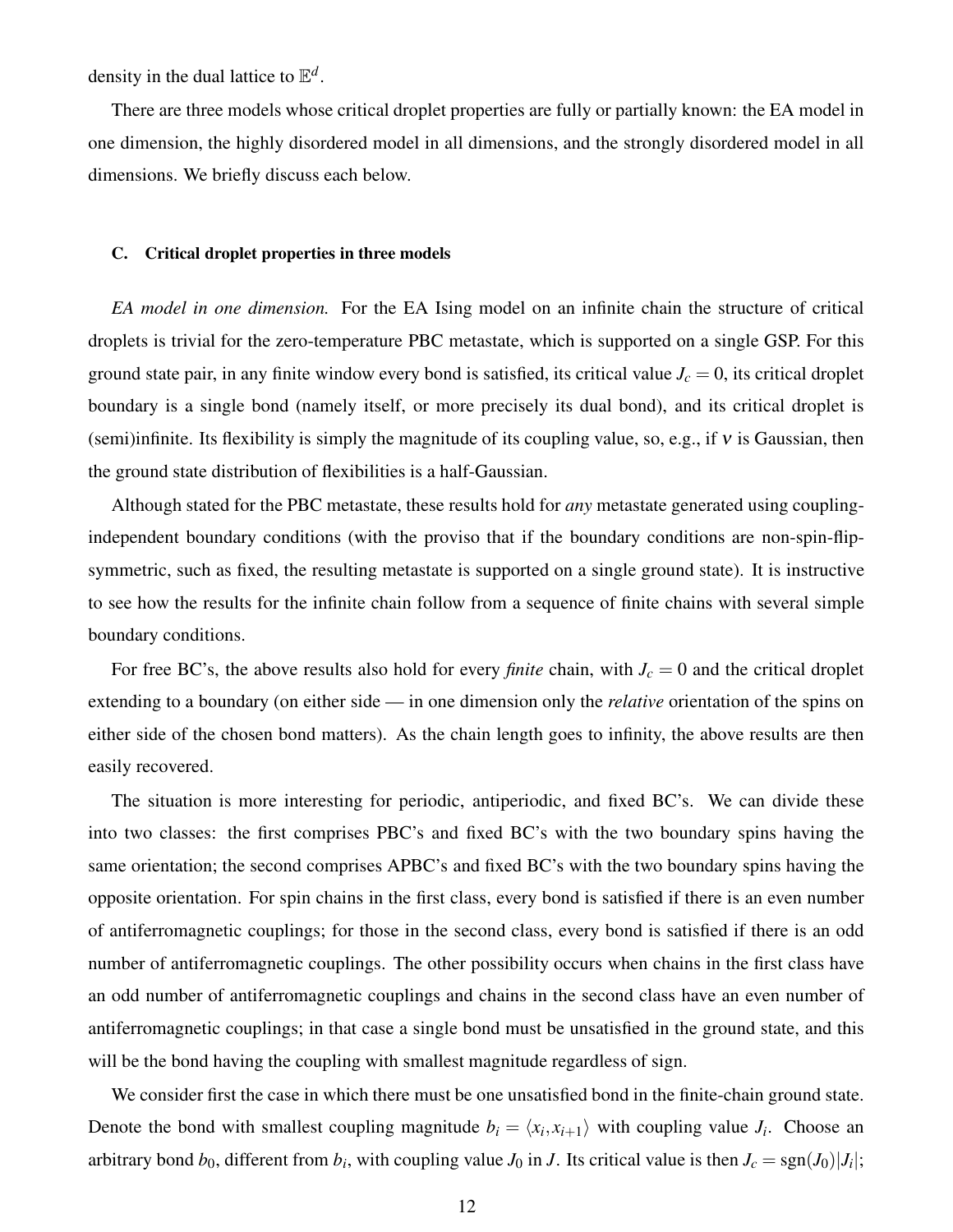density in the dual lattice to  $\mathbb{E}^d$ .

There are three models whose critical droplet properties are fully or partially known: the EA model in one dimension, the highly disordered model in all dimensions, and the strongly disordered model in all dimensions. We briefly discuss each below.

### <span id="page-11-0"></span>C. Critical droplet properties in three models

*EA model in one dimension.* For the EA Ising model on an infinite chain the structure of critical droplets is trivial for the zero-temperature PBC metastate, which is supported on a single GSP. For this ground state pair, in any finite window every bond is satisfied, its critical value  $J_c = 0$ , its critical droplet boundary is a single bond (namely itself, or more precisely its dual bond), and its critical droplet is (semi)infinite. Its flexibility is simply the magnitude of its coupling value, so, e.g., if  $v$  is Gaussian, then the ground state distribution of flexibilities is a half-Gaussian.

Although stated for the PBC metastate, these results hold for *any* metastate generated using couplingindependent boundary conditions (with the proviso that if the boundary conditions are non-spin-flipsymmetric, such as fixed, the resulting metastate is supported on a single ground state). It is instructive to see how the results for the infinite chain follow from a sequence of finite chains with several simple boundary conditions.

For free BC's, the above results also hold for every *finite* chain, with  $J_c = 0$  and the critical droplet extending to a boundary (on either side — in one dimension only the *relative* orientation of the spins on either side of the chosen bond matters). As the chain length goes to infinity, the above results are then easily recovered.

The situation is more interesting for periodic, antiperiodic, and fixed BC's. We can divide these into two classes: the first comprises PBC's and fixed BC's with the two boundary spins having the same orientation; the second comprises APBC's and fixed BC's with the two boundary spins having the opposite orientation. For spin chains in the first class, every bond is satisfied if there is an even number of antiferromagnetic couplings; for those in the second class, every bond is satisfied if there is an odd number of antiferromagnetic couplings. The other possibility occurs when chains in the first class have an odd number of antiferromagnetic couplings and chains in the second class have an even number of antiferromagnetic couplings; in that case a single bond must be unsatisfied in the ground state, and this will be the bond having the coupling with smallest magnitude regardless of sign.

We consider first the case in which there must be one unsatisfied bond in the finite-chain ground state. Denote the bond with smallest coupling magnitude  $b_i = \langle x_i, x_{i+1} \rangle$  with coupling value  $J_i$ . Choose an arbitrary bond  $b_0$ , different from  $b_i$ , with coupling value  $J_0$  in  $J$ . Its critical value is then  $J_c = \text{sgn}(J_0)|J_i|$ ;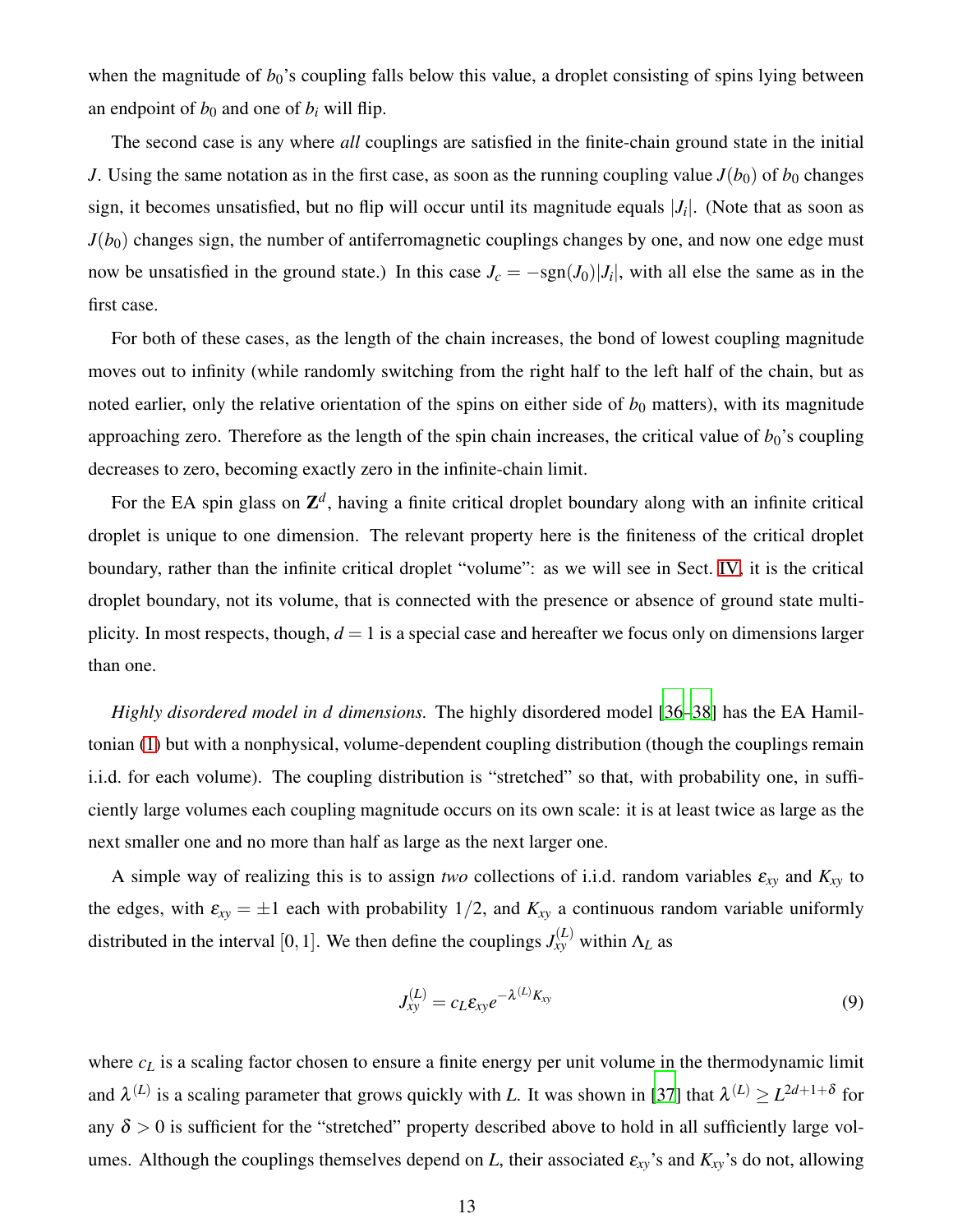when the magnitude of  $b_0$ 's coupling falls below this value, a droplet consisting of spins lying between an endpoint of  $b_0$  and one of  $b_i$  will flip.

The second case is any where *all* couplings are satisfied in the finite-chain ground state in the initial *J*. Using the same notation as in the first case, as soon as the running coupling value  $J(b_0)$  of  $b_0$  changes sign, it becomes unsatisfied, but no flip will occur until its magnitude equals |*J<sup>i</sup>* |. (Note that as soon as  $J(b_0)$  changes sign, the number of antiferromagnetic couplings changes by one, and now one edge must now be unsatisfied in the ground state.) In this case  $J_c = -\text{sgn}(J_0)|J_i|$ , with all else the same as in the first case.

For both of these cases, as the length of the chain increases, the bond of lowest coupling magnitude moves out to infinity (while randomly switching from the right half to the left half of the chain, but as noted earlier, only the relative orientation of the spins on either side of  $b_0$  matters), with its magnitude approaching zero. Therefore as the length of the spin chain increases, the critical value of  $b_0$ 's coupling decreases to zero, becoming exactly zero in the infinite-chain limit.

For the EA spin glass on  $\mathbb{Z}^d$ , having a finite critical droplet boundary along with an infinite critical droplet is unique to one dimension. The relevant property here is the finiteness of the critical droplet boundary, rather than the infinite critical droplet "volume": as we will see in Sect. [IV,](#page-14-0) it is the critical droplet boundary, not its volume, that is connected with the presence or absence of ground state multiplicity. In most respects, though,  $d = 1$  is a special case and hereafter we focus only on dimensions larger than one.

*Highly disordered model in d dimensions.* The highly disordered model [\[36](#page-43-5)[–38\]](#page-43-6) has the EA Hamiltonian [\(1\)](#page-3-1) but with a nonphysical, volume-dependent coupling distribution (though the couplings remain i.i.d. for each volume). The coupling distribution is "stretched" so that, with probability one, in sufficiently large volumes each coupling magnitude occurs on its own scale: it is at least twice as large as the next smaller one and no more than half as large as the next larger one.

A simple way of realizing this is to assign *two* collections of i.i.d. random variables  $\varepsilon_{xy}$  and  $K_{xy}$  to the edges, with  $\varepsilon_{xy} = \pm 1$  each with probability 1/2, and  $K_{xy}$  a continuous random variable uniformly distributed in the interval [0, 1]. We then define the couplings  $J_{xy}^{(L)}$  within  $\Lambda_L$  as

<span id="page-12-0"></span>
$$
J_{xy}^{(L)} = c_L \varepsilon_{xy} e^{-\lambda^{(L)} K_{xy}} \tag{9}
$$

where  $c_L$  is a scaling factor chosen to ensure a finite energy per unit volume in the thermodynamic limit and  $\lambda^{(L)}$  is a scaling parameter that grows quickly with *L*. It was shown in [\[37](#page-43-7)] that  $\lambda^{(L)} \ge L^{2d+1+\delta}$  for any  $\delta > 0$  is sufficient for the "stretched" property described above to hold in all sufficiently large volumes. Although the couplings themselves depend on *L*, their associated  $\varepsilon_{xy}$ 's and  $K_{xy}$ 's do not, allowing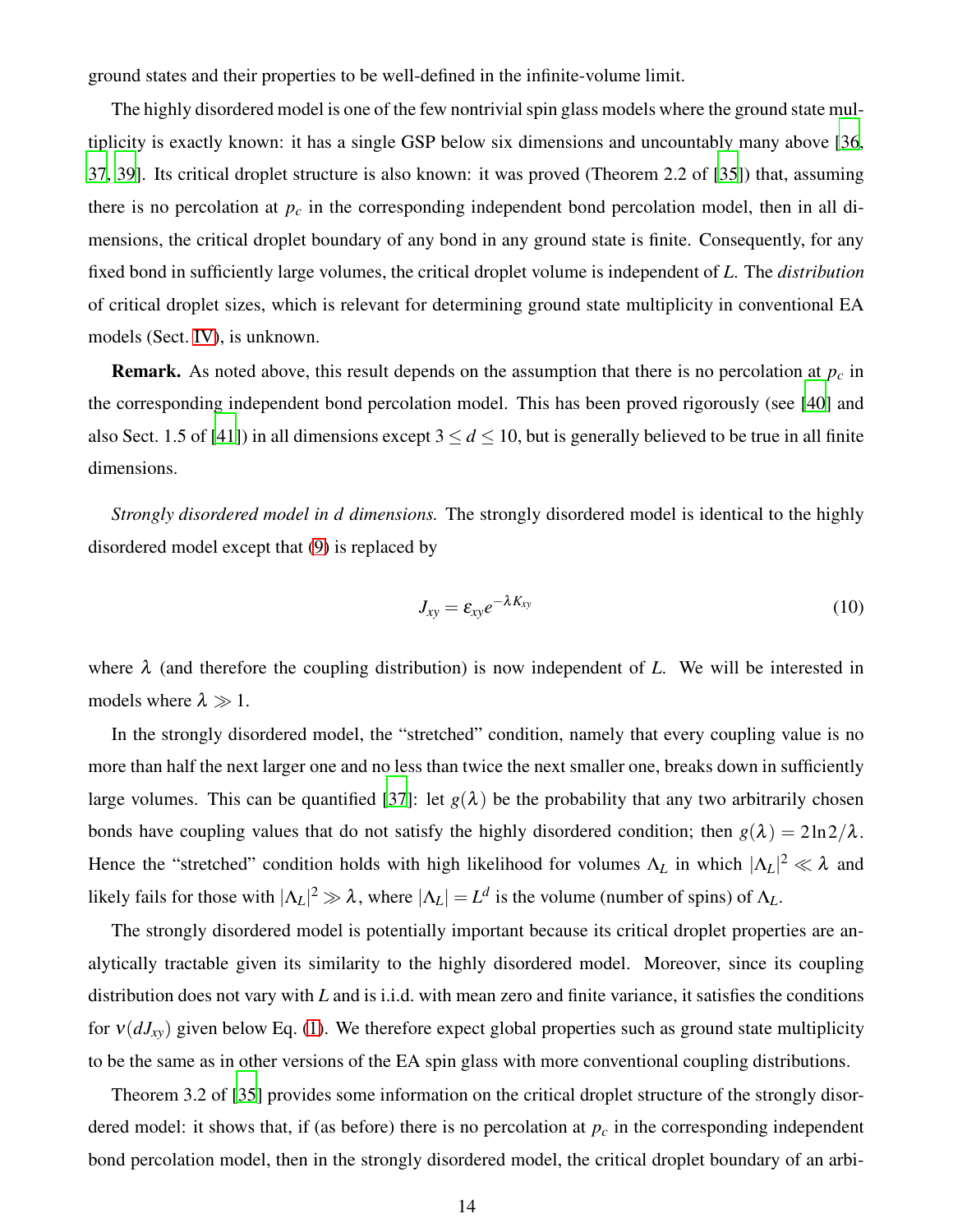ground states and their properties to be well-defined in the infinite-volume limit.

The highly disordered model is one of the few nontrivial spin glass models where the ground state multiplicity is exactly known: it has a single GSP below six dimensions and uncountably many above [\[36](#page-43-5), [37,](#page-43-7) [39](#page-43-8)]. Its critical droplet structure is also known: it was proved (Theorem 2.2 of [\[35](#page-43-4)]) that, assuming there is no percolation at  $p_c$  in the corresponding independent bond percolation model, then in all dimensions, the critical droplet boundary of any bond in any ground state is finite. Consequently, for any fixed bond in sufficiently large volumes, the critical droplet volume is independent of *L*. The *distribution* of critical droplet sizes, which is relevant for determining ground state multiplicity in conventional EA models (Sect. [IV\)](#page-14-0), is unknown.

Remark. As noted above, this result depends on the assumption that there is no percolation at *p<sup>c</sup>* in the corresponding independent bond percolation model. This has been proved rigorously (see [\[40\]](#page-43-9) and also Sect. 1.5 of [\[41](#page-43-10)]) in all dimensions except  $3 \le d \le 10$ , but is generally believed to be true in all finite dimensions.

*Strongly disordered model in d dimensions.* The strongly disordered model is identical to the highly disordered model except that [\(9\)](#page-12-0) is replaced by

$$
J_{xy} = \varepsilon_{xy} e^{-\lambda K_{xy}} \tag{10}
$$

where  $\lambda$  (and therefore the coupling distribution) is now independent of L. We will be interested in models where  $\lambda \gg 1$ .

In the strongly disordered model, the "stretched" condition, namely that every coupling value is no more than half the next larger one and no less than twice the next smaller one, breaks down in sufficiently large volumes. This can be quantified [\[37](#page-43-7)]: let  $g(\lambda)$  be the probability that any two arbitrarily chosen bonds have coupling values that do not satisfy the highly disordered condition; then  $g(\lambda) = 2\ln 2/\lambda$ . Hence the "stretched" condition holds with high likelihood for volumes  $\Lambda_L$  in which  $|\Lambda_L|^2 \ll \lambda$  and likely fails for those with  $|\Lambda_L|^2 \gg \lambda$ , where  $|\Lambda_L| = L^d$  is the volume (number of spins) of  $\Lambda_L$ .

The strongly disordered model is potentially important because its critical droplet properties are analytically tractable given its similarity to the highly disordered model. Moreover, since its coupling distribution does not vary with *L* and is i.i.d. with mean zero and finite variance, it satisfies the conditions for  $v(dJ_{xy})$  given below Eq. [\(1\)](#page-3-1). We therefore expect global properties such as ground state multiplicity to be the same as in other versions of the EA spin glass with more conventional coupling distributions.

Theorem 3.2 of [\[35\]](#page-43-4) provides some information on the critical droplet structure of the strongly disordered model: it shows that, if (as before) there is no percolation at  $p_c$  in the corresponding independent bond percolation model, then in the strongly disordered model, the critical droplet boundary of an arbi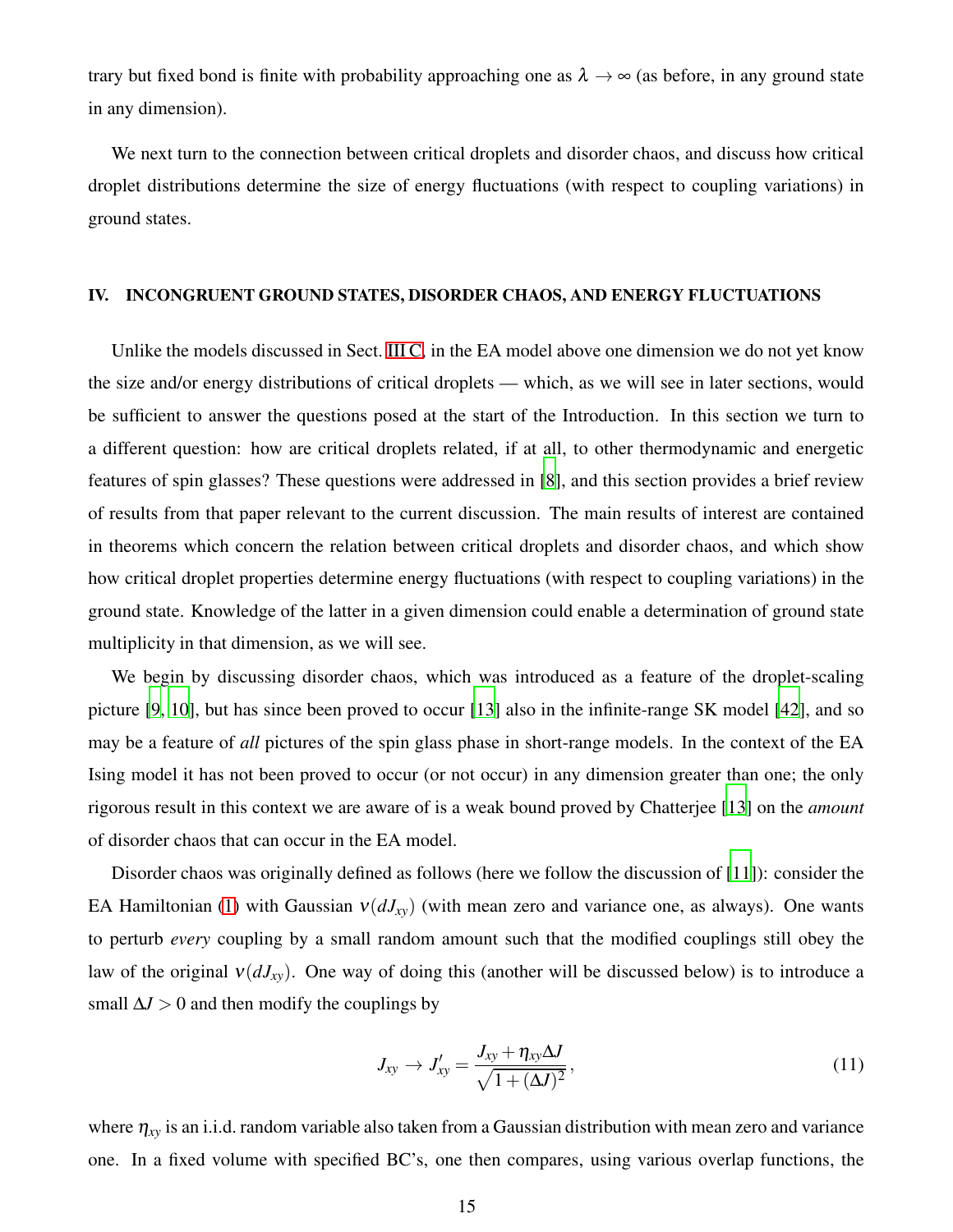trary but fixed bond is finite with probability approaching one as  $\lambda \to \infty$  (as before, in any ground state in any dimension).

We next turn to the connection between critical droplets and disorder chaos, and discuss how critical droplet distributions determine the size of energy fluctuations (with respect to coupling variations) in ground states.

### <span id="page-14-0"></span>IV. INCONGRUENT GROUND STATES, DISORDER CHAOS, AND ENERGY FLUCTUATIONS

Unlike the models discussed in Sect. [III C,](#page-11-0) in the EA model above one dimension we do not yet know the size and/or energy distributions of critical droplets — which, as we will see in later sections, would be sufficient to answer the questions posed at the start of the Introduction. In this section we turn to a different question: how are critical droplets related, if at all, to other thermodynamic and energetic features of spin glasses? These questions were addressed in [\[8\]](#page-42-3), and this section provides a brief review of results from that paper relevant to the current discussion. The main results of interest are contained in theorems which concern the relation between critical droplets and disorder chaos, and which show how critical droplet properties determine energy fluctuations (with respect to coupling variations) in the ground state. Knowledge of the latter in a given dimension could enable a determination of ground state multiplicity in that dimension, as we will see.

We begin by discussing disorder chaos, which was introduced as a feature of the droplet-scaling picture [\[9](#page-42-16), [10](#page-42-14)], but has since been proved to occur [\[13\]](#page-42-4) also in the infinite-range SK model [\[42\]](#page-43-11), and so may be a feature of *all* pictures of the spin glass phase in short-range models. In the context of the EA Ising model it has not been proved to occur (or not occur) in any dimension greater than one; the only rigorous result in this context we are aware of is a weak bound proved by Chatterjee [\[13\]](#page-42-4) on the *amount* of disorder chaos that can occur in the EA model.

Disorder chaos was originally defined as follows (here we follow the discussion of [\[11\]](#page-42-17)): consider the EA Hamiltonian [\(1\)](#page-3-1) with Gaussian  $v(dJ_{xy})$  (with mean zero and variance one, as always). One wants to perturb *every* coupling by a small random amount such that the modified couplings still obey the law of the original  $v(dJ_{xy})$ . One way of doing this (another will be discussed below) is to introduce a small  $\Delta$ *J* > 0 and then modify the couplings by

<span id="page-14-1"></span>
$$
J_{xy} \rightarrow J'_{xy} = \frac{J_{xy} + \eta_{xy} \Delta J}{\sqrt{1 + (\Delta J)^2}},
$$
\n(11)

where <sup>η</sup>*xy* is an i.i.d. random variable also taken from a Gaussian distribution with mean zero and variance one. In a fixed volume with specified BC's, one then compares, using various overlap functions, the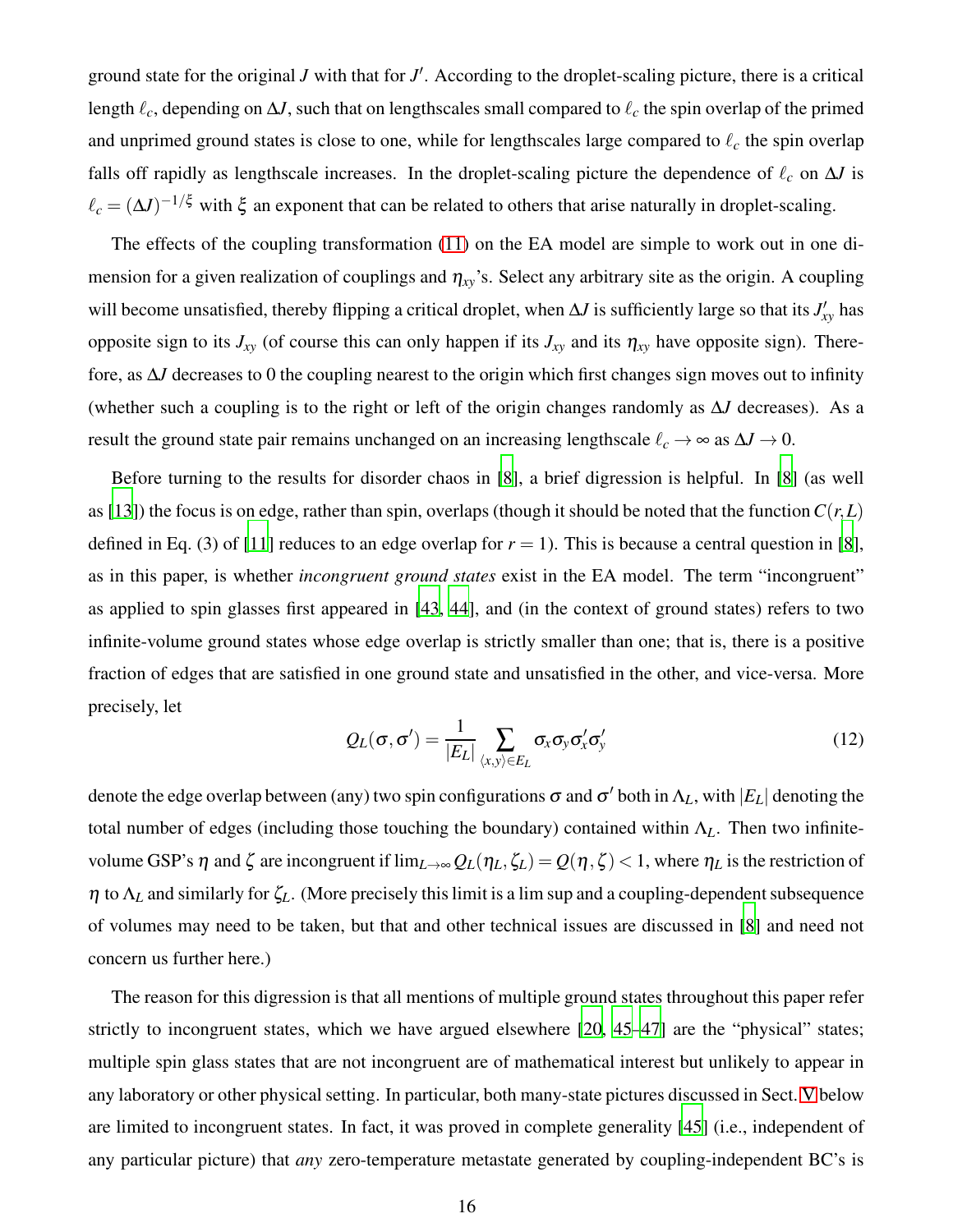ground state for the original *J* with that for *J'*. According to the droplet-scaling picture, there is a critical length ℓ*c*, depending on ∆*J*, such that on lengthscales small compared to ℓ*<sup>c</sup>* the spin overlap of the primed and unprimed ground states is close to one, while for lengthscales large compared to ℓ*<sup>c</sup>* the spin overlap falls off rapidly as lengthscale increases. In the droplet-scaling picture the dependence of  $\ell_c$  on  $\Delta J$  is  $\ell_c = (\Delta J)^{-1/\xi}$  with  $\xi$  an exponent that can be related to others that arise naturally in droplet-scaling.

The effects of the coupling transformation [\(11\)](#page-14-1) on the EA model are simple to work out in one dimension for a given realization of couplings and  $\eta_{xy}$ 's. Select any arbitrary site as the origin. A coupling will become unsatisfied, thereby flipping a critical droplet, when ∆*J* is sufficiently large so that its *J* ′ *xy* has opposite sign to its  $J_{xy}$  (of course this can only happen if its  $J_{xy}$  and its  $\eta_{xy}$  have opposite sign). Therefore, as ∆*J* decreases to 0 the coupling nearest to the origin which first changes sign moves out to infinity (whether such a coupling is to the right or left of the origin changes randomly as ∆*J* decreases). As a result the ground state pair remains unchanged on an increasing lengthscale  $\ell_c \to \infty$  as  $\Delta J \to 0$ .

Before turning to the results for disorder chaos in [\[8](#page-42-3)], a brief digression is helpful. In [\[8\]](#page-42-3) (as well as [\[13](#page-42-4)]) the focus is on edge, rather than spin, overlaps (though it should be noted that the function  $C(r,L)$ defined in Eq. (3) of [\[11](#page-42-17)] reduces to an edge overlap for  $r = 1$ ). This is because a central question in [\[8](#page-42-3)], as in this paper, is whether *incongruent ground states* exist in the EA model. The term "incongruent" as applied to spin glasses first appeared in [\[43](#page-43-12), [44](#page-43-13)], and (in the context of ground states) refers to two infinite-volume ground states whose edge overlap is strictly smaller than one; that is, there is a positive fraction of edges that are satisfied in one ground state and unsatisfied in the other, and vice-versa. More precisely, let

$$
Q_L(\sigma, \sigma') = \frac{1}{|E_L|} \sum_{\langle x, y \rangle \in E_L} \sigma_x \sigma_y \sigma_x' \sigma_y'
$$
(12)

denote the edge overlap between (any) two spin configurations  $\sigma$  and  $\sigma'$  both in  $\Lambda_L$ , with  $|E_L|$  denoting the total number of edges (including those touching the boundary) contained within Λ*L*. Then two infinitevolume GSP's η and ζ are incongruent if  $\lim_{L\to\infty} Q_L(\eta_L,\zeta_L) = Q(\eta,\zeta) < 1$ , where  $η_L$  is the restriction of <sup>η</sup> to Λ*<sup>L</sup>* and similarly for ζ*L*. (More precisely this limit is a lim sup and a coupling-dependent subsequence of volumes may need to be taken, but that and other technical issues are discussed in [\[8](#page-42-3)] and need not concern us further here.)

The reason for this digression is that all mentions of multiple ground states throughout this paper refer strictly to incongruent states, which we have argued elsewhere [\[20,](#page-42-18) [45](#page-43-14)[–47](#page-43-15)] are the "physical" states; multiple spin glass states that are not incongruent are of mathematical interest but unlikely to appear in any laboratory or other physical setting. In particular, both many-state pictures discussed in Sect. [V](#page-18-0) below are limited to incongruent states. In fact, it was proved in complete generality [\[45](#page-43-14)] (i.e., independent of any particular picture) that *any* zero-temperature metastate generated by coupling-independent BC's is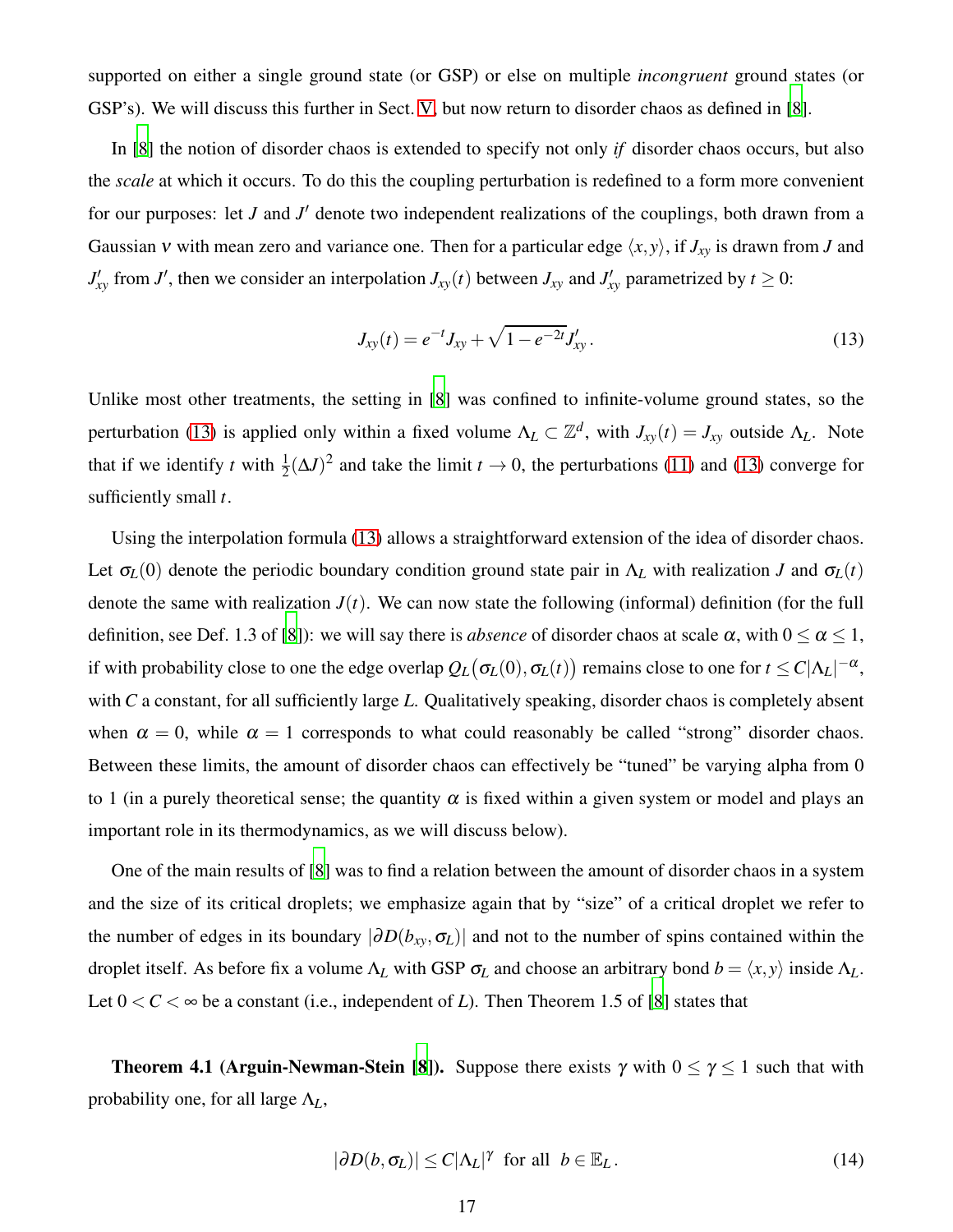supported on either a single ground state (or GSP) or else on multiple *incongruent* ground states (or GSP's). We will discuss this further in Sect. [V,](#page-18-0) but now return to disorder chaos as defined in [\[8](#page-42-3)].

In [\[8](#page-42-3)] the notion of disorder chaos is extended to specify not only *if* disorder chaos occurs, but also the *scale* at which it occurs. To do this the coupling perturbation is redefined to a form more convenient for our purposes: let *J* and *J* ′ denote two independent realizations of the couplings, both drawn from a Gaussian v with mean zero and variance one. Then for a particular edge  $\langle x, y \rangle$ , if  $J_{xy}$  is drawn from *J* and  $J'_{xy}$  from *J*<sup> $\prime$ </sup>, then we consider an interpolation  $J_{xy}(t)$  between  $J_{xy}$  and  $J'_{xy}$  parametrized by  $t \ge 0$ :

<span id="page-16-0"></span>
$$
J_{xy}(t) = e^{-t} J_{xy} + \sqrt{1 - e^{-2t}} J'_{xy}.
$$
\n(13)

Unlike most other treatments, the setting in [\[8\]](#page-42-3) was confined to infinite-volume ground states, so the perturbation [\(13\)](#page-16-0) is applied only within a fixed volume  $\Lambda_L \subset \mathbb{Z}^d$ , with  $J_{xy}(t) = J_{xy}$  outside  $\Lambda_L$ . Note that if we identify *t* with  $\frac{1}{2}(\Delta J)^2$  and take the limit  $t \to 0$ , the perturbations [\(11\)](#page-14-1) and [\(13\)](#page-16-0) converge for sufficiently small *t*.

Using the interpolation formula [\(13\)](#page-16-0) allows a straightforward extension of the idea of disorder chaos. Let  $\sigma_L(0)$  denote the periodic boundary condition ground state pair in  $\Lambda_L$  with realization *J* and  $\sigma_L(t)$ denote the same with realization  $J(t)$ . We can now state the following (informal) definition (for the full definition, see Def. 1.3 of [\[8\]](#page-42-3)): we will say there is *absence* of disorder chaos at scale  $\alpha$ , with  $0 \le \alpha \le 1$ , if with probability close to one the edge overlap  $Q_L(\sigma_{L}(0),\sigma_{L}(t))$  remains close to one for  $t\le C|\Lambda_L|^{-\alpha},$ with *C* a constant, for all sufficiently large *L*. Qualitatively speaking, disorder chaos is completely absent when  $\alpha = 0$ , while  $\alpha = 1$  corresponds to what could reasonably be called "strong" disorder chaos. Between these limits, the amount of disorder chaos can effectively be "tuned" be varying alpha from 0 to 1 (in a purely theoretical sense; the quantity  $\alpha$  is fixed within a given system or model and plays an important role in its thermodynamics, as we will discuss below).

One of the main results of [\[8](#page-42-3)] was to find a relation between the amount of disorder chaos in a system and the size of its critical droplets; we emphasize again that by "size" of a critical droplet we refer to the number of edges in its boundary  $|\partial D(b_{xy}, \sigma_L)|$  and not to the number of spins contained within the droplet itself. As before fix a volume  $\Lambda_L$  with GSP  $\sigma_L$  and choose an arbitrary bond  $b = \langle x, y \rangle$  inside  $\Lambda_L$ . Let  $0 < C < \infty$  be a constant (i.e., independent of *L*). Then Theorem 1.5 of [\[8](#page-42-3)] states that

**Theorem 4.1 (Arguin-Newman-Stein [\[8\]](#page-42-3)).** Suppose there exists  $\gamma$  with  $0 \leq \gamma \leq 1$  such that with probability one, for all large Λ*L*,

<span id="page-16-1"></span>
$$
|\partial D(b, \sigma_L)| \le C |\Lambda_L|^{\gamma} \text{ for all } b \in \mathbb{E}_L. \tag{14}
$$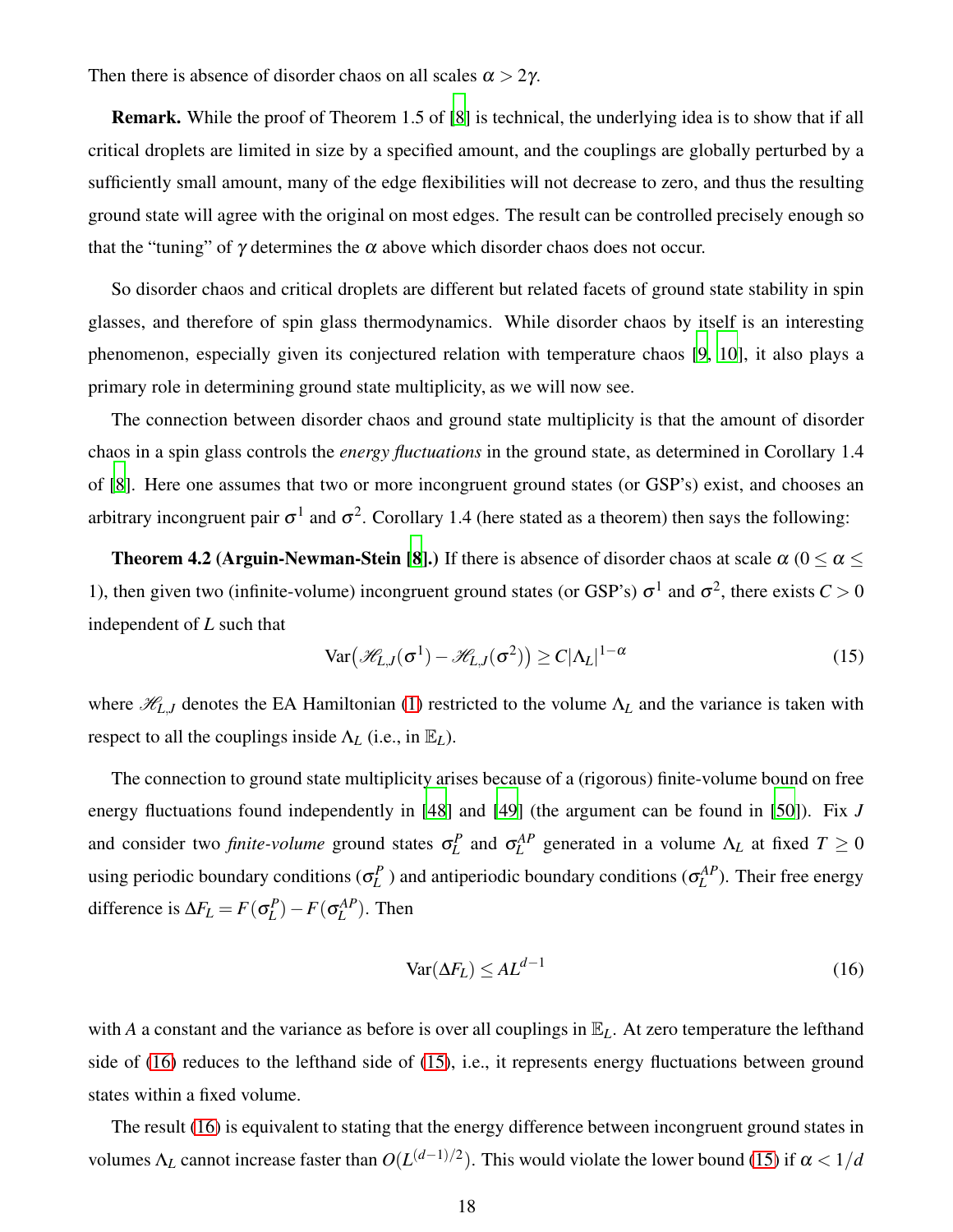Then there is absence of disorder chaos on all scales  $\alpha > 2\gamma$ .

Remark. While the proof of Theorem 1.5 of [\[8\]](#page-42-3) is technical, the underlying idea is to show that if all critical droplets are limited in size by a specified amount, and the couplings are globally perturbed by a sufficiently small amount, many of the edge flexibilities will not decrease to zero, and thus the resulting ground state will agree with the original on most edges. The result can be controlled precisely enough so that the "tuning" of  $\gamma$  determines the  $\alpha$  above which disorder chaos does not occur.

So disorder chaos and critical droplets are different but related facets of ground state stability in spin glasses, and therefore of spin glass thermodynamics. While disorder chaos by itself is an interesting phenomenon, especially given its conjectured relation with temperature chaos [\[9,](#page-42-16) [10\]](#page-42-14), it also plays a primary role in determining ground state multiplicity, as we will now see.

The connection between disorder chaos and ground state multiplicity is that the amount of disorder chaos in a spin glass controls the *energy fluctuations* in the ground state, as determined in Corollary 1.4 of [\[8](#page-42-3)]. Here one assumes that two or more incongruent ground states (or GSP's) exist, and chooses an arbitrary incongruent pair  $\sigma^1$  and  $\sigma^2$ . Corollary 1.4 (here stated as a theorem) then says the following:

**Theorem 4.2 (Arguin-Newman-Stein [\[8](#page-42-3)].)** If there is absence of disorder chaos at scale  $\alpha$  ( $0 < \alpha <$ 1), then given two (infinite-volume) incongruent ground states (or GSP's)  $\sigma^1$  and  $\sigma^2$ , there exists  $C > 0$ independent of *L* such that

<span id="page-17-1"></span>
$$
\text{Var}\big(\mathcal{H}_{L,J}(\sigma^1) - \mathcal{H}_{L,J}(\sigma^2)\big) \ge C|\Lambda_L|^{1-\alpha} \tag{15}
$$

where  $\mathcal{H}_{L,J}$  denotes the EA Hamiltonian [\(1\)](#page-3-1) restricted to the volume  $\Lambda_L$  and the variance is taken with respect to all the couplings inside  $\Lambda_L$  (i.e., in  $\mathbb{E}_L$ ).

The connection to ground state multiplicity arises because of a (rigorous) finite-volume bound on free energy fluctuations found independently in [\[48\]](#page-43-16) and [\[49\]](#page-43-17) (the argument can be found in [\[50\]](#page-43-18)). Fix *J* and consider two *finite-volume* ground states  $\sigma_L^P$  and  $\sigma_L^{AP}$  generated in a volume  $\Lambda_L$  at fixed  $T \ge 0$ using periodic boundary conditions  $(\sigma_L^P)$  and antiperiodic boundary conditions  $(\sigma_L^{AP})$ . Their free energy difference is  $\Delta F_L = F(\sigma_L^P) - F(\sigma_L^{AP})$ . Then

<span id="page-17-0"></span>
$$
\text{Var}(\Delta F_L) \le AL^{d-1} \tag{16}
$$

with *A* a constant and the variance as before is over all couplings in  $\mathbb{E}_L$ . At zero temperature the lefthand side of [\(16\)](#page-17-0) reduces to the lefthand side of [\(15\)](#page-17-1), i.e., it represents energy fluctuations between ground states within a fixed volume.

The result [\(16\)](#page-17-0) is equivalent to stating that the energy difference between incongruent ground states in volumes  $\Lambda_L$  cannot increase faster than  $O(L^{(d-1)/2})$ . This would violate the lower bound [\(15\)](#page-17-1) if  $\alpha < 1/d$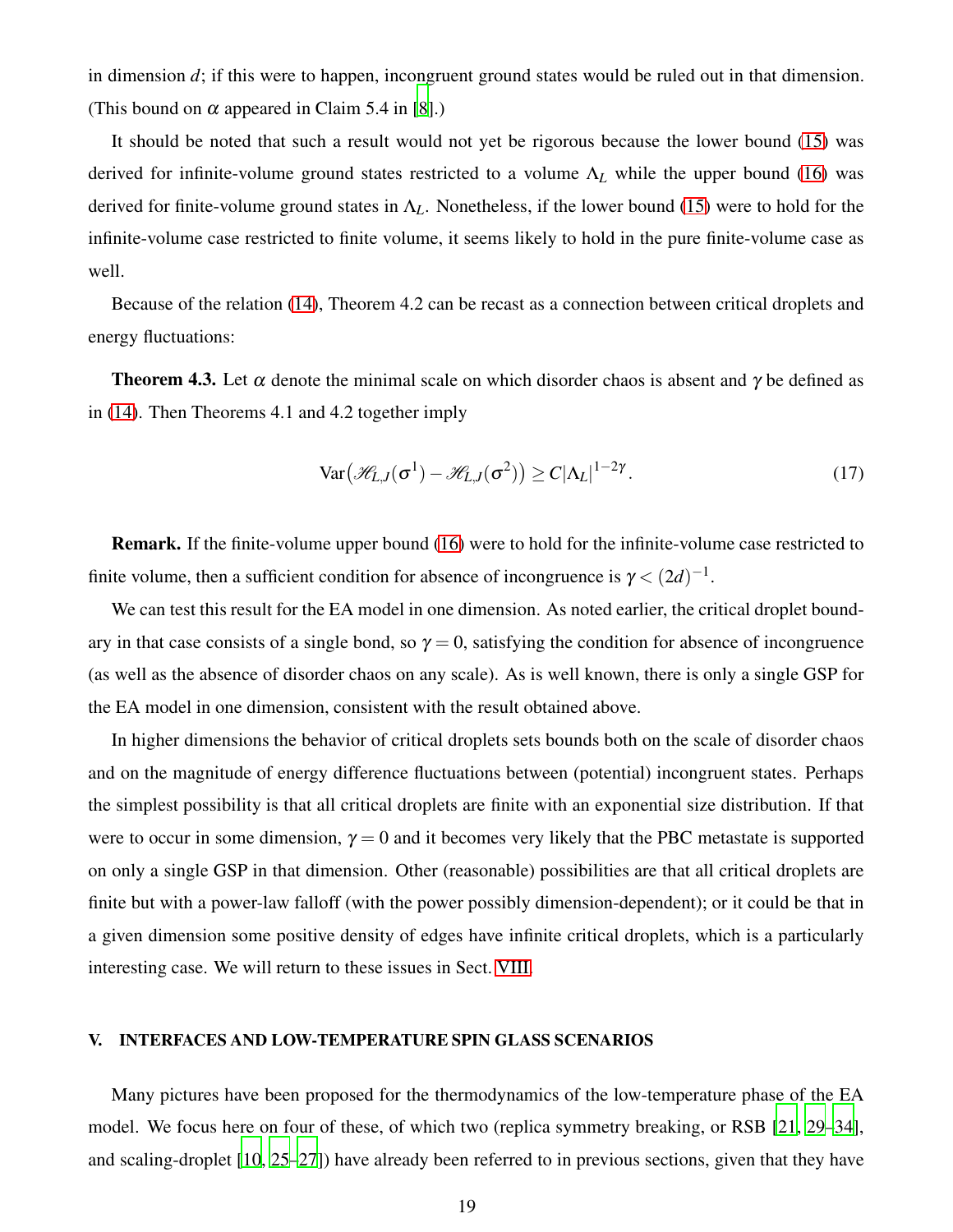in dimension *d*; if this were to happen, incongruent ground states would be ruled out in that dimension. (This bound on  $\alpha$  appeared in Claim 5.4 in [\[8](#page-42-3)].)

It should be noted that such a result would not yet be rigorous because the lower bound [\(15\)](#page-17-1) was derived for infinite-volume ground states restricted to a volume Λ*<sup>L</sup>* while the upper bound [\(16\)](#page-17-0) was derived for finite-volume ground states in  $\Lambda_L$ . Nonetheless, if the lower bound [\(15\)](#page-17-1) were to hold for the infinite-volume case restricted to finite volume, it seems likely to hold in the pure finite-volume case as well.

Because of the relation [\(14\)](#page-16-1), Theorem 4.2 can be recast as a connection between critical droplets and energy fluctuations:

**Theorem 4.3.** Let  $\alpha$  denote the minimal scale on which disorder chaos is absent and  $\gamma$  be defined as in [\(14\)](#page-16-1). Then Theorems 4.1 and 4.2 together imply

$$
\text{Var}\big(\mathcal{H}_{L,J}(\sigma^1) - \mathcal{H}_{L,J}(\sigma^2)\big) \ge C|\Lambda_L|^{1-2\gamma}.\tag{17}
$$

Remark. If the finite-volume upper bound [\(16\)](#page-17-0) were to hold for the infinite-volume case restricted to finite volume, then a sufficient condition for absence of incongruence is  $\gamma < (2d)^{-1}$ .

We can test this result for the EA model in one dimension. As noted earlier, the critical droplet boundary in that case consists of a single bond, so  $\gamma = 0$ , satisfying the condition for absence of incongruence (as well as the absence of disorder chaos on any scale). As is well known, there is only a single GSP for the EA model in one dimension, consistent with the result obtained above.

In higher dimensions the behavior of critical droplets sets bounds both on the scale of disorder chaos and on the magnitude of energy difference fluctuations between (potential) incongruent states. Perhaps the simplest possibility is that all critical droplets are finite with an exponential size distribution. If that were to occur in some dimension,  $\gamma = 0$  and it becomes very likely that the PBC metastate is supported on only a single GSP in that dimension. Other (reasonable) possibilities are that all critical droplets are finite but with a power-law falloff (with the power possibly dimension-dependent); or it could be that in a given dimension some positive density of edges have infinite critical droplets, which is a particularly interesting case. We will return to these issues in Sect. [VIII.](#page-28-0)

### <span id="page-18-0"></span>V. INTERFACES AND LOW-TEMPERATURE SPIN GLASS SCENARIOS

Many pictures have been proposed for the thermodynamics of the low-temperature phase of the EA model. We focus here on four of these, of which two (replica symmetry breaking, or RSB [\[21](#page-42-8), [29](#page-43-2)[–34](#page-43-3)], and scaling-droplet [\[10,](#page-42-14) [25](#page-42-15)[–27\]](#page-43-0)) have already been referred to in previous sections, given that they have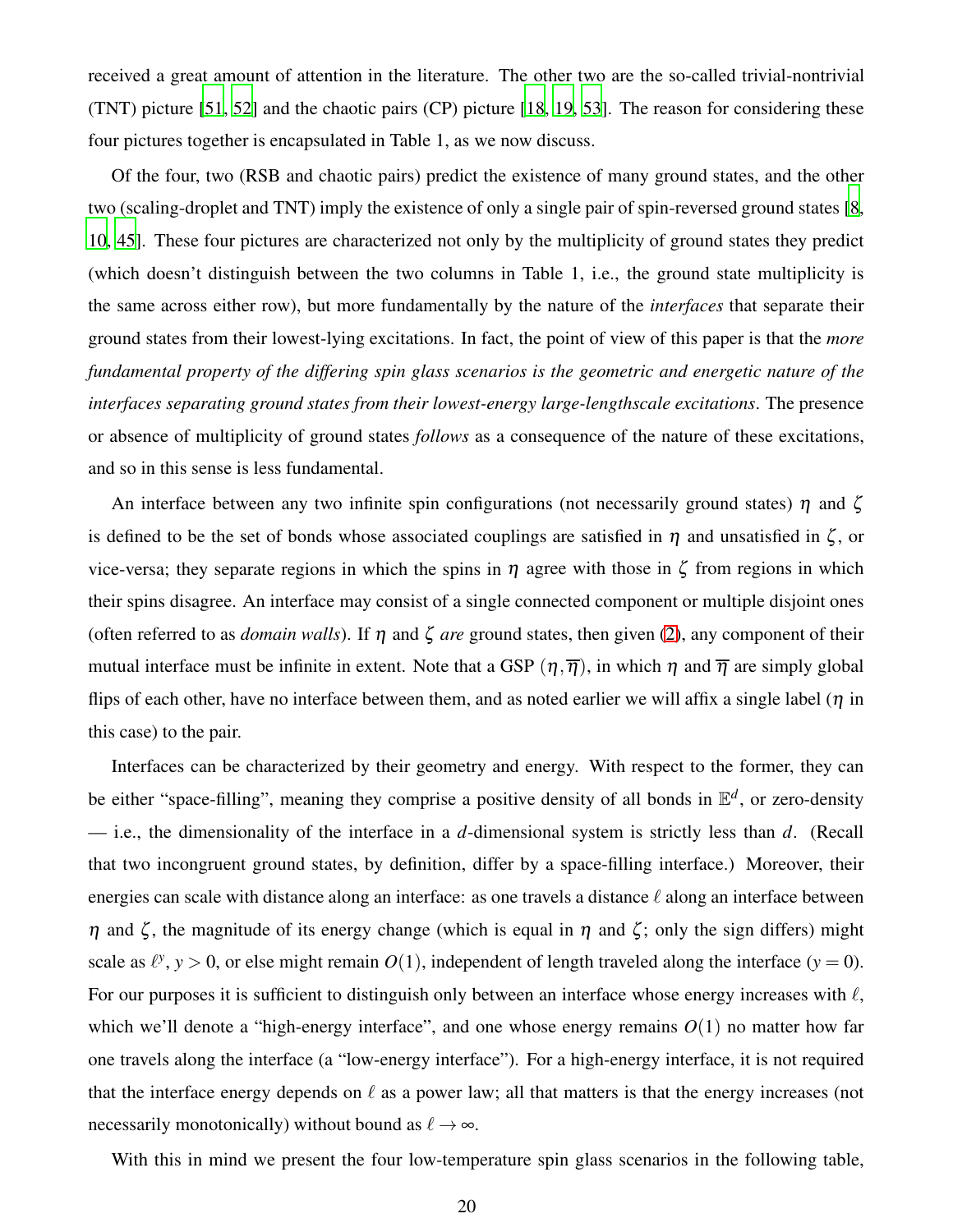received a great amount of attention in the literature. The other two are the so-called trivial-nontrivial (TNT) picture [\[51,](#page-43-19) [52\]](#page-43-20) and the chaotic pairs (CP) picture [\[18](#page-42-19), [19](#page-42-20), [53\]](#page-43-21). The reason for considering these four pictures together is encapsulated in Table 1, as we now discuss.

Of the four, two (RSB and chaotic pairs) predict the existence of many ground states, and the other two (scaling-droplet and TNT) imply the existence of only a single pair of spin-reversed ground states [\[8](#page-42-3), [10,](#page-42-14) [45](#page-43-14)]. These four pictures are characterized not only by the multiplicity of ground states they predict (which doesn't distinguish between the two columns in Table 1, i.e., the ground state multiplicity is the same across either row), but more fundamentally by the nature of the *interfaces* that separate their ground states from their lowest-lying excitations. In fact, the point of view of this paper is that the *more fundamental property of the differing spin glass scenarios is the geometric and energetic nature of the interfaces separating ground states from their lowest-energy large-lengthscale excitations*. The presence or absence of multiplicity of ground states *follows* as a consequence of the nature of these excitations, and so in this sense is less fundamental.

An interface between any two infinite spin configurations (not necessarily ground states)  $\eta$  and  $\zeta$ is defined to be the set of bonds whose associated couplings are satisfied in  $\eta$  and unsatisfied in  $\zeta$ , or vice-versa; they separate regions in which the spins in η agree with those in ζ from regions in which their spins disagree. An interface may consist of a single connected component or multiple disjoint ones (often referred to as *domain walls*). If  $\eta$  and  $\zeta$  *are* ground states, then given [\(2\)](#page-3-2), any component of their mutual interface must be infinite in extent. Note that a GSP  $(\eta, \overline{\eta})$ , in which  $\eta$  and  $\overline{\eta}$  are simply global flips of each other, have no interface between them, and as noted earlier we will affix a single label ( $\eta$  in this case) to the pair.

Interfaces can be characterized by their geometry and energy. With respect to the former, they can be either "space-filling", meaning they comprise a positive density of all bonds in E *d* , or zero-density — i.e., the dimensionality of the interface in a *d*-dimensional system is strictly less than *d*. (Recall that two incongruent ground states, by definition, differ by a space-filling interface.) Moreover, their energies can scale with distance along an interface: as one travels a distance  $\ell$  along an interface between  $η$  and ζ, the magnitude of its energy change (which is equal in  $η$  and ζ; only the sign differs) might scale as  $\ell^y$ ,  $y > 0$ , or else might remain  $O(1)$ , independent of length traveled along the interface  $(y = 0)$ . For our purposes it is sufficient to distinguish only between an interface whose energy increases with  $\ell$ , which we'll denote a "high-energy interface", and one whose energy remains  $O(1)$  no matter how far one travels along the interface (a "low-energy interface"). For a high-energy interface, it is not required that the interface energy depends on  $\ell$  as a power law; all that matters is that the energy increases (not necessarily monotonically) without bound as  $\ell \to \infty$ .

With this in mind we present the four low-temperature spin glass scenarios in the following table,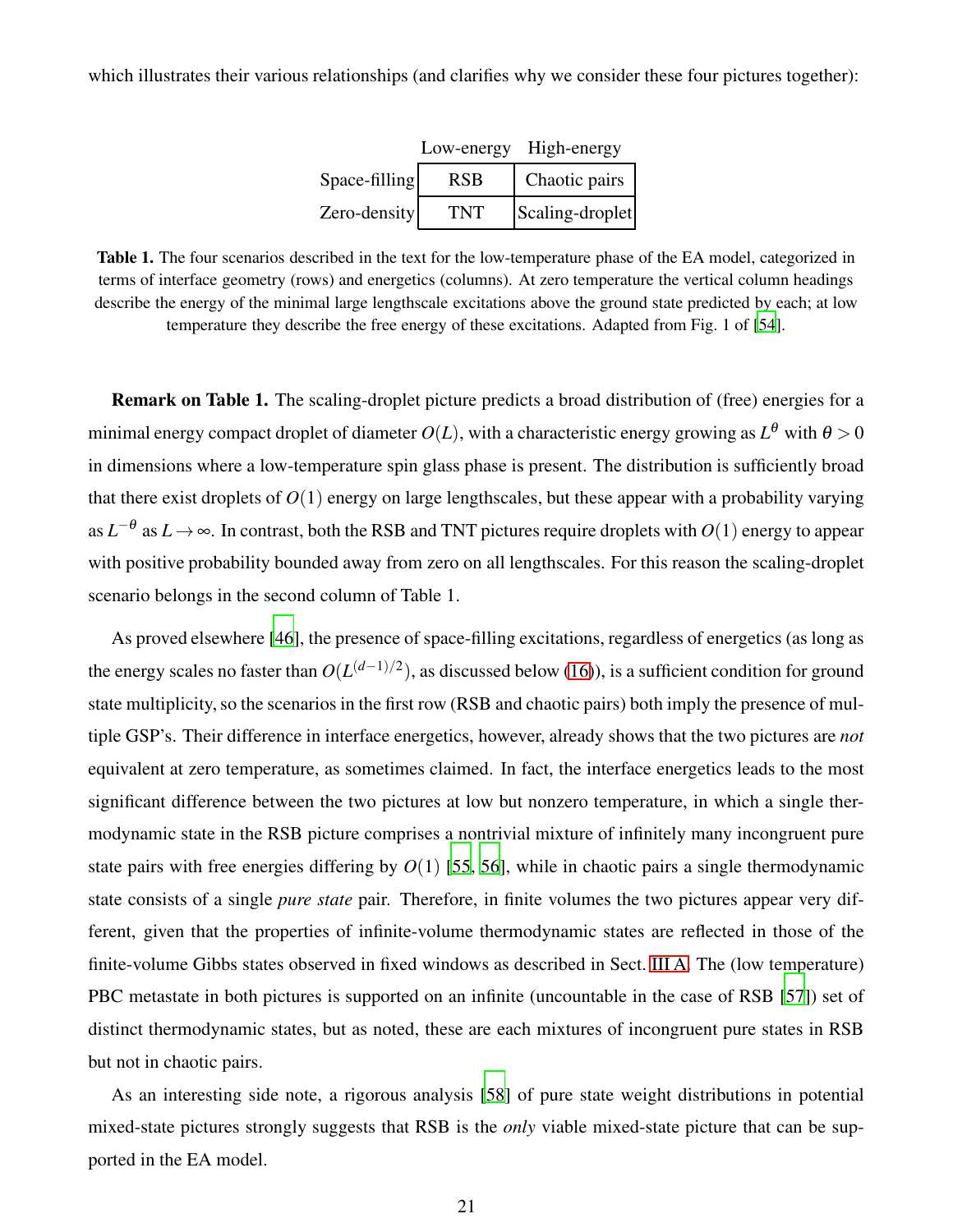which illustrates their various relationships (and clarifies why we consider these four pictures together):

|               |     | Low-energy High-energy |
|---------------|-----|------------------------|
| Space-filling | RSB | Chaotic pairs          |
| Zero-density  | TNT | Scaling-droplet        |

Table 1. The four scenarios described in the text for the low-temperature phase of the EA model, categorized in terms of interface geometry (rows) and energetics (columns). At zero temperature the vertical column headings describe the energy of the minimal large lengthscale excitations above the ground state predicted by each; at low temperature they describe the free energy of these excitations. Adapted from Fig. 1 of [\[54](#page-43-22)].

Remark on Table 1. The scaling-droplet picture predicts a broad distribution of (free) energies for a minimal energy compact droplet of diameter  $O(L)$ , with a characteristic energy growing as  $L^\theta$  with  $\theta > 0$ in dimensions where a low-temperature spin glass phase is present. The distribution is sufficiently broad that there exist droplets of *O*(1) energy on large lengthscales, but these appear with a probability varying as  $L^{-\theta}$  as  $L \to \infty$ . In contrast, both the RSB and TNT pictures require droplets with  $O(1)$  energy to appear with positive probability bounded away from zero on all lengthscales. For this reason the scaling-droplet scenario belongs in the second column of Table 1.

As proved elsewhere [\[46\]](#page-43-23), the presence of space-filling excitations, regardless of energetics (as long as the energy scales no faster than  $O(L^{(d-1)/2})$ , as discussed below [\(16\)](#page-17-0)), is a sufficient condition for ground state multiplicity, so the scenarios in the first row (RSB and chaotic pairs) both imply the presence of multiple GSP's. Their difference in interface energetics, however, already shows that the two pictures are *not* equivalent at zero temperature, as sometimes claimed. In fact, the interface energetics leads to the most significant difference between the two pictures at low but nonzero temperature, in which a single thermodynamic state in the RSB picture comprises a nontrivial mixture of infinitely many incongruent pure state pairs with free energies differing by  $O(1)$  [\[55,](#page-44-0) [56](#page-44-1)], while in chaotic pairs a single thermodynamic state consists of a single *pure state* pair. Therefore, in finite volumes the two pictures appear very different, given that the properties of infinite-volume thermodynamic states are reflected in those of the finite-volume Gibbs states observed in fixed windows as described in Sect. [III A.](#page-8-1) The (low temperature) PBC metastate in both pictures is supported on an infinite (uncountable in the case of RSB [\[57](#page-44-2)]) set of distinct thermodynamic states, but as noted, these are each mixtures of incongruent pure states in RSB but not in chaotic pairs.

As an interesting side note, a rigorous analysis [\[58](#page-44-3)] of pure state weight distributions in potential mixed-state pictures strongly suggests that RSB is the *only* viable mixed-state picture that can be supported in the EA model.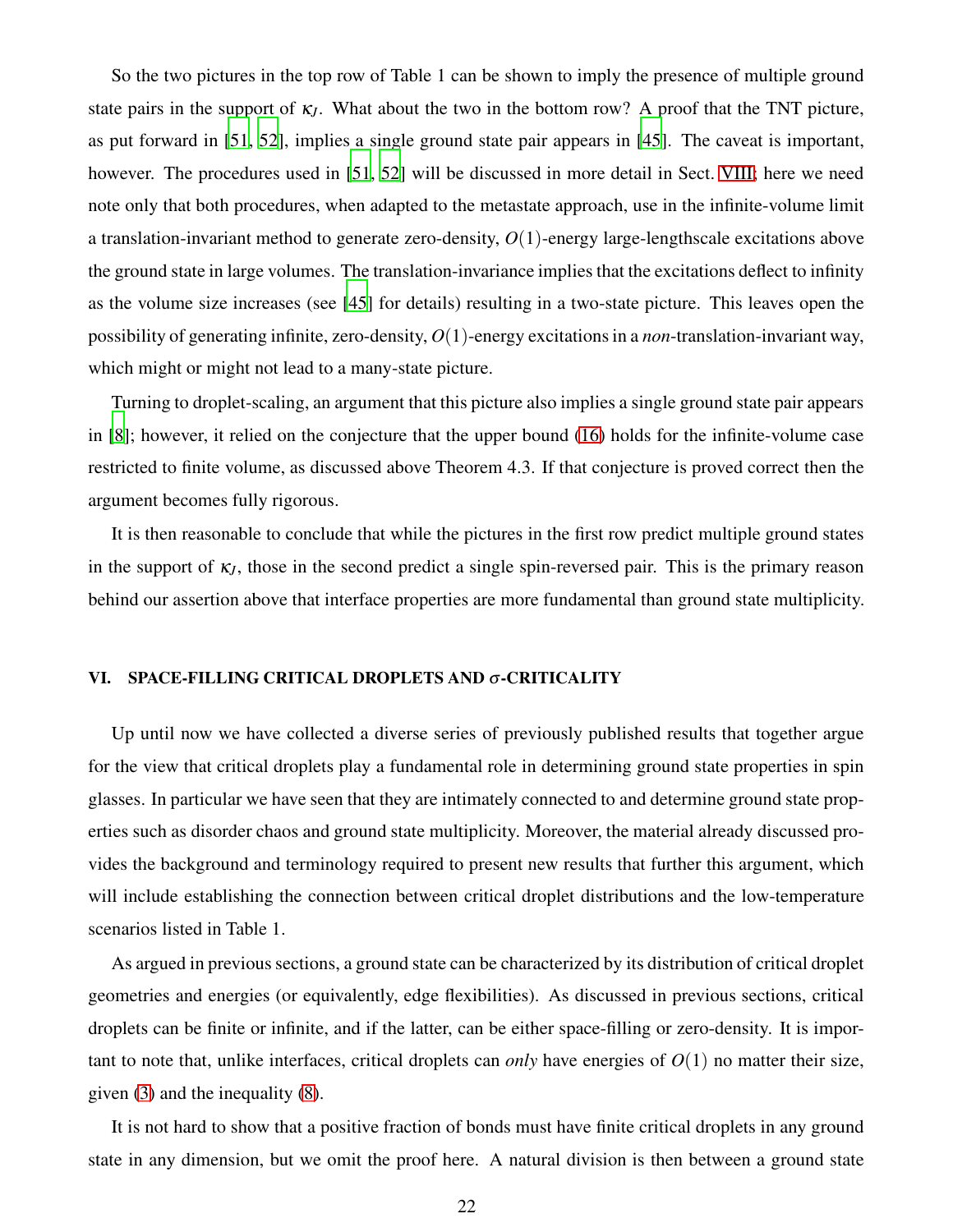So the two pictures in the top row of Table 1 can be shown to imply the presence of multiple ground state pairs in the support of  $\kappa$ <sub>*J*</sub>. What about the two in the bottom row? A proof that the TNT picture, as put forward in [\[51,](#page-43-19) [52\]](#page-43-20), implies a single ground state pair appears in [\[45\]](#page-43-14). The caveat is important, however. The procedures used in [\[51](#page-43-19), [52\]](#page-43-20) will be discussed in more detail in Sect. [VIII;](#page-28-0) here we need note only that both procedures, when adapted to the metastate approach, use in the infinite-volume limit a translation-invariant method to generate zero-density, *O*(1)-energy large-lengthscale excitations above the ground state in large volumes. The translation-invariance implies that the excitations deflect to infinity as the volume size increases (see [\[45\]](#page-43-14) for details) resulting in a two-state picture. This leaves open the possibility of generating infinite, zero-density, *O*(1)-energy excitations in a *non*-translation-invariant way, which might or might not lead to a many-state picture.

Turning to droplet-scaling, an argument that this picture also implies a single ground state pair appears in [\[8\]](#page-42-3); however, it relied on the conjecture that the upper bound [\(16\)](#page-17-0) holds for the infinite-volume case restricted to finite volume, as discussed above Theorem 4.3. If that conjecture is proved correct then the argument becomes fully rigorous.

It is then reasonable to conclude that while the pictures in the first row predict multiple ground states in the support of  $\kappa$ <sub>*J*</sub>, those in the second predict a single spin-reversed pair. This is the primary reason behind our assertion above that interface properties are more fundamental than ground state multiplicity.

# <span id="page-21-0"></span>VI. SPACE-FILLING CRITICAL DROPLETS AND <sup>σ</sup>-CRITICALITY

Up until now we have collected a diverse series of previously published results that together argue for the view that critical droplets play a fundamental role in determining ground state properties in spin glasses. In particular we have seen that they are intimately connected to and determine ground state properties such as disorder chaos and ground state multiplicity. Moreover, the material already discussed provides the background and terminology required to present new results that further this argument, which will include establishing the connection between critical droplet distributions and the low-temperature scenarios listed in Table 1.

As argued in previous sections, a ground state can be characterized by its distribution of critical droplet geometries and energies (or equivalently, edge flexibilities). As discussed in previous sections, critical droplets can be finite or infinite, and if the latter, can be either space-filling or zero-density. It is important to note that, unlike interfaces, critical droplets can *only* have energies of  $O(1)$  no matter their size, given [\(3\)](#page-5-0) and the inequality [\(8\)](#page-10-0).

It is not hard to show that a positive fraction of bonds must have finite critical droplets in any ground state in any dimension, but we omit the proof here. A natural division is then between a ground state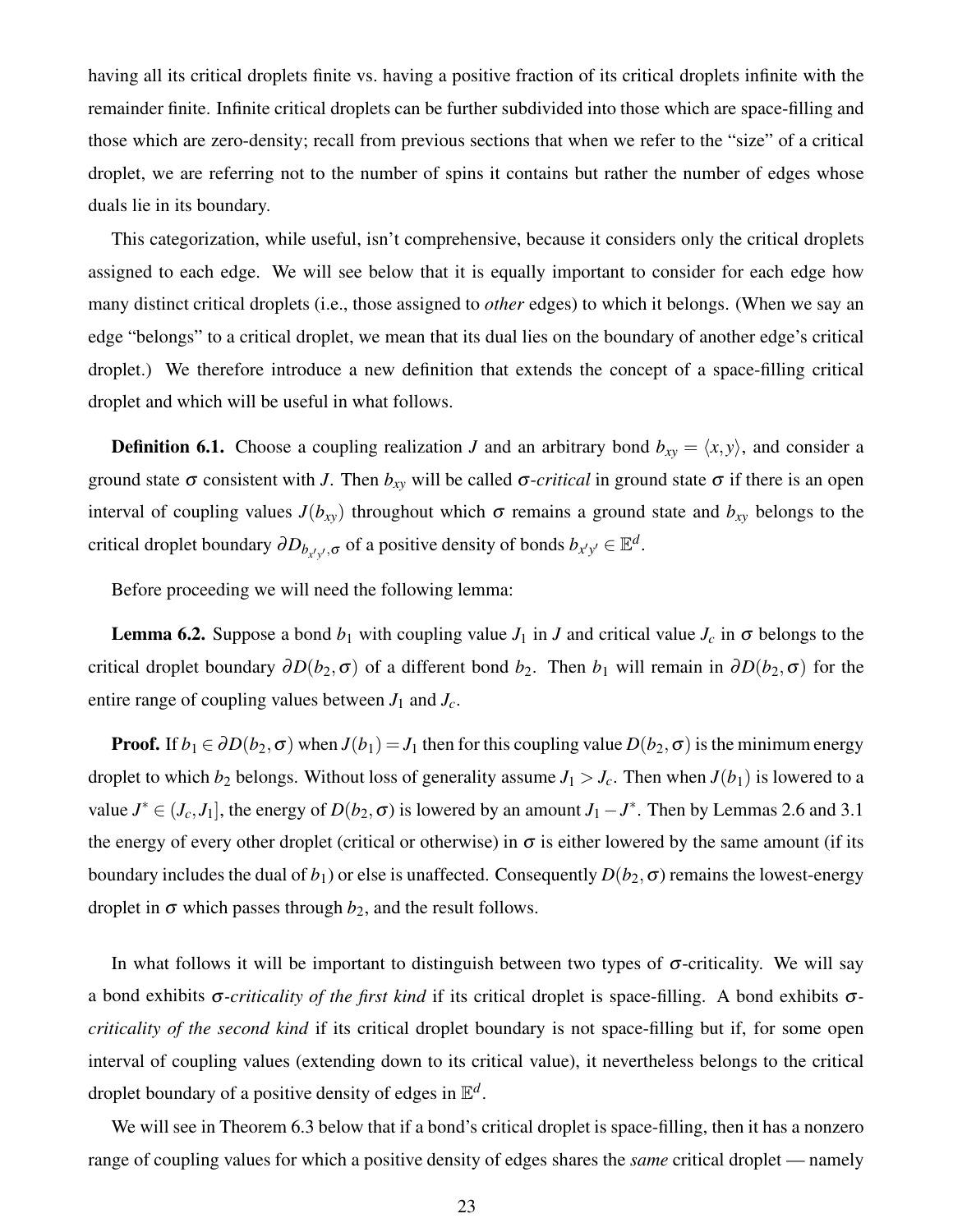having all its critical droplets finite vs. having a positive fraction of its critical droplets infinite with the remainder finite. Infinite critical droplets can be further subdivided into those which are space-filling and those which are zero-density; recall from previous sections that when we refer to the "size" of a critical droplet, we are referring not to the number of spins it contains but rather the number of edges whose duals lie in its boundary.

This categorization, while useful, isn't comprehensive, because it considers only the critical droplets assigned to each edge. We will see below that it is equally important to consider for each edge how many distinct critical droplets (i.e., those assigned to *other* edges) to which it belongs. (When we say an edge "belongs" to a critical droplet, we mean that its dual lies on the boundary of another edge's critical droplet.) We therefore introduce a new definition that extends the concept of a space-filling critical droplet and which will be useful in what follows.

**Definition 6.1.** Choose a coupling realization *J* and an arbitrary bond  $b_{xy} = \langle x, y \rangle$ , and consider a ground state  $\sigma$  consistent with *J*. Then  $b_{xy}$  will be called  $\sigma$ -*critical* in ground state  $\sigma$  if there is an open interval of coupling values  $J(b_{xy})$  throughout which  $\sigma$  remains a ground state and  $b_{xy}$  belongs to the critical droplet boundary  $\partial D_{b_{x'y'},\sigma}$  of a positive density of bonds  $b_{x'y'} \in \mathbb{E}^d$ .

Before proceeding we will need the following lemma:

**Lemma 6.2.** Suppose a bond  $b_1$  with coupling value  $J_1$  in  $J$  and critical value  $J_c$  in  $\sigma$  belongs to the critical droplet boundary  $\partial D(b_2, \sigma)$  of a different bond  $b_2$ . Then  $b_1$  will remain in  $\partial D(b_2, \sigma)$  for the entire range of coupling values between  $J_1$  and  $J_c$ .

**Proof.** If  $b_1 \in \partial D(b_2, \sigma)$  when  $J(b_1) = J_1$  then for this coupling value  $D(b_2, \sigma)$  is the minimum energy droplet to which  $b_2$  belongs. Without loss of generality assume  $J_1 > J_c$ . Then when  $J(b_1)$  is lowered to a value  $J^* \in (J_c, J_1]$ , the energy of  $D(b_2, \sigma)$  is lowered by an amount  $J_1 - J^*$ . Then by Lemmas 2.6 and 3.1 the energy of every other droplet (critical or otherwise) in  $\sigma$  is either lowered by the same amount (if its boundary includes the dual of  $b_1$ ) or else is unaffected. Consequently  $D(b_2, \sigma)$  remains the lowest-energy droplet in  $\sigma$  which passes through  $b_2$ , and the result follows.

In what follows it will be important to distinguish between two types of  $\sigma$ -criticality. We will say a bond exhibits <sup>σ</sup>*-criticality of the first kind* if its critical droplet is space-filling. A bond exhibits <sup>σ</sup>*criticality of the second kind* if its critical droplet boundary is not space-filling but if, for some open interval of coupling values (extending down to its critical value), it nevertheless belongs to the critical droplet boundary of a positive density of edges in E *d* .

We will see in Theorem 6.3 below that if a bond's critical droplet is space-filling, then it has a nonzero range of coupling values for which a positive density of edges shares the *same* critical droplet — namely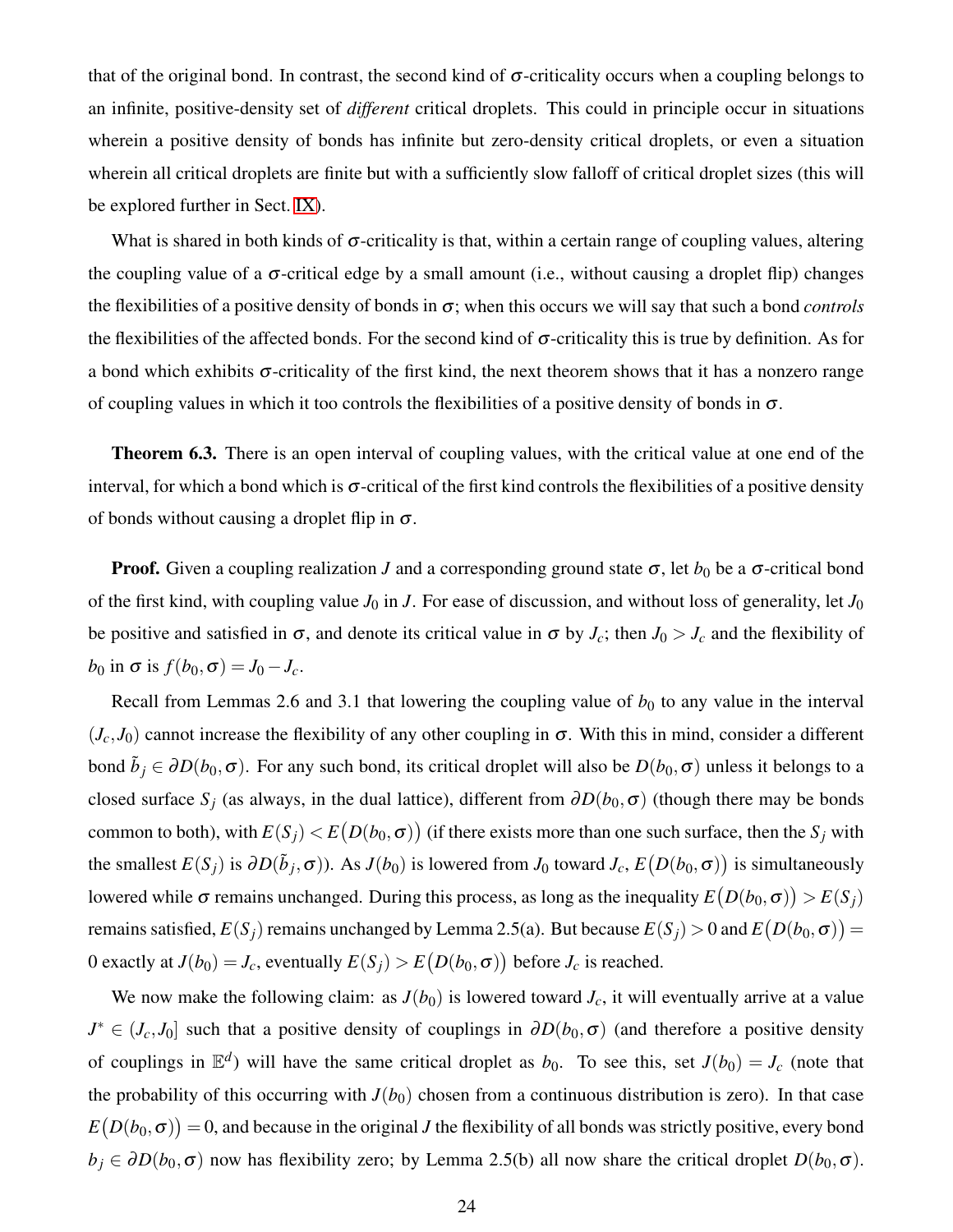that of the original bond. In contrast, the second kind of  $\sigma$ -criticality occurs when a coupling belongs to an infinite, positive-density set of *different* critical droplets. This could in principle occur in situations wherein a positive density of bonds has infinite but zero-density critical droplets, or even a situation wherein all critical droplets are finite but with a sufficiently slow falloff of critical droplet sizes (this will be explored further in Sect. [IX\)](#page-33-0).

What is shared in both kinds of  $\sigma$ -criticality is that, within a certain range of coupling values, altering the coupling value of a  $\sigma$ -critical edge by a small amount (i.e., without causing a droplet flip) changes the flexibilities of a positive density of bonds in <sup>σ</sup>; when this occurs we will say that such a bond *controls* the flexibilities of the affected bonds. For the second kind of  $\sigma$ -criticality this is true by definition. As for a bond which exhibits  $\sigma$ -criticality of the first kind, the next theorem shows that it has a nonzero range of coupling values in which it too controls the flexibilities of a positive density of bonds in  $\sigma$ .

Theorem 6.3. There is an open interval of coupling values, with the critical value at one end of the interval, for which a bond which is  $\sigma$ -critical of the first kind controls the flexibilities of a positive density of bonds without causing a droplet flip in  $\sigma$ .

**Proof.** Given a coupling realization *J* and a corresponding ground state  $\sigma$ , let  $b_0$  be a  $\sigma$ -critical bond of the first kind, with coupling value  $J_0$  in  $J$ . For ease of discussion, and without loss of generality, let  $J_0$ be positive and satisfied in  $\sigma$ , and denote its critical value in  $\sigma$  by  $J_c$ ; then  $J_0 > J_c$  and the flexibility of  $b_0$  in  $\sigma$  is  $f(b_0, \sigma) = J_0 - J_c$ .

Recall from Lemmas 2.6 and 3.1 that lowering the coupling value of  $b_0$  to any value in the interval  $(J_c, J_0)$  cannot increase the flexibility of any other coupling in  $\sigma$ . With this in mind, consider a different bond  $\tilde{b}_j \in \partial D(b_0, \sigma)$ . For any such bond, its critical droplet will also be  $D(b_0, \sigma)$  unless it belongs to a closed surface  $S_j$  (as always, in the dual lattice), different from  $\partial D(b_0, \sigma)$  (though there may be bonds common to both), with  $E(S_j) < E\big(D(b_0,\sigma)\big)$  (if there exists more than one such surface, then the  $S_j$  with the smallest  $E(S_j)$  is  $\partial D(\tilde{b}_j, \sigma)$ ). As  $J(b_0)$  is lowered from  $J_0$  toward  $J_c$ ,  $E(D(b_0, \sigma))$  is simultaneously lowered while  $\sigma$  remains unchanged. During this process, as long as the inequality  $E(D(b_0, \sigma)) > E(S_j)$ remains satisfied,  $E(S_j)$  remains unchanged by Lemma 2.5(a). But because  $E(S_j)>0$  and  $E\big(D(b_0,\sigma)\big)=0$ 0 exactly at  $J(b_0) = J_c$ , eventually  $E(S_j) > E(D(b_0, \sigma))$  before  $J_c$  is reached.

We now make the following claim: as  $J(b_0)$  is lowered toward  $J_c$ , it will eventually arrive at a value  $J^* \in (J_c, J_0]$  such that a positive density of couplings in  $\partial D(b_0, \sigma)$  (and therefore a positive density of couplings in  $\mathbb{E}^d$ ) will have the same critical droplet as  $b_0$ . To see this, set  $J(b_0) = J_c$  (note that the probability of this occurring with  $J(b_0)$  chosen from a continuous distribution is zero). In that case  $E\big(D(b_0,\sigma)\big)=0,$  and because in the original  $J$  the flexibility of all bonds was strictly positive, every bond  $b_j \in \partial D(b_0, \sigma)$  now has flexibility zero; by Lemma 2.5(b) all now share the critical droplet  $D(b_0, \sigma)$ .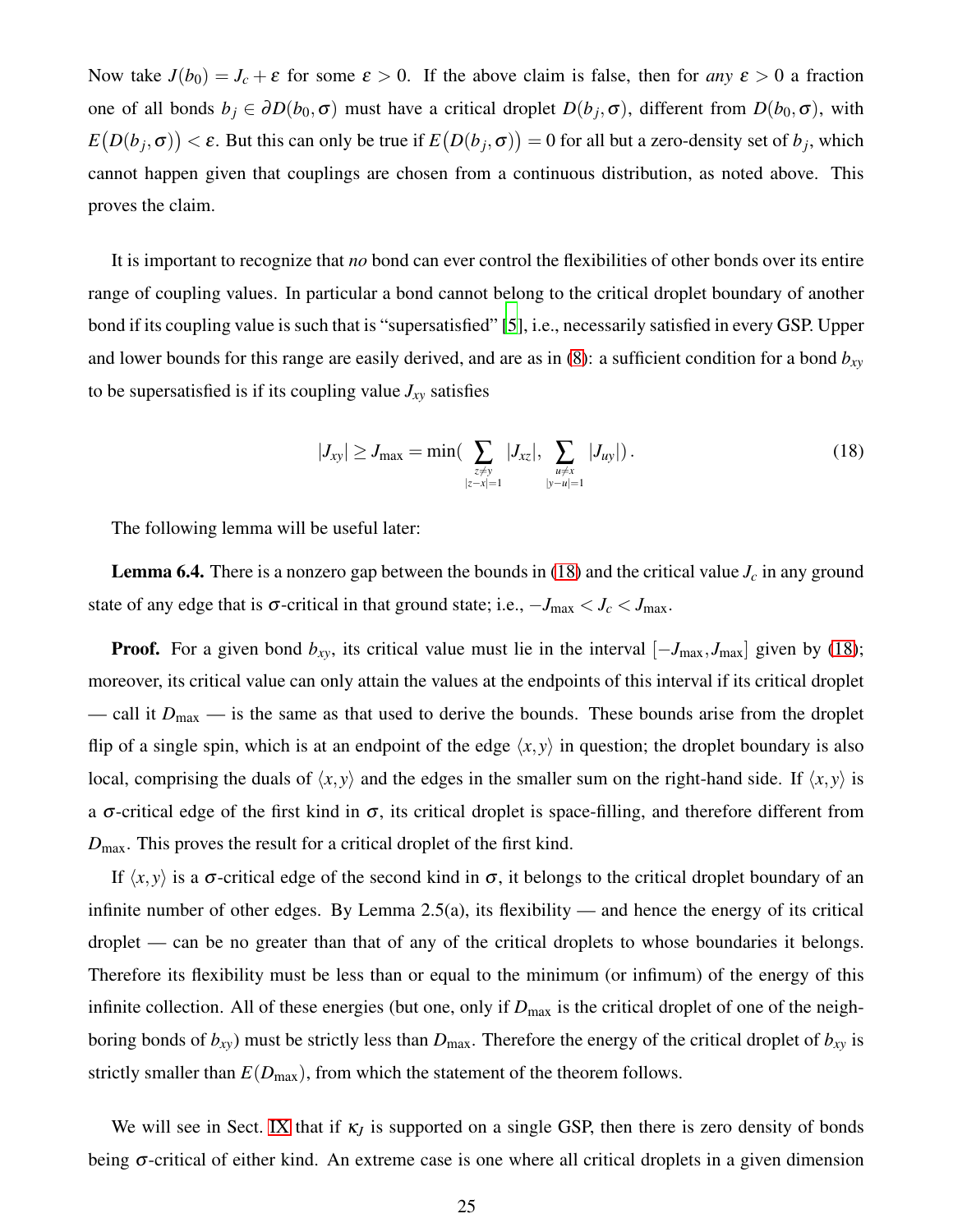Now take  $J(b_0) = J_c + \varepsilon$  for some  $\varepsilon > 0$ . If the above claim is false, then for *any*  $\varepsilon > 0$  a fraction one of all bonds  $b_j \in \partial D(b_0, \sigma)$  must have a critical droplet  $D(b_j, \sigma)$ , different from  $D(b_0, \sigma)$ , with  $E(D(b_j, \sigma)) < \varepsilon$ . But this can only be true if  $E(D(b_j, \sigma)) = 0$  for all but a zero-density set of  $b_j$ , which cannot happen given that couplings are chosen from a continuous distribution, as noted above. This proves the claim.

It is important to recognize that *no* bond can ever control the flexibilities of other bonds over its entire range of coupling values. In particular a bond cannot belong to the critical droplet boundary of another bond if its coupling value is such that is "supersatisfied" [\[5](#page-42-2)], i.e., necessarily satisfied in every GSP. Upper and lower bounds for this range are easily derived, and are as in [\(8\)](#page-10-0): a sufficient condition for a bond *bxy* to be supersatisfied is if its coupling value  $J_{xy}$  satisfies

<span id="page-24-0"></span>
$$
|J_{xy}| \ge J_{\max} = \min\left(\sum_{\substack{z \ne y \\ |z - x| = 1}} |J_{xz}|, \sum_{\substack{u \ne x \\ |y - u| = 1}} |J_{uy}|\right).
$$
 (18)

The following lemma will be useful later:

**Lemma 6.4.** There is a nonzero gap between the bounds in [\(18\)](#page-24-0) and the critical value  $J_c$  in any ground state of any edge that is  $\sigma$ -critical in that ground state; i.e.,  $-J_{\text{max}} < J_c < J_{\text{max}}$ .

**Proof.** For a given bond  $b_{xy}$ , its critical value must lie in the interval  $[-J_{\text{max}}, J_{\text{max}}]$  given by [\(18\)](#page-24-0); moreover, its critical value can only attain the values at the endpoints of this interval if its critical droplet — call it  $D_{\text{max}}$  — is the same as that used to derive the bounds. These bounds arise from the droplet flip of a single spin, which is at an endpoint of the edge  $\langle x, y \rangle$  in question; the droplet boundary is also local, comprising the duals of  $\langle x, y \rangle$  and the edges in the smaller sum on the right-hand side. If  $\langle x, y \rangle$  is a  $\sigma$ -critical edge of the first kind in  $\sigma$ , its critical droplet is space-filling, and therefore different from *D*max. This proves the result for a critical droplet of the first kind.

If  $\langle x, y \rangle$  is a  $\sigma$ -critical edge of the second kind in  $\sigma$ , it belongs to the critical droplet boundary of an infinite number of other edges. By Lemma 2.5(a), its flexibility — and hence the energy of its critical droplet — can be no greater than that of any of the critical droplets to whose boundaries it belongs. Therefore its flexibility must be less than or equal to the minimum (or infimum) of the energy of this infinite collection. All of these energies (but one, only if  $D_{\text{max}}$  is the critical droplet of one of the neighboring bonds of  $b_{xy}$ ) must be strictly less than  $D_{\text{max}}$ . Therefore the energy of the critical droplet of  $b_{xy}$  is strictly smaller than  $E(D_{\text{max}})$ , from which the statement of the theorem follows.

We will see in Sect. [IX](#page-33-0) that if  $\kappa$ <sub>*J*</sub> is supported on a single GSP, then there is zero density of bonds being <sup>σ</sup>-critical of either kind. An extreme case is one where all critical droplets in a given dimension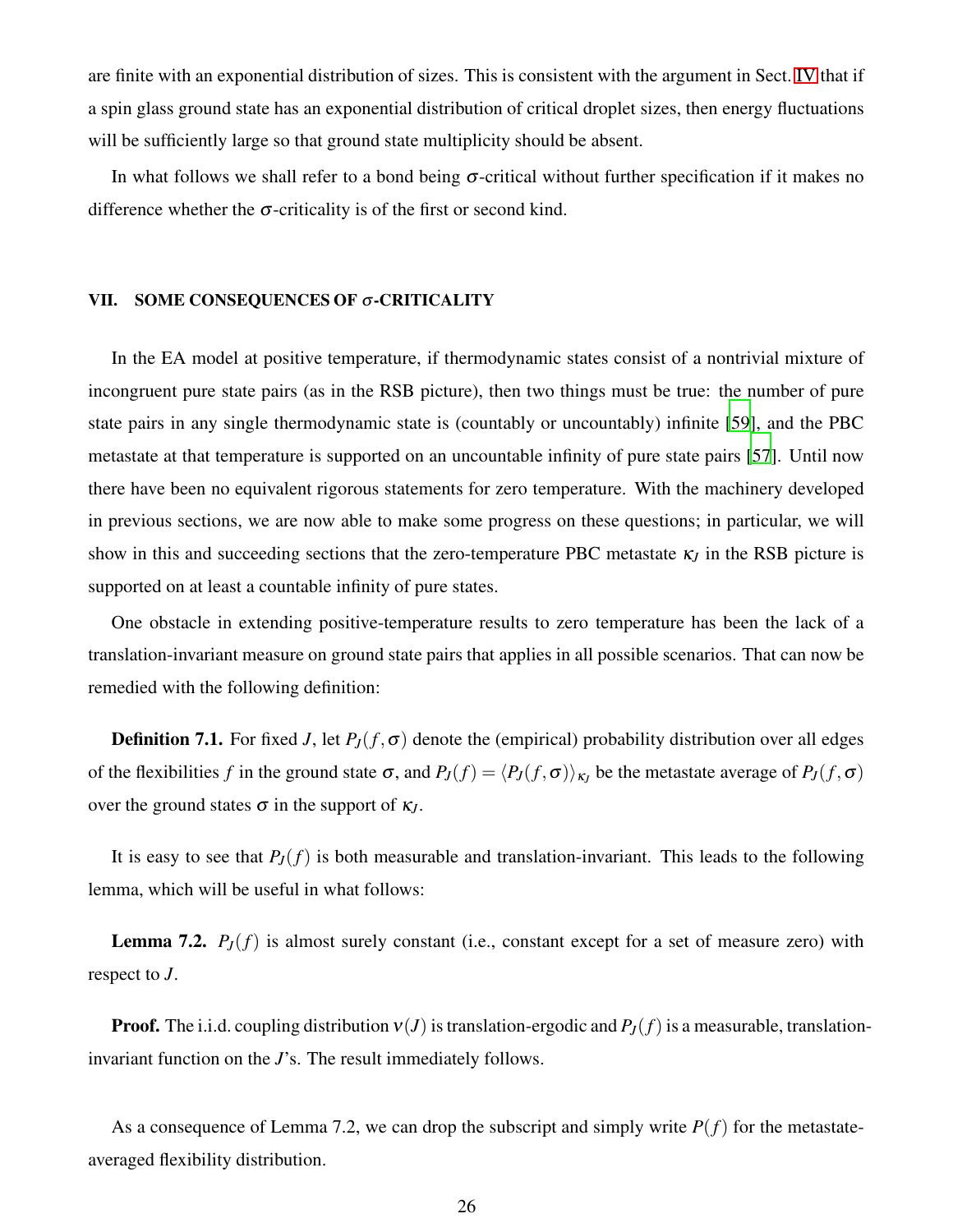are finite with an exponential distribution of sizes. This is consistent with the argument in Sect. [IV](#page-14-0) that if a spin glass ground state has an exponential distribution of critical droplet sizes, then energy fluctuations will be sufficiently large so that ground state multiplicity should be absent.

In what follows we shall refer to a bond being  $\sigma$ -critical without further specification if it makes no difference whether the  $\sigma$ -criticality is of the first or second kind.

# <span id="page-25-0"></span>VII. SOME CONSEQUENCES OF <sup>σ</sup>-CRITICALITY

In the EA model at positive temperature, if thermodynamic states consist of a nontrivial mixture of incongruent pure state pairs (as in the RSB picture), then two things must be true: the number of pure state pairs in any single thermodynamic state is (countably or uncountably) infinite [\[59](#page-44-4)], and the PBC metastate at that temperature is supported on an uncountable infinity of pure state pairs [\[57](#page-44-2)]. Until now there have been no equivalent rigorous statements for zero temperature. With the machinery developed in previous sections, we are now able to make some progress on these questions; in particular, we will show in this and succeeding sections that the zero-temperature PBC metastate  $\kappa_J$  in the RSB picture is supported on at least a countable infinity of pure states.

One obstacle in extending positive-temperature results to zero temperature has been the lack of a translation-invariant measure on ground state pairs that applies in all possible scenarios. That can now be remedied with the following definition:

**Definition 7.1.** For fixed *J*, let  $P_J(f, \sigma)$  denote the (empirical) probability distribution over all edges of the flexibilities *f* in the ground state  $\sigma$ , and  $P_J(f) = \langle P_J(f, \sigma) \rangle_{\kappa_J}$  be the metastate average of  $P_J(f, \sigma)$ over the ground states  $\sigma$  in the support of  $\kappa$ <sup>*I*</sup>.

It is easy to see that  $P_J(f)$  is both measurable and translation-invariant. This leads to the following lemma, which will be useful in what follows:

**Lemma 7.2.**  $P_J(f)$  is almost surely constant (i.e., constant except for a set of measure zero) with respect to *J*.

**Proof.** The i.i.d. coupling distribution  $v(J)$  is translation-ergodic and  $P_J(f)$  is a measurable, translationinvariant function on the *J*'s. The result immediately follows.

As a consequence of Lemma 7.2, we can drop the subscript and simply write  $P(f)$  for the metastateaveraged flexibility distribution.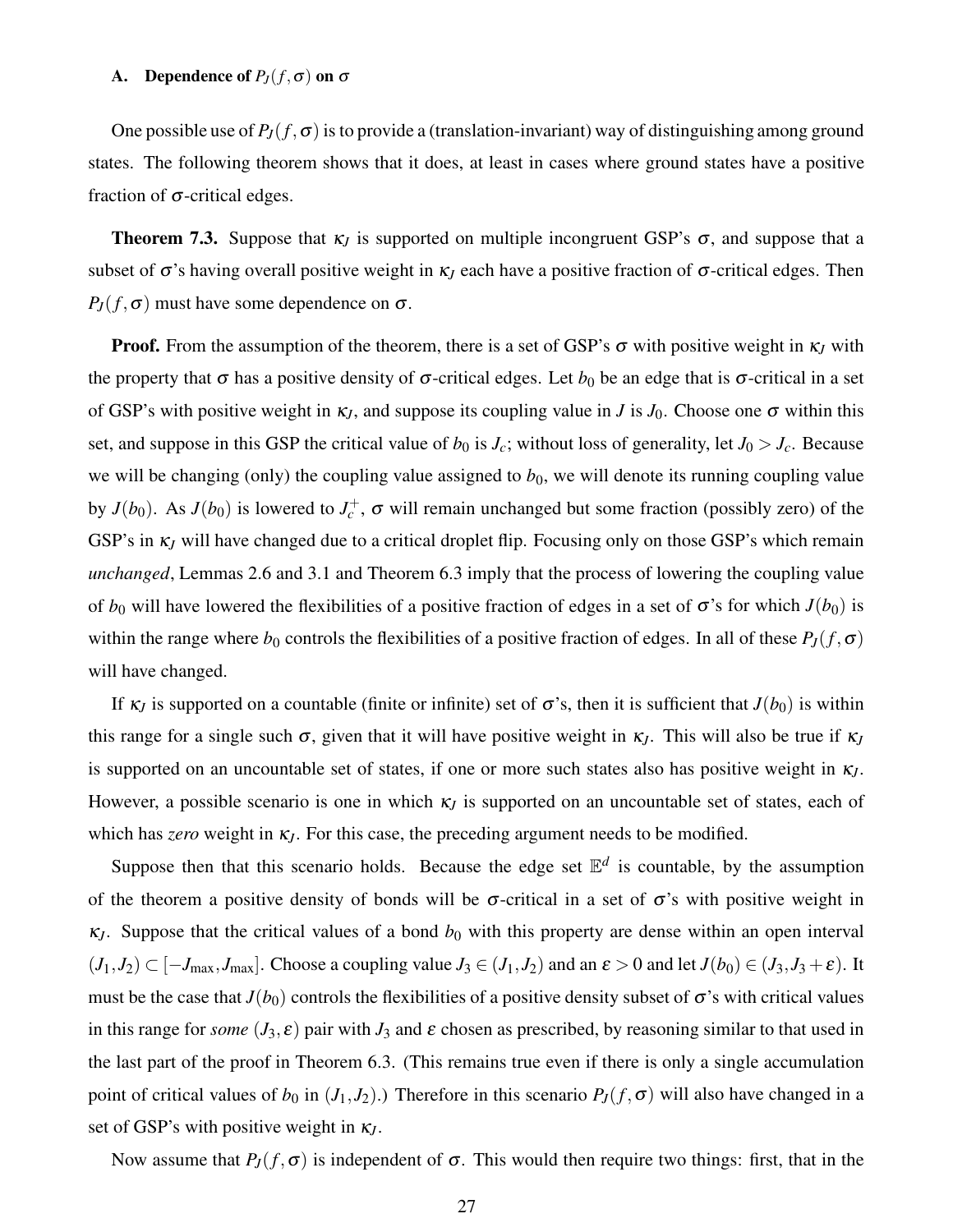# A. Dependence of  $P_J(f, \sigma)$  on  $\sigma$

One possible use of  $P_J(f, \sigma)$  is to provide a (translation-invariant) way of distinguishing among ground states. The following theorem shows that it does, at least in cases where ground states have a positive fraction of  $\sigma$ -critical edges.

**Theorem 7.3.** Suppose that  $\kappa_j$  is supported on multiple incongruent GSP's  $\sigma$ , and suppose that a subset of  $\sigma$ 's having overall positive weight in  $\kappa$ <sub>*J*</sub> each have a positive fraction of  $\sigma$ -critical edges. Then  $P_J(f, \sigma)$  must have some dependence on  $\sigma$ .

**Proof.** From the assumption of the theorem, there is a set of GSP's  $\sigma$  with positive weight in  $\kappa$ <sub>*J*</sub> with the property that  $\sigma$  has a positive density of  $\sigma$ -critical edges. Let  $b_0$  be an edge that is  $\sigma$ -critical in a set of GSP's with positive weight in  $\kappa_J$ , and suppose its coupling value in *J* is  $J_0$ . Choose one  $\sigma$  within this set, and suppose in this GSP the critical value of  $b_0$  is  $J_c$ ; without loss of generality, let  $J_0 > J_c$ . Because we will be changing (only) the coupling value assigned to  $b<sub>0</sub>$ , we will denote its running coupling value by  $J(b_0)$ . As  $J(b_0)$  is lowered to  $J_c^+$ ,  $\sigma$  will remain unchanged but some fraction (possibly zero) of the GSP's in <sup>κ</sup>*<sup>J</sup>* will have changed due to a critical droplet flip. Focusing only on those GSP's which remain *unchanged*, Lemmas 2.6 and 3.1 and Theorem 6.3 imply that the process of lowering the coupling value of  $b_0$  will have lowered the flexibilities of a positive fraction of edges in a set of  $\sigma$ 's for which  $J(b_0)$  is within the range where  $b_0$  controls the flexibilities of a positive fraction of edges. In all of these  $P_J(f, \sigma)$ will have changed.

If  $\kappa$ *J* is supported on a countable (finite or infinite) set of  $\sigma$ 's, then it is sufficient that  $J(b_0)$  is within this range for a single such  $\sigma$ , given that it will have positive weight in  $\kappa$ <sub>*J*</sub>. This will also be true if  $\kappa$ <sub>*J*</sub> is supported on an uncountable set of states, if one or more such states also has positive weight in <sup>κ</sup>*J*. However, a possible scenario is one in which  $\kappa_J$  is supported on an uncountable set of states, each of which has *zero* weight in <sup>κ</sup>*J*. For this case, the preceding argument needs to be modified.

Suppose then that this scenario holds. Because the edge set  $\mathbb{E}^d$  is countable, by the assumption of the theorem a positive density of bonds will be  $\sigma$ -critical in a set of  $\sigma$ 's with positive weight in  $\kappa$ *J*. Suppose that the critical values of a bond  $b<sub>0</sub>$  with this property are dense within an open interval  $(J_1, J_2) \subset [-J_{\text{max}}, J_{\text{max}}]$ . Choose a coupling value  $J_3 \in (J_1, J_2)$  and an  $\varepsilon > 0$  and let  $J(b_0) \in (J_3, J_3 + \varepsilon)$ . It must be the case that  $J(b_0)$  controls the flexibilities of a positive density subset of  $\sigma$ 's with critical values in this range for *some*  $(J_3, \varepsilon)$  pair with  $J_3$  and  $\varepsilon$  chosen as prescribed, by reasoning similar to that used in the last part of the proof in Theorem 6.3. (This remains true even if there is only a single accumulation point of critical values of  $b_0$  in  $(J_1, J_2)$ .) Therefore in this scenario  $P_J(f, \sigma)$  will also have changed in a set of GSP's with positive weight in <sup>κ</sup>*J*.

Now assume that  $P_J(f, \sigma)$  is independent of  $\sigma$ . This would then require two things: first, that in the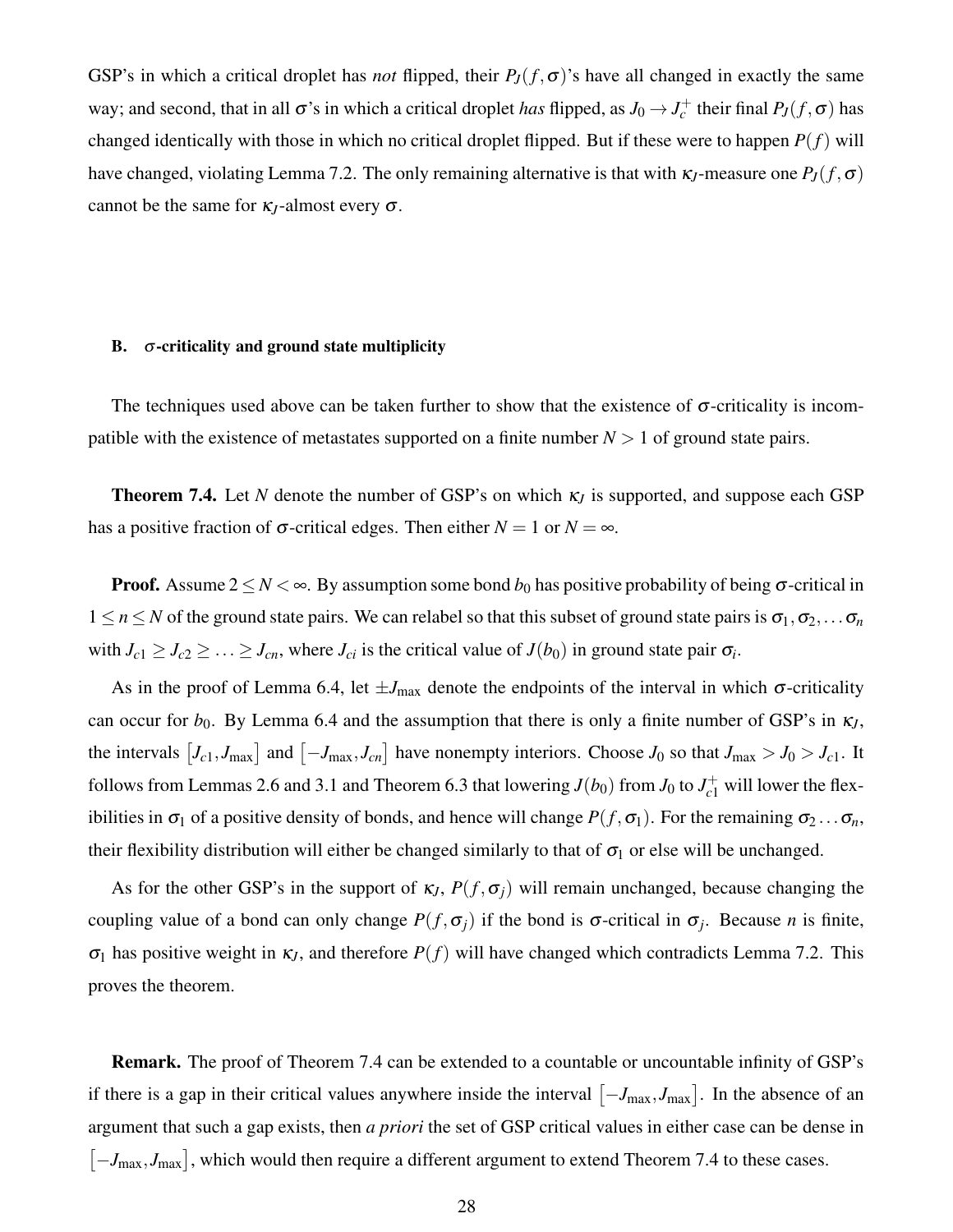GSP's in which a critical droplet has *not* flipped, their  $P_J(f, \sigma)$ 's have all changed in exactly the same way; and second, that in all  $\sigma$ 's in which a critical droplet *has* flipped, as  $J_0 \to J_c^+$  their final  $P_J(f, \sigma)$  has changed identically with those in which no critical droplet flipped. But if these were to happen  $P(f)$  will have changed, violating Lemma 7.2. The only remaining alternative is that with  $\kappa$ *J*-measure one  $P_J(f, \sigma)$ cannot be the same for  $\kappa_J$ -almost every  $\sigma$ .

### B.  $\sigma$ -criticality and ground state multiplicity

The techniques used above can be taken further to show that the existence of  $\sigma$ -criticality is incompatible with the existence of metastates supported on a finite number  $N > 1$  of ground state pairs.

**Theorem 7.4.** Let N denote the number of GSP's on which  $\kappa_j$  is supported, and suppose each GSP has a positive fraction of  $\sigma$ -critical edges. Then either  $N = 1$  or  $N = \infty$ .

**Proof.** Assume  $2 \le N < \infty$ . By assumption some bond  $b_0$  has positive probability of being  $\sigma$ -critical in  $1 \le n \le N$  of the ground state pairs. We can relabel so that this subset of ground state pairs is  $\sigma_1, \sigma_2, \ldots, \sigma_n$ with  $J_{c1} \geq J_{c2} \geq \ldots \geq J_{cn}$ , where  $J_{ci}$  is the critical value of  $J(b_0)$  in ground state pair  $\sigma_i$ .

As in the proof of Lemma 6.4, let  $\pm J_{\text{max}}$  denote the endpoints of the interval in which  $\sigma$ -criticality can occur for  $b_0$ . By Lemma 6.4 and the assumption that there is only a finite number of GSP's in  $\kappa_J$ , the intervals  $[J_c_1, J_{max}]$  and  $[-J_{max}, J_{cn}]$  have nonempty interiors. Choose  $J_0$  so that  $J_{max} > J_0 > J_{c1}$ . It follows from Lemmas 2.6 and 3.1 and Theorem 6.3 that lowering  $J(b_0)$  from  $J_0$  to  $J_c^+$  will lower the flexibilities in  $\sigma_1$  of a positive density of bonds, and hence will change  $P(f, \sigma_1)$ . For the remaining  $\sigma_2 \dots \sigma_n$ , their flexibility distribution will either be changed similarly to that of  $\sigma_1$  or else will be unchanged.

As for the other GSP's in the support of  $\kappa_J$ ,  $P(f, \sigma_i)$  will remain unchanged, because changing the coupling value of a bond can only change  $P(f, \sigma_j)$  if the bond is  $\sigma$ -critical in  $\sigma_j$ . Because *n* is finite, <sup>σ</sup><sup>1</sup> has positive weight in <sup>κ</sup>*J*, and therefore *P*(*f*) will have changed which contradicts Lemma 7.2. This proves the theorem.

Remark. The proof of Theorem 7.4 can be extended to a countable or uncountable infinity of GSP's if there is a gap in their critical values anywhere inside the interval  $[-J_{\text{max}}, J_{\text{max}}]$ . In the absence of an argument that such a gap exists, then *a priori* the set of GSP critical values in either case can be dense in  $[-J_{\text{max}}, J_{\text{max}}]$ , which would then require a different argument to extend Theorem 7.4 to these cases.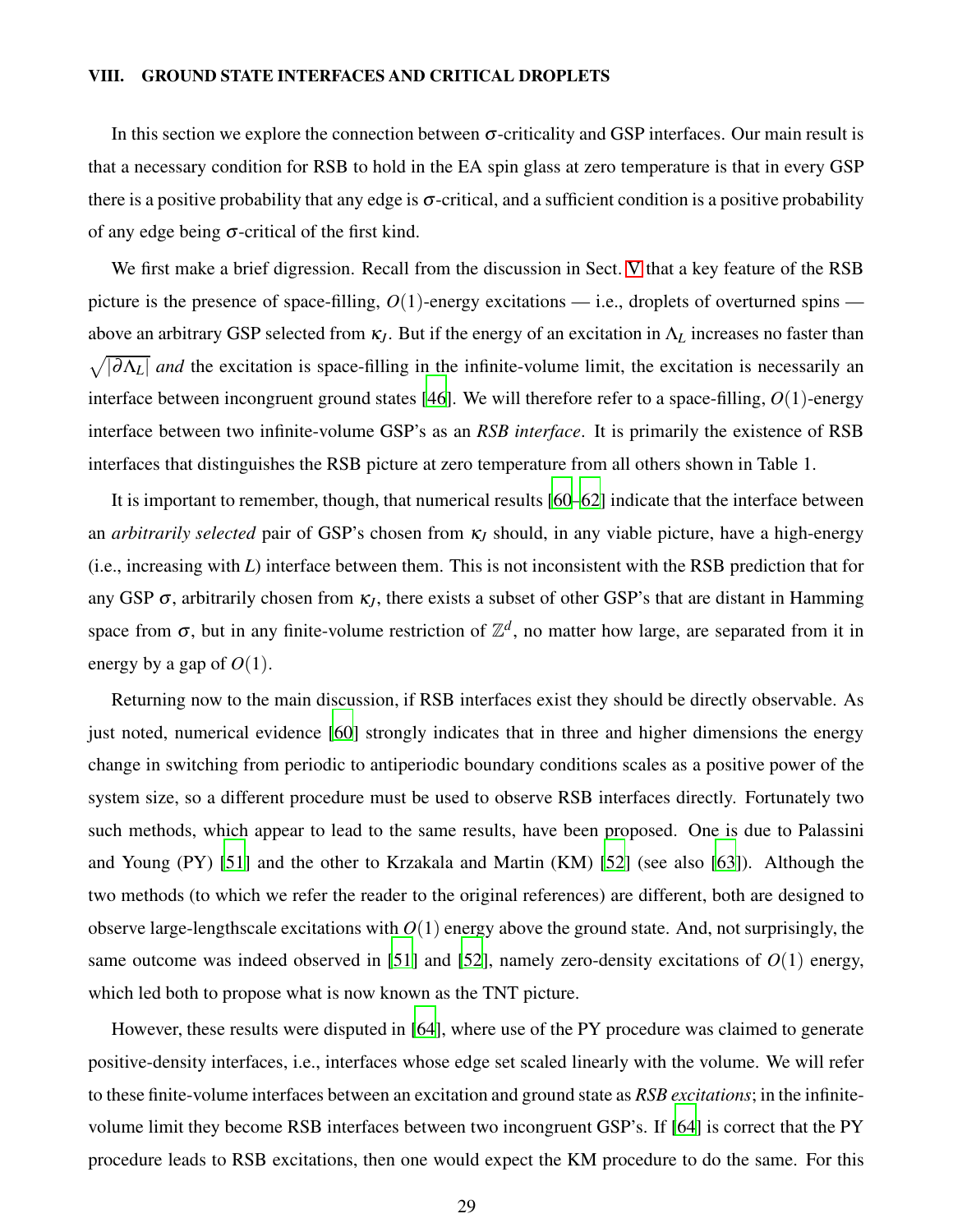# <span id="page-28-0"></span>VIII. GROUND STATE INTERFACES AND CRITICAL DROPLETS

In this section we explore the connection between  $\sigma$ -criticality and GSP interfaces. Our main result is that a necessary condition for RSB to hold in the EA spin glass at zero temperature is that in every GSP there is a positive probability that any edge is  $\sigma$ -critical, and a sufficient condition is a positive probability of any edge being  $\sigma$ -critical of the first kind.

We first make a brief digression. Recall from the discussion in Sect. [V](#page-18-0) that a key feature of the RSB picture is the presence of space-filling,  $O(1)$ -energy excitations — i.e., droplets of overturned spins above an arbitrary GSP selected from <sup>κ</sup>*J*. But if the energy of an excitation in Λ*<sup>L</sup>* increases no faster than  $\sqrt{|\partial \Lambda_L|}$  *and* the excitation is space-filling in the infinite-volume limit, the excitation is necessarily an interface between incongruent ground states [\[46\]](#page-43-23). We will therefore refer to a space-filling, *O*(1)-energy interface between two infinite-volume GSP's as an *RSB interface*. It is primarily the existence of RSB interfaces that distinguishes the RSB picture at zero temperature from all others shown in Table 1.

It is important to remember, though, that numerical results [\[60](#page-44-5)[–62\]](#page-44-6) indicate that the interface between an *arbitrarily selected* pair of GSP's chosen from <sup>κ</sup>*<sup>J</sup>* should, in any viable picture, have a high-energy (i.e., increasing with *L*) interface between them. This is not inconsistent with the RSB prediction that for any GSP  $\sigma$ , arbitrarily chosen from  $\kappa$ <sub>*I*</sub>, there exists a subset of other GSP's that are distant in Hamming space from  $\sigma$ , but in any finite-volume restriction of  $\mathbb{Z}^d$ , no matter how large, are separated from it in energy by a gap of  $O(1)$ .

Returning now to the main discussion, if RSB interfaces exist they should be directly observable. As just noted, numerical evidence [\[60\]](#page-44-5) strongly indicates that in three and higher dimensions the energy change in switching from periodic to antiperiodic boundary conditions scales as a positive power of the system size, so a different procedure must be used to observe RSB interfaces directly. Fortunately two such methods, which appear to lead to the same results, have been proposed. One is due to Palassini and Young (PY) [\[51](#page-43-19)] and the other to Krzakala and Martin (KM) [\[52\]](#page-43-20) (see also [\[63\]](#page-44-7)). Although the two methods (to which we refer the reader to the original references) are different, both are designed to observe large-lengthscale excitations with  $O(1)$  energy above the ground state. And, not surprisingly, the same outcome was indeed observed in [\[51\]](#page-43-19) and [\[52\]](#page-43-20), namely zero-density excitations of  $O(1)$  energy, which led both to propose what is now known as the TNT picture.

However, these results were disputed in [\[64\]](#page-44-8), where use of the PY procedure was claimed to generate positive-density interfaces, i.e., interfaces whose edge set scaled linearly with the volume. We will refer to these finite-volume interfaces between an excitation and ground state as *RSB excitations*; in the infinitevolume limit they become RSB interfaces between two incongruent GSP's. If [\[64](#page-44-8)] is correct that the PY procedure leads to RSB excitations, then one would expect the KM procedure to do the same. For this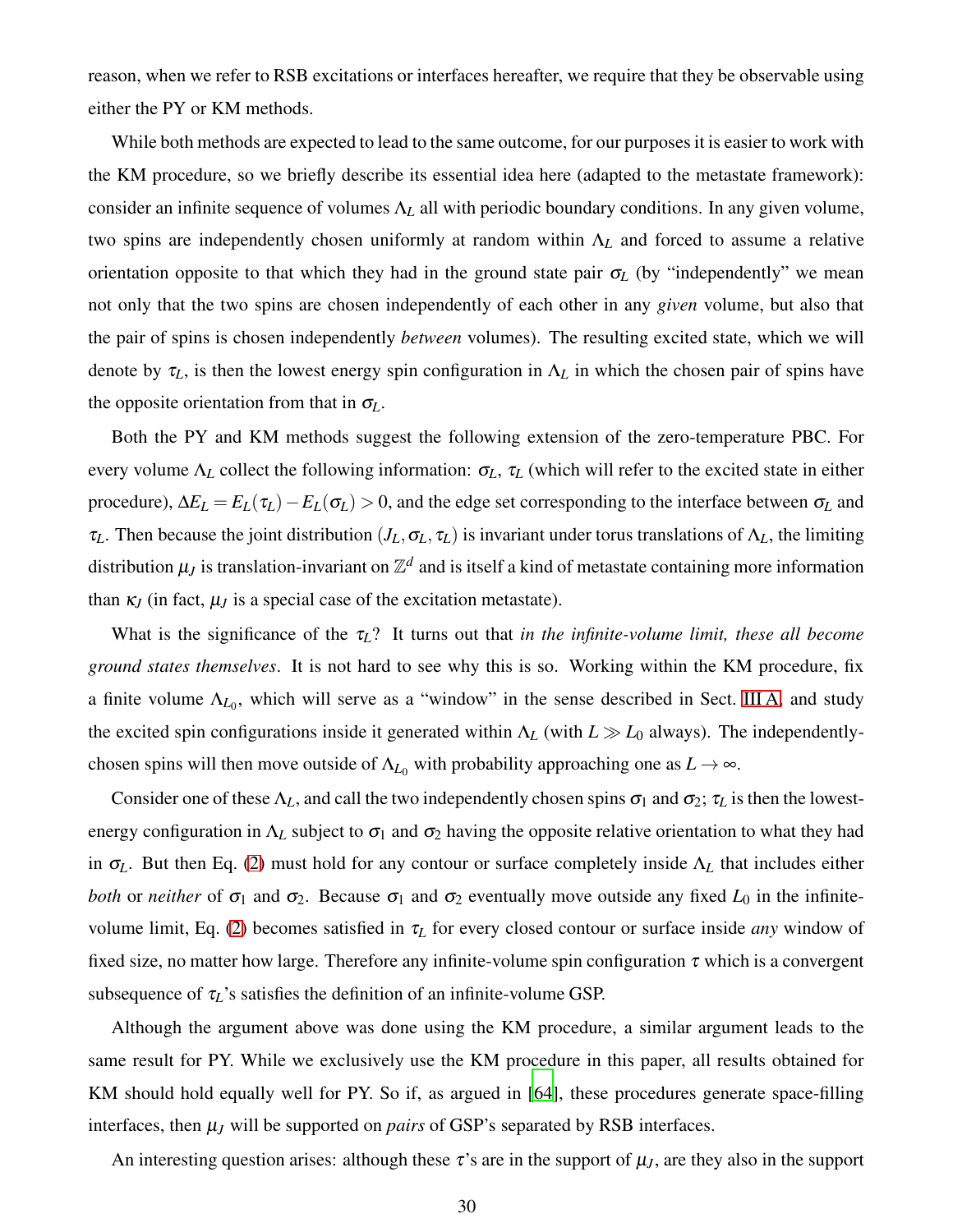reason, when we refer to RSB excitations or interfaces hereafter, we require that they be observable using either the PY or KM methods.

While both methods are expected to lead to the same outcome, for our purposes it is easier to work with the KM procedure, so we briefly describe its essential idea here (adapted to the metastate framework): consider an infinite sequence of volumes  $\Lambda_L$  all with periodic boundary conditions. In any given volume, two spins are independently chosen uniformly at random within Λ*<sup>L</sup>* and forced to assume a relative orientation opposite to that which they had in the ground state pair  $\sigma$ <sub>L</sub> (by "independently" we mean not only that the two spins are chosen independently of each other in any *given* volume, but also that the pair of spins is chosen independently *between* volumes). The resulting excited state, which we will denote by  $\tau_L$ , is then the lowest energy spin configuration in  $\Lambda_L$  in which the chosen pair of spins have the opposite orientation from that in  $\sigma$ <sub>L</sub>.

Both the PY and KM methods suggest the following extension of the zero-temperature PBC. For every volume  $\Lambda_L$  collect the following information:  $\sigma_L$ ,  $\tau_L$  (which will refer to the excited state in either procedure),  $\Delta E_L = E_L(\tau_L) - E_L(\sigma_L) > 0$ , and the edge set corresponding to the interface between  $\sigma_L$  and <sup>τ</sup>*L*. Then because the joint distribution (*JL*,<sup>σ</sup>*L*, <sup>τ</sup>*L*) is invariant under torus translations of Λ*L*, the limiting distribution  $\mu_J$  is translation-invariant on  $\mathbb{Z}^d$  and is itself a kind of metastate containing more information than  $\kappa$ *I* (in fact,  $\mu$ *J* is a special case of the excitation metastate).

What is the significance of the  $\tau_L$ ? It turns out that *in the infinite-volume limit, these all become ground states themselves*. It is not hard to see why this is so. Working within the KM procedure, fix a finite volume  $\Lambda_{L_0}$ , which will serve as a "window" in the sense described in Sect. [III A,](#page-8-1) and study the excited spin configurations inside it generated within Λ*<sup>L</sup>* (with *L* ≫ *L*<sup>0</sup> always). The independentlychosen spins will then move outside of  $\Lambda_{L_0}$  with probability approaching one as  $L \to \infty$ .

Consider one of these  $\Lambda_L$ , and call the two independently chosen spins  $\sigma_1$  and  $\sigma_2$ ;  $\tau_L$  is then the lowestenergy configuration in  $\Lambda_L$  subject to  $\sigma_1$  and  $\sigma_2$  having the opposite relative orientation to what they had in <sup>σ</sup>*L*. But then Eq. [\(2\)](#page-3-2) must hold for any contour or surface completely inside Λ*<sup>L</sup>* that includes either *both* or *neither* of  $\sigma_1$  and  $\sigma_2$ . Because  $\sigma_1$  and  $\sigma_2$  eventually move outside any fixed  $L_0$  in the infinitevolume limit, Eq. [\(2\)](#page-3-2) becomes satisfied in <sup>τ</sup>*<sup>L</sup>* for every closed contour or surface inside *any* window of fixed size, no matter how large. Therefore any infinite-volume spin configuration  $\tau$  which is a convergent subsequence of  $\tau_L$ 's satisfies the definition of an infinite-volume GSP.

Although the argument above was done using the KM procedure, a similar argument leads to the same result for PY. While we exclusively use the KM procedure in this paper, all results obtained for KM should hold equally well for PY. So if, as argued in [\[64](#page-44-8)], these procedures generate space-filling interfaces, then  $\mu$ <sub>*J*</sub> will be supported on *pairs* of GSP's separated by RSB interfaces.

An interesting question arises: although these  $\tau$ 's are in the support of  $\mu$ <sub>*J*</sub>, are they also in the support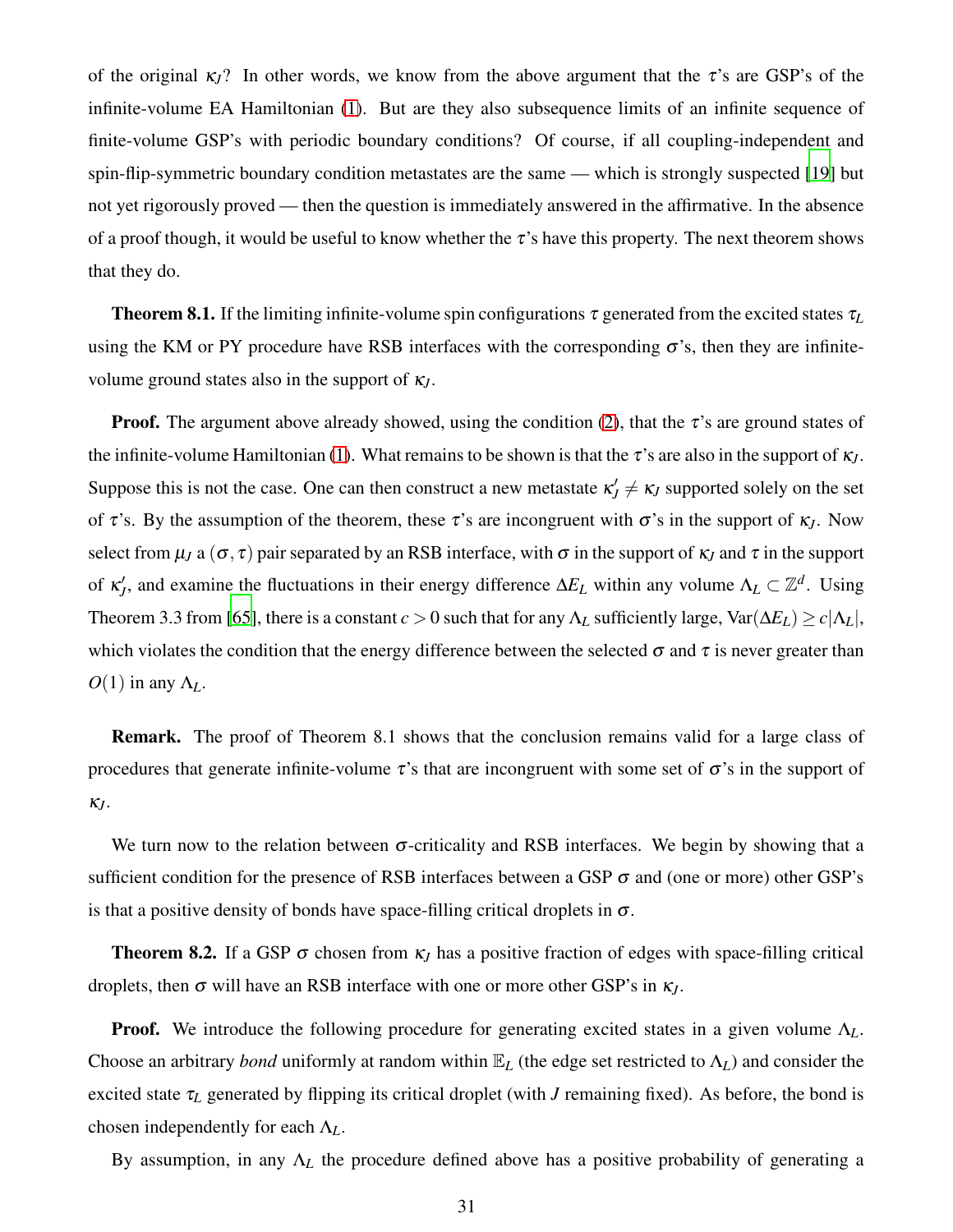of the original  $\kappa_l$ ? In other words, we know from the above argument that the  $\tau$ 's are GSP's of the infinite-volume EA Hamiltonian [\(1\)](#page-3-1). But are they also subsequence limits of an infinite sequence of finite-volume GSP's with periodic boundary conditions? Of course, if all coupling-independent and spin-flip-symmetric boundary condition metastates are the same — which is strongly suspected [\[19](#page-42-20)] but not yet rigorously proved — then the question is immediately answered in the affirmative. In the absence of a proof though, it would be useful to know whether the  $\tau$ 's have this property. The next theorem shows that they do.

**Theorem 8.1.** If the limiting infinite-volume spin configurations  $\tau$  generated from the excited states  $\tau_L$ using the KM or PY procedure have RSB interfaces with the corresponding  $\sigma$ 's, then they are infinitevolume ground states also in the support of <sup>κ</sup>*J*.

**Proof.** The argument above already showed, using the condition [\(2\)](#page-3-2), that the  $\tau$ 's are ground states of the infinite-volume Hamiltonian [\(1\)](#page-3-1). What remains to be shown is that the  $\tau$ 's are also in the support of  $\kappa_J$ . Suppose this is not the case. One can then construct a new metastate  $\kappa'$   $\neq \kappa$ *J* supported solely on the set of  $\tau$ 's. By the assumption of the theorem, these  $\tau$ 's are incongruent with  $\sigma$ 's in the support of  $\kappa_J$ . Now select from  $\mu_J$  a ( $\sigma$ ,  $\tau$ ) pair separated by an RSB interface, with  $\sigma$  in the support of  $\kappa_J$  and  $\tau$  in the support of  $\kappa'_J$ , and examine the fluctuations in their energy difference  $\Delta E_L$  within any volume  $\Lambda_L \subset \mathbb{Z}^d$ . Using Theorem 3.3 from [\[65](#page-44-9)], there is a constant  $c > 0$  such that for any  $\Lambda_L$  sufficiently large,  $\text{Var}(\Delta E_L) \geq c|\Lambda_L|$ , which violates the condition that the energy difference between the selected  $\sigma$  and  $\tau$  is never greater than  $O(1)$  in any  $\Lambda_L$ .

Remark. The proof of Theorem 8.1 shows that the conclusion remains valid for a large class of procedures that generate infinite-volume  $\tau$ 's that are incongruent with some set of  $\sigma$ 's in the support of <sup>κ</sup>*J*.

We turn now to the relation between  $\sigma$ -criticality and RSB interfaces. We begin by showing that a sufficient condition for the presence of RSB interfaces between a GSP  $\sigma$  and (one or more) other GSP's is that a positive density of bonds have space-filling critical droplets in  $\sigma$ .

**Theorem 8.2.** If a GSP  $\sigma$  chosen from  $\kappa$ <sub>*J*</sub> has a positive fraction of edges with space-filling critical droplets, then <sup>σ</sup> will have an RSB interface with one or more other GSP's in <sup>κ</sup>*J*.

Proof. We introduce the following procedure for generating excited states in a given volume Λ*L*. Choose an arbitrary *bond* uniformly at random within  $\mathbb{E}_L$  (the edge set restricted to  $\Lambda_L$ ) and consider the excited state <sup>τ</sup>*<sup>L</sup>* generated by flipping its critical droplet (with *J* remaining fixed). As before, the bond is chosen independently for each Λ*L*.

By assumption, in any  $\Lambda_L$  the procedure defined above has a positive probability of generating a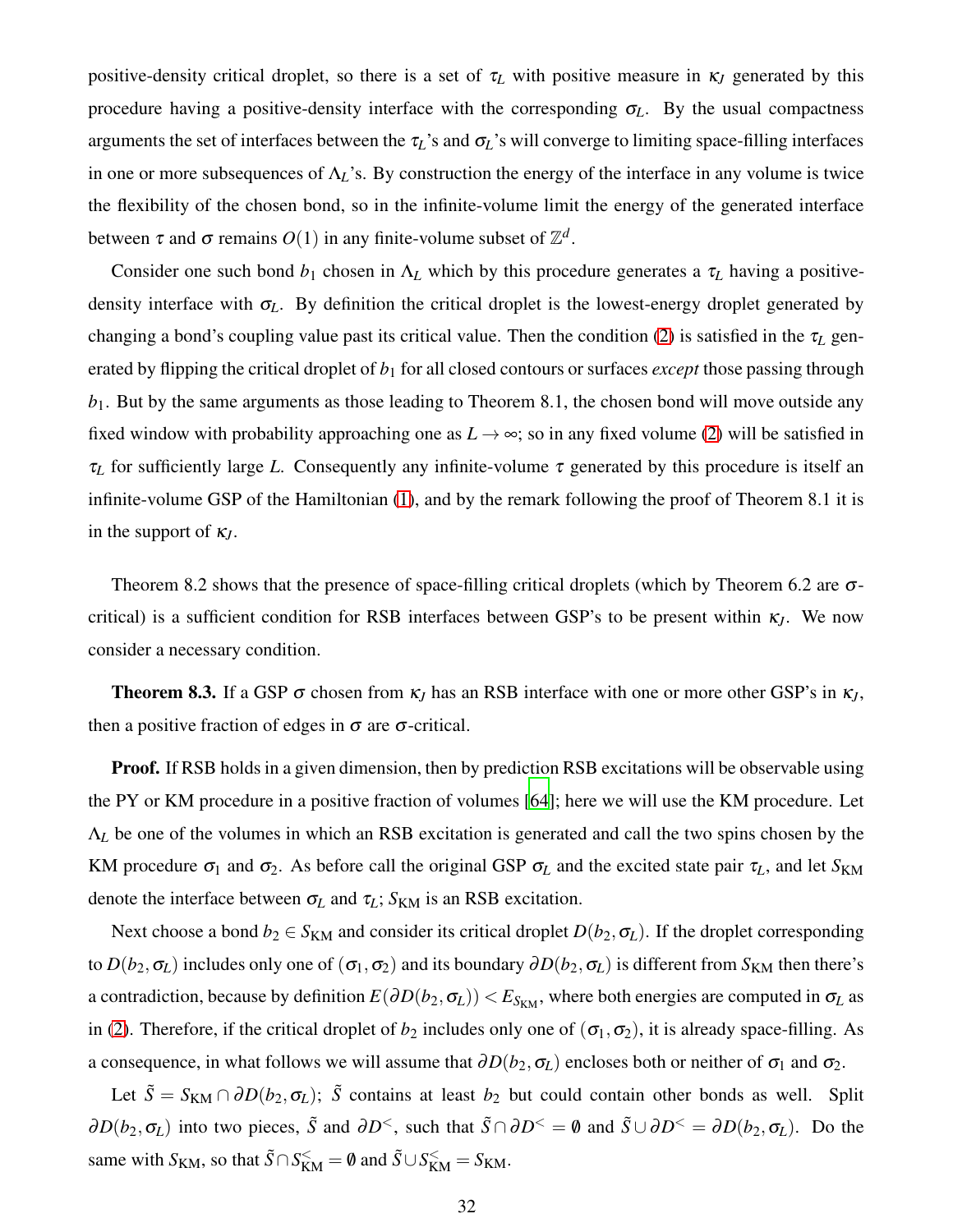positive-density critical droplet, so there is a set of  $\tau_L$  with positive measure in  $\kappa_J$  generated by this procedure having a positive-density interface with the corresponding  $\sigma_L$ . By the usual compactness arguments the set of interfaces between the <sup>τ</sup>*L*'s and <sup>σ</sup>*L*'s will converge to limiting space-filling interfaces in one or more subsequences of  $\Lambda_L$ 's. By construction the energy of the interface in any volume is twice the flexibility of the chosen bond, so in the infinite-volume limit the energy of the generated interface between  $\tau$  and  $\sigma$  remains  $O(1)$  in any finite-volume subset of  $\mathbb{Z}^d$ .

Consider one such bond  $b_1$  chosen in  $\Lambda_L$  which by this procedure generates a  $\tau_L$  having a positivedensity interface with  $\sigma_L$ . By definition the critical droplet is the lowest-energy droplet generated by changing a bond's coupling value past its critical value. Then the condition [\(2\)](#page-3-2) is satisfied in the <sup>τ</sup>*<sup>L</sup>* generated by flipping the critical droplet of  $b_1$  for all closed contours or surfaces *except* those passing through *b*1. But by the same arguments as those leading to Theorem 8.1, the chosen bond will move outside any fixed window with probability approaching one as  $L \rightarrow \infty$ ; so in any fixed volume [\(2\)](#page-3-2) will be satisfied in <sup>τ</sup>*<sup>L</sup>* for sufficiently large *L*. Consequently any infinite-volume <sup>τ</sup> generated by this procedure is itself an infinite-volume GSP of the Hamiltonian [\(1\)](#page-3-1), and by the remark following the proof of Theorem 8.1 it is in the support of <sup>κ</sup>*J*.

Theorem 8.2 shows that the presence of space-filling critical droplets (which by Theorem 6.2 are  $\sigma$ critical) is a sufficient condition for RSB interfaces between GSP's to be present within  $\kappa_l$ . We now consider a necessary condition.

**Theorem 8.3.** If a GSP  $\sigma$  chosen from  $\kappa$ *J* has an RSB interface with one or more other GSP's in  $\kappa$ *J*, then a positive fraction of edges in  $\sigma$  are  $\sigma$ -critical.

Proof. If RSB holds in a given dimension, then by prediction RSB excitations will be observable using the PY or KM procedure in a positive fraction of volumes [\[64\]](#page-44-8); here we will use the KM procedure. Let Λ*<sup>L</sup>* be one of the volumes in which an RSB excitation is generated and call the two spins chosen by the KM procedure  $\sigma_1$  and  $\sigma_2$ . As before call the original GSP  $\sigma_L$  and the excited state pair  $\tau_L$ , and let  $S_{KM}$ denote the interface between  $\sigma_L$  and  $\tau_L$ ;  $S_{KM}$  is an RSB excitation.

Next choose a bond  $b_2 \in S_{KM}$  and consider its critical droplet  $D(b_2, \sigma_L)$ . If the droplet corresponding to  $D(b_2, \sigma_L)$  includes only one of  $(\sigma_1, \sigma_2)$  and its boundary  $\partial D(b_2, \sigma_L)$  is different from  $S_{KM}$  then there's a contradiction, because by definition  $E(\partial D(b_2, \sigma_L)) < E_{S_{KM}}$ , where both energies are computed in  $\sigma_L$  as in [\(2\)](#page-3-2). Therefore, if the critical droplet of  $b_2$  includes only one of  $(\sigma_1, \sigma_2)$ , it is already space-filling. As a consequence, in what follows we will assume that  $\partial D(b_2, \sigma_L)$  encloses both or neither of  $\sigma_1$  and  $\sigma_2$ .

Let  $\tilde{S} = S_{KM} \cap \partial D(b_2, \sigma_L)$ ;  $\tilde{S}$  contains at least  $b_2$  but could contain other bonds as well. Split  $\partial D(b_2, \sigma_L)$  into two pieces,  $\tilde{S}$  and  $\partial D^<$ , such that  $\tilde{S} \cap \partial D^< = \emptyset$  and  $\tilde{S} \cup \partial D^< = \partial D(b_2, \sigma_L)$ . Do the same with *S*<sub>KM</sub>, so that  $\tilde{S} \cap S_{\text{KM}}^{\leq} = \emptyset$  and  $\tilde{S} \cup S_{\text{KM}}^{\leq} = S_{\text{KM}}$ .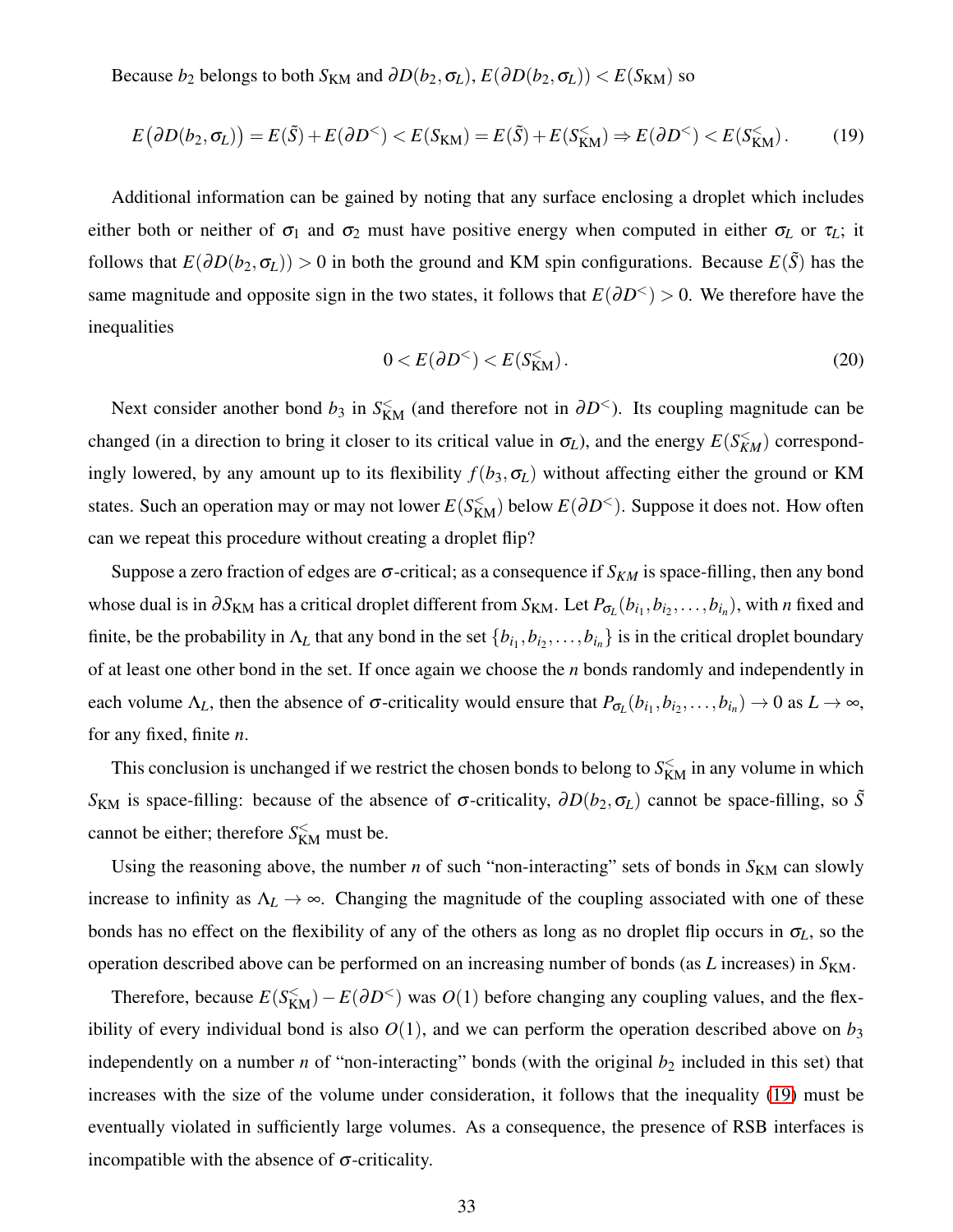Because *b*<sub>2</sub> belongs to both  $S_{KM}$  and  $\partial D(b_2, \sigma_L)$ ,  $E(\partial D(b_2, \sigma_L)) < E(S_{KM})$  so

$$
E(\partial D(b_2, \sigma_L)) = E(\tilde{S}) + E(\partial D^{\le}) < E(S_{\text{KM}}) = E(\tilde{S}) + E(S_{\text{KM}}^{\le}) \Rightarrow E(\partial D^{\le}) < E(S_{\text{KM}}^{\le}). \tag{19}
$$

Additional information can be gained by noting that any surface enclosing a droplet which includes either both or neither of  $\sigma_1$  and  $\sigma_2$  must have positive energy when computed in either  $\sigma_L$  or  $\tau_L$ ; it follows that  $E(\partial D(b_2, \sigma_L)) > 0$  in both the ground and KM spin configurations. Because  $E(\tilde{S})$  has the same magnitude and opposite sign in the two states, it follows that  $E(\partial D^{\lt} > 0$ . We therefore have the inequalities

<span id="page-32-0"></span>
$$
0 < E(\partial D^{\le}) < E(S_{KM}^{\le}).\tag{20}
$$

Next consider another bond  $b_3$  in  $S_{KM}^{\lt}$  (and therefore not in  $\partial D^{\lt}$ ). Its coupling magnitude can be changed (in a direction to bring it closer to its critical value in  $\sigma_L$ ), and the energy  $E(S_{KM}^{\lt} )$  correspondingly lowered, by any amount up to its flexibility  $f(b_3, \sigma_L)$  without affecting either the ground or KM states. Such an operation may or may not lower  $E(S_{KM}^<)$  below  $E(\partial D^<)$ . Suppose it does not. How often can we repeat this procedure without creating a droplet flip?

Suppose a zero fraction of edges are  $\sigma$ -critical; as a consequence if  $S_{KM}$  is space-filling, then any bond whose dual is in  $\partial S_{KM}$  has a critical droplet different from  $S_{KM}$ . Let  $P_{\sigma_L}(b_{i_1},b_{i_2},\ldots,b_{i_n})$ , with *n* fixed and finite, be the probability in  $\Lambda_L$  that any bond in the set  $\{b_{i_1}, b_{i_2}, \ldots, b_{i_n}\}$  is in the critical droplet boundary of at least one other bond in the set. If once again we choose the *n* bonds randomly and independently in each volume  $\Lambda_L$ , then the absence of  $\sigma$ -criticality would ensure that  $P_{\sigma_L}(b_{i_1}, b_{i_2}, \ldots, b_{i_n}) \to 0$  as  $L \to \infty$ , for any fixed, finite *n*.

This conclusion is unchanged if we restrict the chosen bonds to belong to  $S_{KM}^{\lt}$  in any volume in which *S*<sub>KM</sub> is space-filling: because of the absence of σ-criticality,  $\partial D(b_2, σ_L)$  cannot be space-filling, so  $\tilde{S}$ cannot be either; therefore  $S_{\text{KM}}^{\leq}$  must be.

Using the reasoning above, the number  $n$  of such "non-interacting" sets of bonds in  $S_{KM}$  can slowly increase to infinity as  $\Lambda_L \to \infty$ . Changing the magnitude of the coupling associated with one of these bonds has no effect on the flexibility of any of the others as long as no droplet flip occurs in  $\sigma_L$ , so the operation described above can be performed on an increasing number of bonds (as *L* increases) in  $S_{KM}$ .

Therefore, because  $E(S_{\text{KM}}^{\leq}) - E(\partial D^{\leq})$  was  $O(1)$  before changing any coupling values, and the flexibility of every individual bond is also  $O(1)$ , and we can perform the operation described above on  $b_3$ independently on a number *n* of "non-interacting" bonds (with the original  $b_2$  included in this set) that increases with the size of the volume under consideration, it follows that the inequality [\(19\)](#page-32-0) must be eventually violated in sufficiently large volumes. As a consequence, the presence of RSB interfaces is incompatible with the absence of  $\sigma$ -criticality.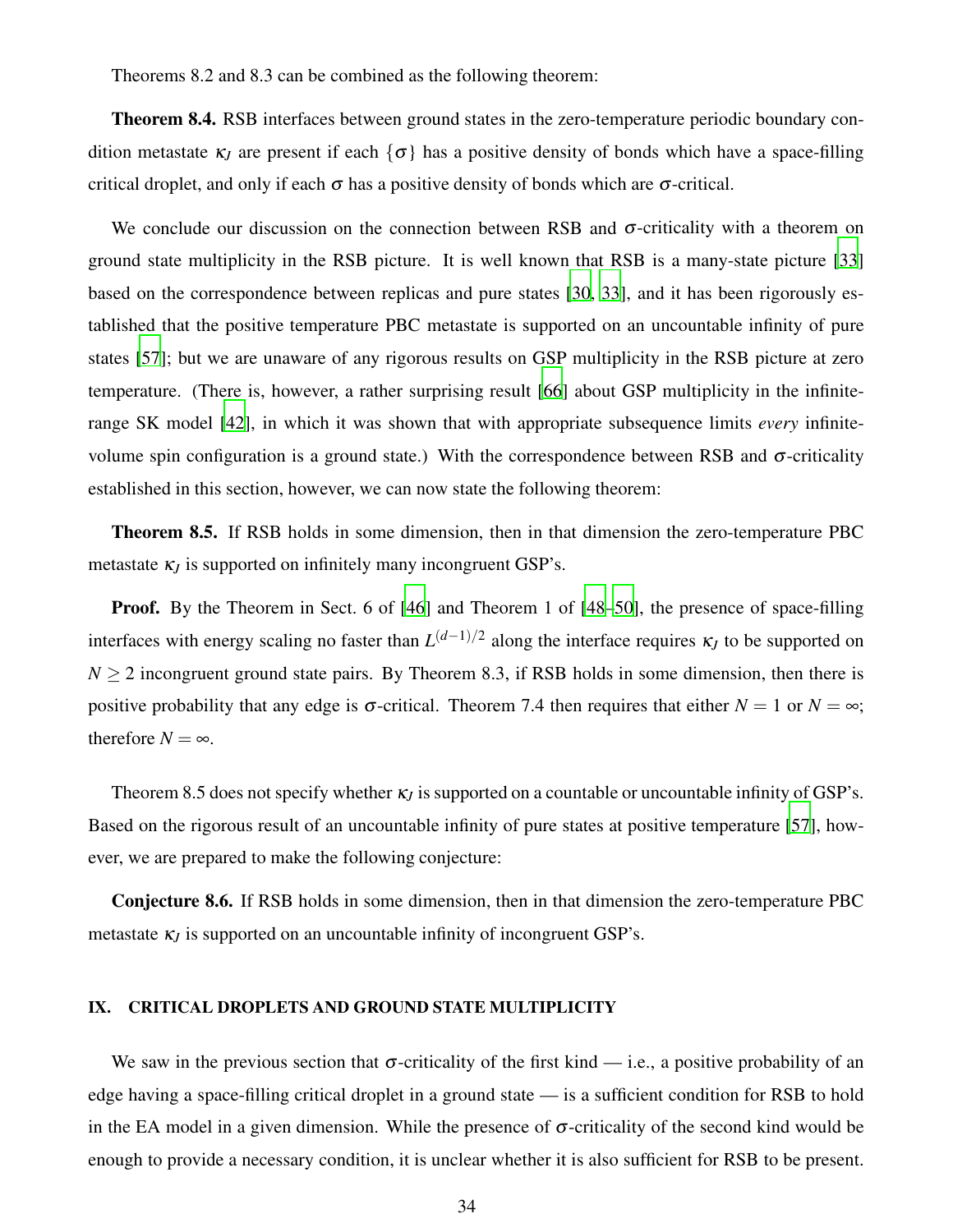Theorems 8.2 and 8.3 can be combined as the following theorem:

Theorem 8.4. RSB interfaces between ground states in the zero-temperature periodic boundary condition metastate  $\kappa_l$  are present if each  $\{\sigma\}$  has a positive density of bonds which have a space-filling critical droplet, and only if each  $\sigma$  has a positive density of bonds which are  $\sigma$ -critical.

We conclude our discussion on the connection between RSB and  $\sigma$ -criticality with a theorem on ground state multiplicity in the RSB picture. It is well known that RSB is a many-state picture [\[33](#page-43-24)] based on the correspondence between replicas and pure states [\[30,](#page-43-25) [33\]](#page-43-24), and it has been rigorously established that the positive temperature PBC metastate is supported on an uncountable infinity of pure states [\[57\]](#page-44-2); but we are unaware of any rigorous results on GSP multiplicity in the RSB picture at zero temperature. (There is, however, a rather surprising result [\[66](#page-44-10)] about GSP multiplicity in the infiniterange SK model [\[42](#page-43-11)], in which it was shown that with appropriate subsequence limits *every* infinitevolume spin configuration is a ground state.) With the correspondence between RSB and  $\sigma$ -criticality established in this section, however, we can now state the following theorem:

Theorem 8.5. If RSB holds in some dimension, then in that dimension the zero-temperature PBC metastate  $\kappa$ *I* is supported on infinitely many incongruent GSP's.

Proof. By the Theorem in Sect. 6 of [\[46](#page-43-23)] and Theorem 1 of [\[48](#page-43-16)[–50\]](#page-43-18), the presence of space-filling interfaces with energy scaling no faster than *L* (*d*−1)/2 along the interface requires <sup>κ</sup>*<sup>J</sup>* to be supported on  $N > 2$  incongruent ground state pairs. By Theorem 8.3, if RSB holds in some dimension, then there is positive probability that any edge is  $\sigma$ -critical. Theorem 7.4 then requires that either  $N = 1$  or  $N = \infty$ ; therefore  $N = \infty$ .

Theorem 8.5 does not specify whether <sup>κ</sup>*<sup>J</sup>* is supported on a countable or uncountable infinity of GSP's. Based on the rigorous result of an uncountable infinity of pure states at positive temperature [\[57\]](#page-44-2), however, we are prepared to make the following conjecture:

Conjecture 8.6. If RSB holds in some dimension, then in that dimension the zero-temperature PBC metastate  $\kappa$ <sub>*I*</sub> is supported on an uncountable infinity of incongruent GSP's.

### <span id="page-33-0"></span>IX. CRITICAL DROPLETS AND GROUND STATE MULTIPLICITY

We saw in the previous section that  $\sigma$ -criticality of the first kind — i.e., a positive probability of an edge having a space-filling critical droplet in a ground state — is a sufficient condition for RSB to hold in the EA model in a given dimension. While the presence of  $\sigma$ -criticality of the second kind would be enough to provide a necessary condition, it is unclear whether it is also sufficient for RSB to be present.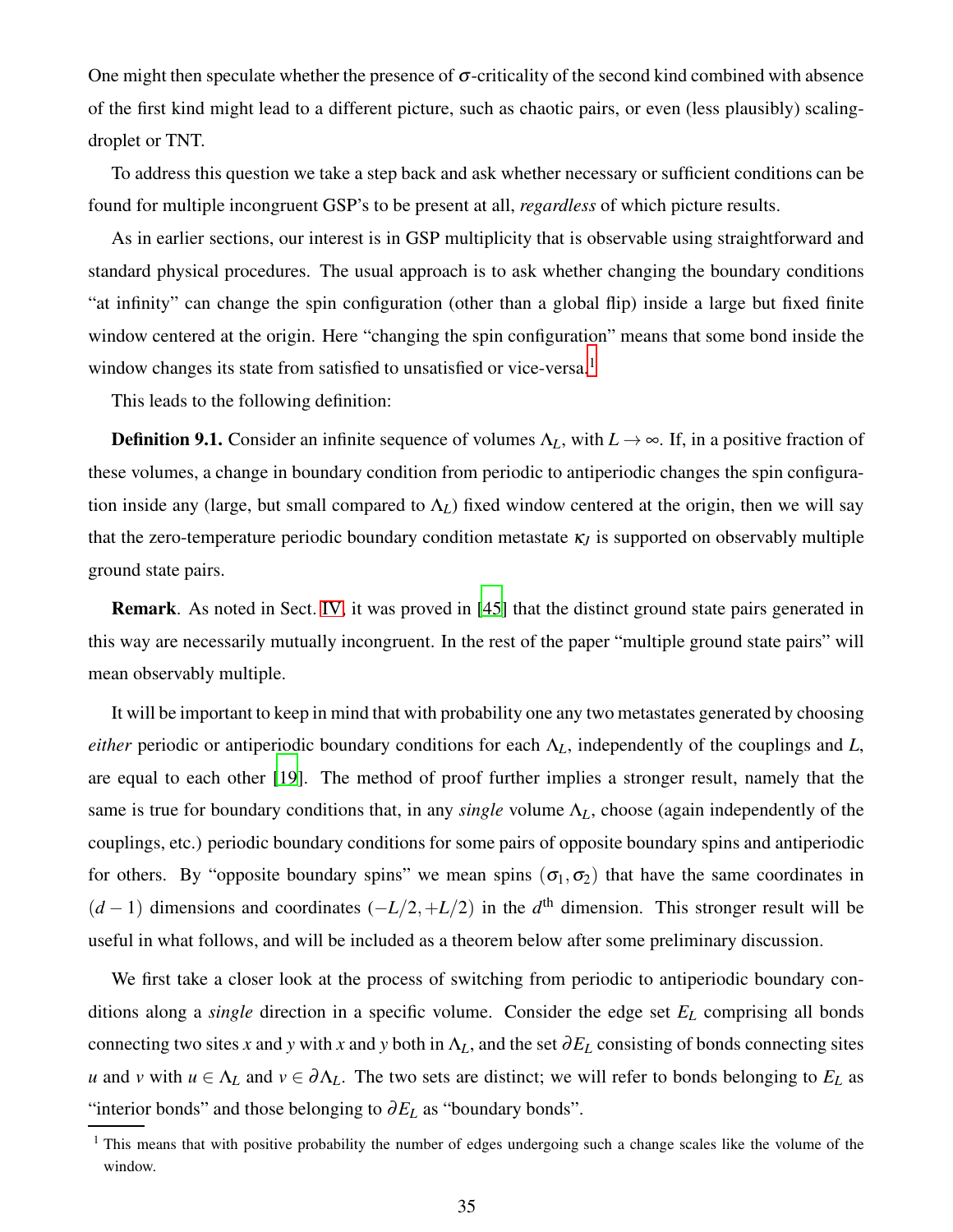One might then speculate whether the presence of  $\sigma$ -criticality of the second kind combined with absence of the first kind might lead to a different picture, such as chaotic pairs, or even (less plausibly) scalingdroplet or TNT.

To address this question we take a step back and ask whether necessary or sufficient conditions can be found for multiple incongruent GSP's to be present at all, *regardless* of which picture results.

As in earlier sections, our interest is in GSP multiplicity that is observable using straightforward and standard physical procedures. The usual approach is to ask whether changing the boundary conditions "at infinity" can change the spin configuration (other than a global flip) inside a large but fixed finite window centered at the origin. Here "changing the spin configuration" means that some bond inside the window changes its state from satisfied to unsatisfied or vice-versa.<sup>1</sup>

This leads to the following definition:

**Definition 9.1.** Consider an infinite sequence of volumes  $\Lambda_L$ , with  $L \to \infty$ . If, in a positive fraction of these volumes, a change in boundary condition from periodic to antiperiodic changes the spin configuration inside any (large, but small compared to  $\Lambda_L$ ) fixed window centered at the origin, then we will say that the zero-temperature periodic boundary condition metastate <sup>κ</sup>*<sup>J</sup>* is supported on observably multiple ground state pairs.

Remark. As noted in Sect. [IV,](#page-14-0) it was proved in [\[45](#page-43-14)] that the distinct ground state pairs generated in this way are necessarily mutually incongruent. In the rest of the paper "multiple ground state pairs" will mean observably multiple.

It will be important to keep in mind that with probability one any two metastates generated by choosing *either* periodic or antiperiodic boundary conditions for each Λ*L*, independently of the couplings and *L*, are equal to each other [\[19](#page-42-20)]. The method of proof further implies a stronger result, namely that the same is true for boundary conditions that, in any *single* volume Λ*L*, choose (again independently of the couplings, etc.) periodic boundary conditions for some pairs of opposite boundary spins and antiperiodic for others. By "opposite boundary spins" we mean spins  $(\sigma_1, \sigma_2)$  that have the same coordinates in  $(d-1)$  dimensions and coordinates  $(-L/2,+L/2)$  in the  $d<sup>th</sup>$  dimension. This stronger result will be useful in what follows, and will be included as a theorem below after some preliminary discussion.

We first take a closer look at the process of switching from periodic to antiperiodic boundary conditions along a *single* direction in a specific volume. Consider the edge set *E<sup>L</sup>* comprising all bonds connecting two sites *x* and *y* with *x* and *y* both in  $\Lambda_L$ , and the set  $\partial E_L$  consisting of bonds connecting sites *u* and *v* with  $u \in \Lambda_L$  and  $v \in \partial \Lambda_L$ . The two sets are distinct; we will refer to bonds belonging to  $E_L$  as "interior bonds" and those belonging to <sup>∂</sup>*E<sup>L</sup>* as "boundary bonds".

<sup>&</sup>lt;sup>1</sup> This means that with positive probability the number of edges undergoing such a change scales like the volume of the window.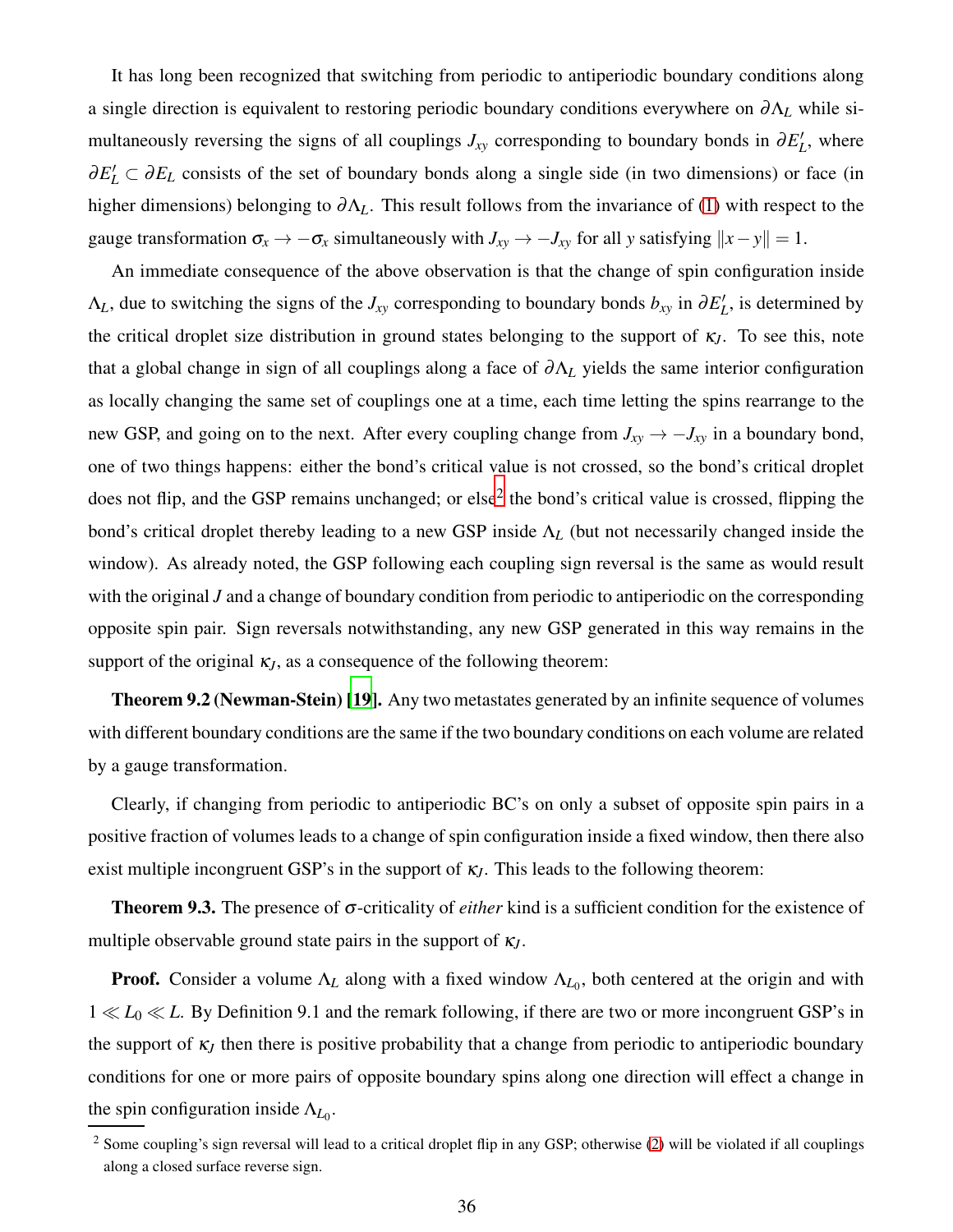It has long been recognized that switching from periodic to antiperiodic boundary conditions along a single direction is equivalent to restoring periodic boundary conditions everywhere on <sup>∂</sup>Λ*<sup>L</sup>* while simultaneously reversing the signs of all couplings  $J_{xy}$  corresponding to boundary bonds in  $\partial E'_{L}$ , where  $\partial E'_L \subset \partial E_L$  consists of the set of boundary bonds along a single side (in two dimensions) or face (in higher dimensions) belonging to <sup>∂</sup>Λ*L*. This result follows from the invariance of [\(1\)](#page-3-1) with respect to the gauge transformation  $\sigma_x \to -\sigma_x$  simultaneously with  $J_{xy} \to -J_{xy}$  for all *y* satisfying  $||x-y|| = 1$ .

An immediate consequence of the above observation is that the change of spin configuration inside  $\Lambda_L$ , due to switching the signs of the *J<sub>xy</sub>* corresponding to boundary bonds  $b_{xy}$  in  $\partial E'_L$ , is determined by the critical droplet size distribution in ground states belonging to the support of <sup>κ</sup>*J*. To see this, note that a global change in sign of all couplings along a face of <sup>∂</sup>Λ*<sup>L</sup>* yields the same interior configuration as locally changing the same set of couplings one at a time, each time letting the spins rearrange to the new GSP, and going on to the next. After every coupling change from  $J_{xy} \rightarrow -J_{xy}$  in a boundary bond, one of two things happens: either the bond's critical value is not crossed, so the bond's critical droplet does not flip, and the GSP remains unchanged; or else<sup>2</sup> the bond's critical value is crossed, flipping the bond's critical droplet thereby leading to a new GSP inside Λ*<sup>L</sup>* (but not necessarily changed inside the window). As already noted, the GSP following each coupling sign reversal is the same as would result with the original *J* and a change of boundary condition from periodic to antiperiodic on the corresponding opposite spin pair. Sign reversals notwithstanding, any new GSP generated in this way remains in the support of the original  $\kappa$ <sub>*J*</sub>, as a consequence of the following theorem:

Theorem 9.2 (Newman-Stein) [\[19\]](#page-42-20). Any two metastates generated by an infinite sequence of volumes with different boundary conditions are the same if the two boundary conditions on each volume are related by a gauge transformation.

Clearly, if changing from periodic to antiperiodic BC's on only a subset of opposite spin pairs in a positive fraction of volumes leads to a change of spin configuration inside a fixed window, then there also exist multiple incongruent GSP's in the support of  $\kappa_J$ . This leads to the following theorem:

Theorem 9.3. The presence of <sup>σ</sup>-criticality of *either* kind is a sufficient condition for the existence of multiple observable ground state pairs in the support of <sup>κ</sup>*J*.

**Proof.** Consider a volume  $\Lambda_L$  along with a fixed window  $\Lambda_{L_0}$ , both centered at the origin and with 1 ≪ *L*<sup>0</sup> ≪ *L*. By Definition 9.1 and the remark following, if there are two or more incongruent GSP's in the support of  $\kappa$ <sub>*J*</sub> then there is positive probability that a change from periodic to antiperiodic boundary conditions for one or more pairs of opposite boundary spins along one direction will effect a change in the spin configuration inside  $\Lambda_{L_0}$ .

<sup>&</sup>lt;sup>2</sup> Some coupling's sign reversal will lead to a critical droplet flip in any GSP; otherwise [\(2\)](#page-3-2) will be violated if all couplings along a closed surface reverse sign.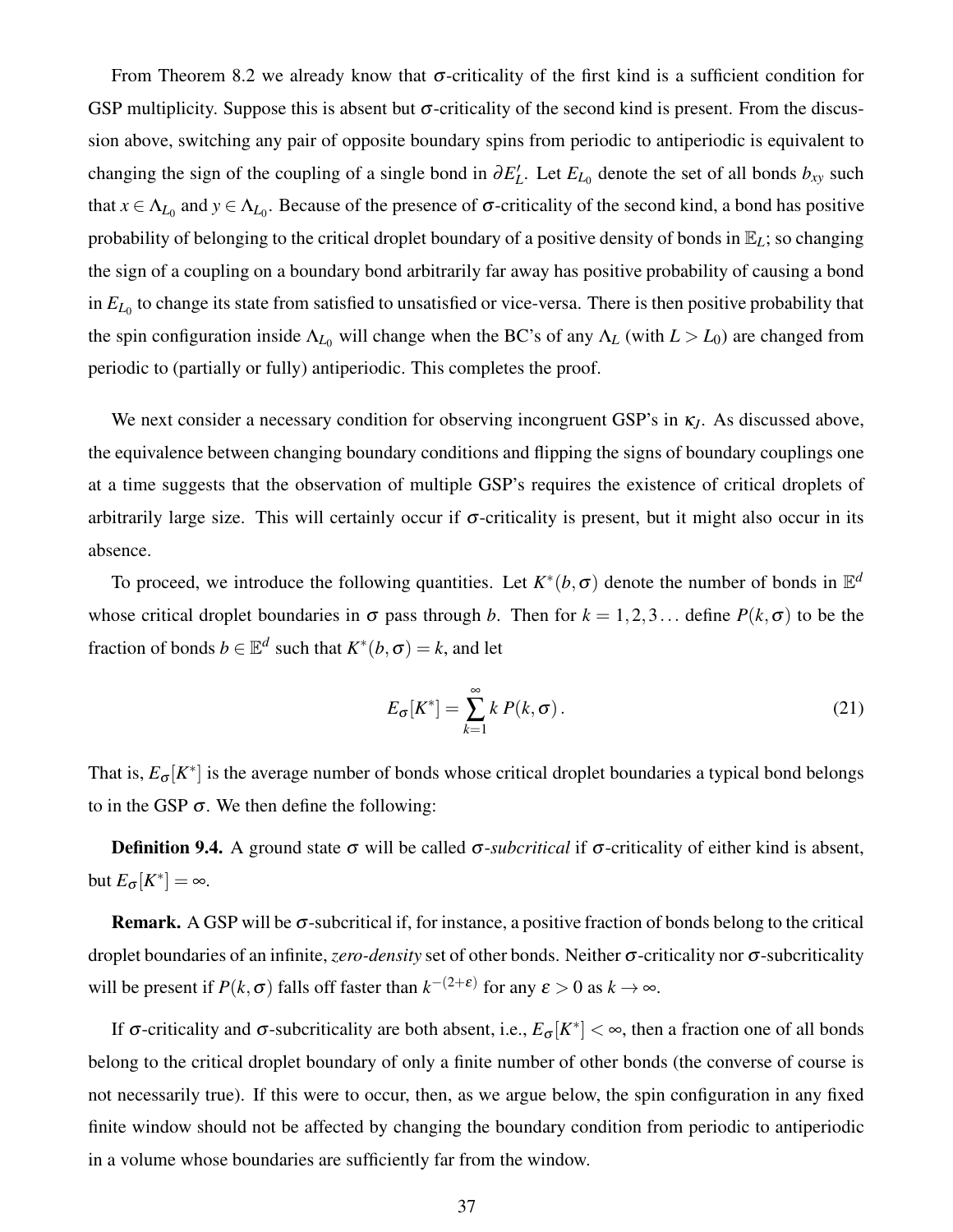From Theorem 8.2 we already know that  $\sigma$ -criticality of the first kind is a sufficient condition for GSP multiplicity. Suppose this is absent but  $\sigma$ -criticality of the second kind is present. From the discussion above, switching any pair of opposite boundary spins from periodic to antiperiodic is equivalent to changing the sign of the coupling of a single bond in  $\partial E'_{L}$ . Let  $E_{L_0}$  denote the set of all bonds  $b_{xy}$  such that  $x \in \Lambda_{L_0}$  and  $y \in \Lambda_{L_0}$ . Because of the presence of  $\sigma$ -criticality of the second kind, a bond has positive probability of belonging to the critical droplet boundary of a positive density of bonds in E*L*; so changing the sign of a coupling on a boundary bond arbitrarily far away has positive probability of causing a bond in  $E_{L_0}$  to change its state from satisfied to unsatisfied or vice-versa. There is then positive probability that the spin configuration inside  $\Lambda_{L_0}$  will change when the BC's of any  $\Lambda_L$  (with  $L > L_0$ ) are changed from periodic to (partially or fully) antiperiodic. This completes the proof.

We next consider a necessary condition for observing incongruent GSP's in <sup>κ</sup>*J*. As discussed above, the equivalence between changing boundary conditions and flipping the signs of boundary couplings one at a time suggests that the observation of multiple GSP's requires the existence of critical droplets of arbitrarily large size. This will certainly occur if  $\sigma$ -criticality is present, but it might also occur in its absence.

To proceed, we introduce the following quantities. Let  $K^*(b, \sigma)$  denote the number of bonds in  $\mathbb{E}^d$ whose critical droplet boundaries in  $\sigma$  pass through *b*. Then for  $k = 1, 2, 3...$  define  $P(k, \sigma)$  to be the fraction of bonds  $b \in \mathbb{E}^d$  such that  $K^*(b, \sigma) = k$ , and let

$$
E_{\sigma}[K^*] = \sum_{k=1}^{\infty} k P(k, \sigma).
$$
 (21)

That is,  $E_{\sigma}[K^*]$  is the average number of bonds whose critical droplet boundaries a typical bond belongs to in the GSP  $\sigma$ . We then define the following:

Definition 9.4. A ground state <sup>σ</sup> will be called <sup>σ</sup>-*subcritical* if <sup>σ</sup>-criticality of either kind is absent, but  $E_{\sigma}[K^*] = \infty$ .

**Remark.** A GSP will be  $\sigma$ -subcritical if, for instance, a positive fraction of bonds belong to the critical droplet boundaries of an infinite, *zero-density* set of other bonds. Neither <sup>σ</sup>-criticality nor <sup>σ</sup>-subcriticality will be present if  $P(k, \sigma)$  falls off faster than  $k^{-(2+\epsilon)}$  for any  $\epsilon > 0$  as  $k \to \infty$ .

If σ-criticality and σ-subcriticality are both absent, i.e.,  $E_{\sigma}[K^*] < ∞$ , then a fraction one of all bonds belong to the critical droplet boundary of only a finite number of other bonds (the converse of course is not necessarily true). If this were to occur, then, as we argue below, the spin configuration in any fixed finite window should not be affected by changing the boundary condition from periodic to antiperiodic in a volume whose boundaries are sufficiently far from the window.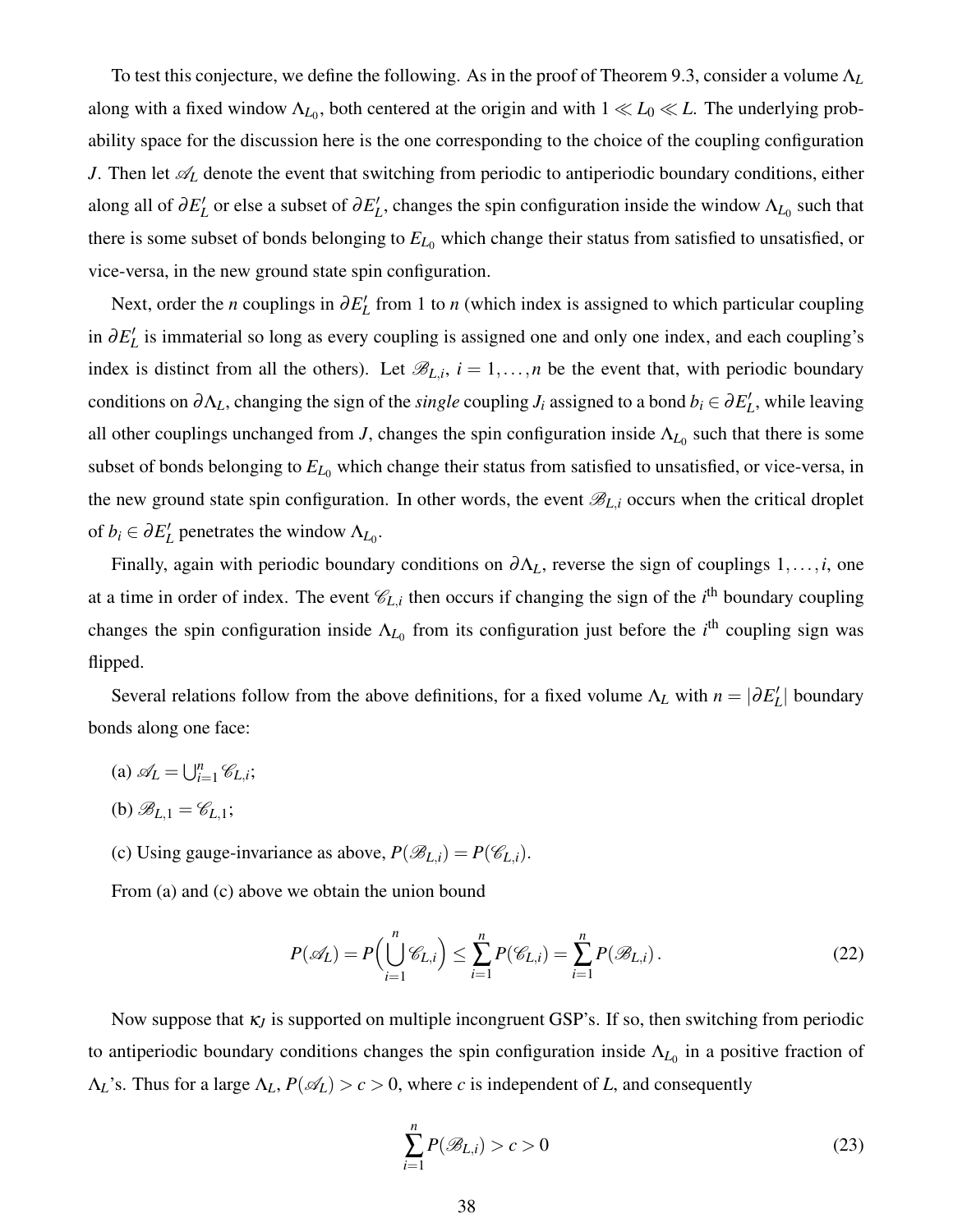To test this conjecture, we define the following. As in the proof of Theorem 9.3, consider a volume Λ*<sup>L</sup>* along with a fixed window  $\Lambda_{L_0}$ , both centered at the origin and with  $1 \ll L_0 \ll L$ . The underlying probability space for the discussion here is the one corresponding to the choice of the coupling configuration *J*. Then let  $\mathscr{A}_L$  denote the event that switching from periodic to antiperiodic boundary conditions, either along all of  $\partial E'_L$  or else a subset of  $\partial E'_L$ , changes the spin configuration inside the window  $\Lambda_{L_0}$  such that there is some subset of bonds belonging to  $E_{L_0}$  which change their status from satisfied to unsatisfied, or vice-versa, in the new ground state spin configuration.

Next, order the *n* couplings in  $\partial E'$  from 1 to *n* (which index is assigned to which particular coupling in  $∂E'$ <sub>L</sub> is immaterial so long as every coupling is assigned one and only one index, and each coupling's index is distinct from all the others). Let  $\mathscr{B}_{L,i}$ ,  $i = 1, \ldots, n$  be the event that, with periodic boundary conditions on  $\partial \Lambda_L$ , changing the sign of the *single* coupling *J<sub>i</sub>* assigned to a bond  $b_i \in \partial E'_L$ , while leaving all other couplings unchanged from *J*, changes the spin configuration inside  $\Lambda_{L_0}$  such that there is some subset of bonds belonging to  $E_{L_0}$  which change their status from satisfied to unsatisfied, or vice-versa, in the new ground state spin configuration. In other words, the event  $\mathscr{B}_{L,i}$  occurs when the critical droplet of  $b_i \in \partial E'_L$  penetrates the window  $\Lambda_{L_0}$ .

Finally, again with periodic boundary conditions on <sup>∂</sup>Λ*L*, reverse the sign of couplings 1,...,*i*, one at a time in order of index. The event  $\mathcal{C}_{L,i}$  then occurs if changing the sign of the *i*<sup>th</sup> boundary coupling changes the spin configuration inside  $\Lambda_{L_0}$  from its configuration just before the *i*<sup>th</sup> coupling sign was flipped.

Several relations follow from the above definitions, for a fixed volume  $\Lambda_L$  with  $n = |\partial E'_L|$  boundary bonds along one face:

- (a)  $\mathscr{A}_L = \bigcup_{i=1}^n \mathscr{C}_{L,i};$
- (b)  $\mathscr{B}_{L,1} = \mathscr{C}_{L,1};$
- (c) Using gauge-invariance as above,  $P(\mathcal{B}_{L,i}) = P(\mathcal{C}_{L,i}).$

From (a) and (c) above we obtain the union bound

$$
P(\mathscr{A}_L) = P\left(\bigcup_{i=1}^n \mathscr{C}_{L,i}\right) \le \sum_{i=1}^n P(\mathscr{C}_{L,i}) = \sum_{i=1}^n P(\mathscr{B}_{L,i}).
$$
\n(22)

Now suppose that <sup>κ</sup>*<sup>J</sup>* is supported on multiple incongruent GSP's. If so, then switching from periodic to antiperiodic boundary conditions changes the spin configuration inside  $\Lambda_{L_0}$  in a positive fraction of  $\Lambda_L$ 's. Thus for a large  $\Lambda_L$ ,  $P(\mathcal{A}_L) > c > 0$ , where *c* is independent of *L*, and consequently

<span id="page-37-0"></span>
$$
\sum_{i=1}^{n} P(\mathcal{B}_{L,i}) > c > 0
$$
\n(23)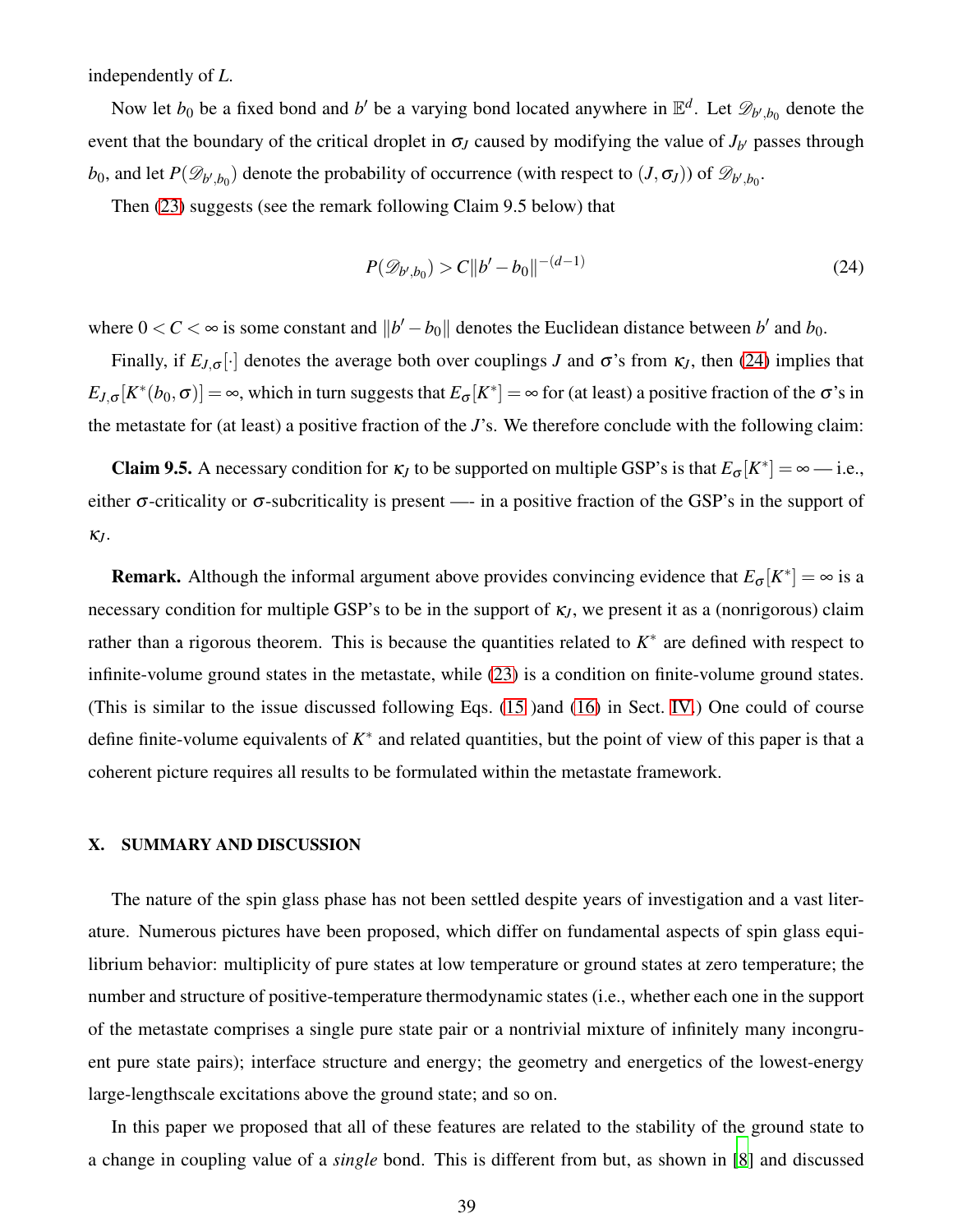independently of *L*.

Now let  $b_0$  be a fixed bond and *b'* be a varying bond located anywhere in  $\mathbb{E}^d$ . Let  $\mathscr{D}_{b',b_0}$  denote the event that the boundary of the critical droplet in  $\sigma$ <sub>*J*</sub> caused by modifying the value of  $J_{b'}$  passes through *b*<sub>0</sub>, and let  $P(\mathscr{D}_{b',b_0})$  denote the probability of occurrence (with respect to  $(J, \sigma_J)$ ) of  $\mathscr{D}_{b',b_0}$ .

Then [\(23\)](#page-37-0) suggests (see the remark following Claim 9.5 below) that

<span id="page-38-1"></span>
$$
P(\mathcal{D}_{b',b_0}) > C||b'-b_0||^{-(d-1)}
$$
\n(24)

where  $0 < C < \infty$  is some constant and  $||b' - b_0||$  denotes the Euclidean distance between *b'* and *b*<sub>0</sub>.

Finally, if  $E_{J,\sigma}[\cdot]$  denotes the average both over couplings *J* and  $\sigma$ 's from  $\kappa_J$ , then [\(24\)](#page-38-1) implies that  $E_{J,\sigma}[K^*(b_0,\sigma)] = \infty$ , which in turn suggests that  $E_{\sigma}[K^*] = \infty$  for (at least) a positive fraction of the  $\sigma$ 's in the metastate for (at least) a positive fraction of the *J*'s. We therefore conclude with the following claim:

**Claim 9.5.** A necessary condition for  $\kappa_J$  to be supported on multiple GSP's is that  $E_{\sigma}[K^*] = \infty$  — i.e., either  $\sigma$ -criticality or  $\sigma$ -subcriticality is present —- in a positive fraction of the GSP's in the support of <sup>κ</sup>*J*.

**Remark.** Although the informal argument above provides convincing evidence that  $E_{\sigma}[K^*] = \infty$  is a necessary condition for multiple GSP's to be in the support of <sup>κ</sup>*J*, we present it as a (nonrigorous) claim rather than a rigorous theorem. This is because the quantities related to  $K^*$  are defined with respect to infinite-volume ground states in the metastate, while [\(23\)](#page-37-0) is a condition on finite-volume ground states. (This is similar to the issue discussed following Eqs. [\(15](#page-17-1) )and [\(16\)](#page-17-0) in Sect. [IV.](#page-14-0)) One could of course define finite-volume equivalents of  $K^*$  and related quantities, but the point of view of this paper is that a coherent picture requires all results to be formulated within the metastate framework.

### <span id="page-38-0"></span>X. SUMMARY AND DISCUSSION

The nature of the spin glass phase has not been settled despite years of investigation and a vast literature. Numerous pictures have been proposed, which differ on fundamental aspects of spin glass equilibrium behavior: multiplicity of pure states at low temperature or ground states at zero temperature; the number and structure of positive-temperature thermodynamic states (i.e., whether each one in the support of the metastate comprises a single pure state pair or a nontrivial mixture of infinitely many incongruent pure state pairs); interface structure and energy; the geometry and energetics of the lowest-energy large-lengthscale excitations above the ground state; and so on.

In this paper we proposed that all of these features are related to the stability of the ground state to a change in coupling value of a *single* bond. This is different from but, as shown in [\[8\]](#page-42-3) and discussed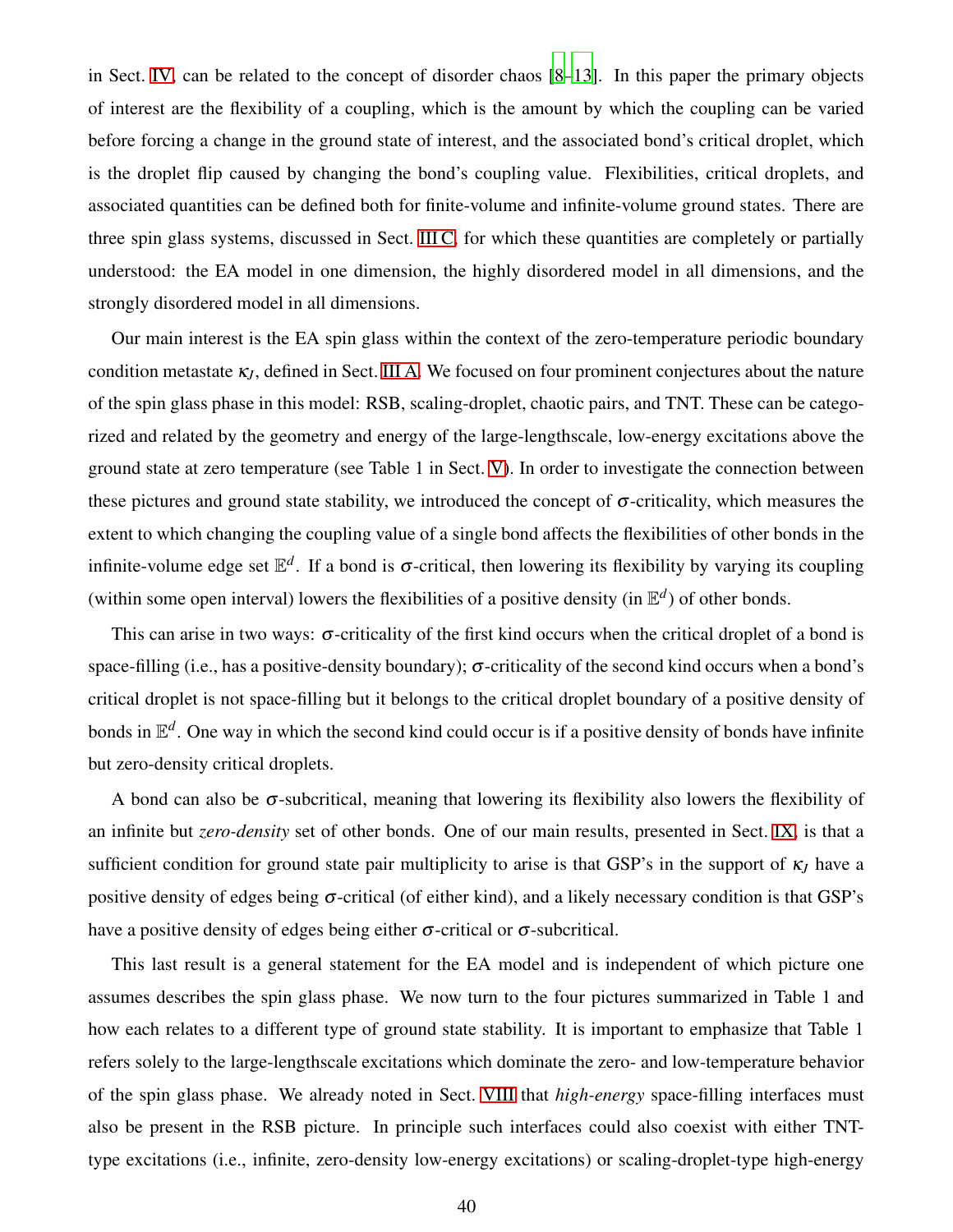in Sect. [IV,](#page-14-0) can be related to the concept of disorder chaos [\[8](#page-42-3)[–13\]](#page-42-4). In this paper the primary objects of interest are the flexibility of a coupling, which is the amount by which the coupling can be varied before forcing a change in the ground state of interest, and the associated bond's critical droplet, which is the droplet flip caused by changing the bond's coupling value. Flexibilities, critical droplets, and associated quantities can be defined both for finite-volume and infinite-volume ground states. There are three spin glass systems, discussed in Sect. [III C,](#page-11-0) for which these quantities are completely or partially understood: the EA model in one dimension, the highly disordered model in all dimensions, and the strongly disordered model in all dimensions.

Our main interest is the EA spin glass within the context of the zero-temperature periodic boundary condition metastate  $\kappa$ <sub>*J*</sub>, defined in Sect. [III A.](#page-8-1) We focused on four prominent conjectures about the nature of the spin glass phase in this model: RSB, scaling-droplet, chaotic pairs, and TNT. These can be categorized and related by the geometry and energy of the large-lengthscale, low-energy excitations above the ground state at zero temperature (see Table 1 in Sect. [V\)](#page-18-0). In order to investigate the connection between these pictures and ground state stability, we introduced the concept of  $\sigma$ -criticality, which measures the extent to which changing the coupling value of a single bond affects the flexibilities of other bonds in the infinite-volume edge set  $\mathbb{E}^d$ . If a bond is  $\sigma$ -critical, then lowering its flexibility by varying its coupling (within some open interval) lowers the flexibilities of a positive density (in  $\mathbb{E}^d$ ) of other bonds.

This can arise in two ways:  $\sigma$ -criticality of the first kind occurs when the critical droplet of a bond is space-filling (i.e., has a positive-density boundary);  $\sigma$ -criticality of the second kind occurs when a bond's critical droplet is not space-filling but it belongs to the critical droplet boundary of a positive density of bonds in  $\mathbb{E}^d$ . One way in which the second kind could occur is if a positive density of bonds have infinite but zero-density critical droplets.

A bond can also be  $\sigma$ -subcritical, meaning that lowering its flexibility also lowers the flexibility of an infinite but *zero-density* set of other bonds. One of our main results, presented in Sect. [IX,](#page-33-0) is that a sufficient condition for ground state pair multiplicity to arise is that GSP's in the support of <sup>κ</sup>*<sup>J</sup>* have a positive density of edges being  $\sigma$ -critical (of either kind), and a likely necessary condition is that GSP's have a positive density of edges being either  $\sigma$ -critical or  $\sigma$ -subcritical.

This last result is a general statement for the EA model and is independent of which picture one assumes describes the spin glass phase. We now turn to the four pictures summarized in Table 1 and how each relates to a different type of ground state stability. It is important to emphasize that Table 1 refers solely to the large-lengthscale excitations which dominate the zero- and low-temperature behavior of the spin glass phase. We already noted in Sect. [VIII](#page-28-0) that *high-energy* space-filling interfaces must also be present in the RSB picture. In principle such interfaces could also coexist with either TNTtype excitations (i.e., infinite, zero-density low-energy excitations) or scaling-droplet-type high-energy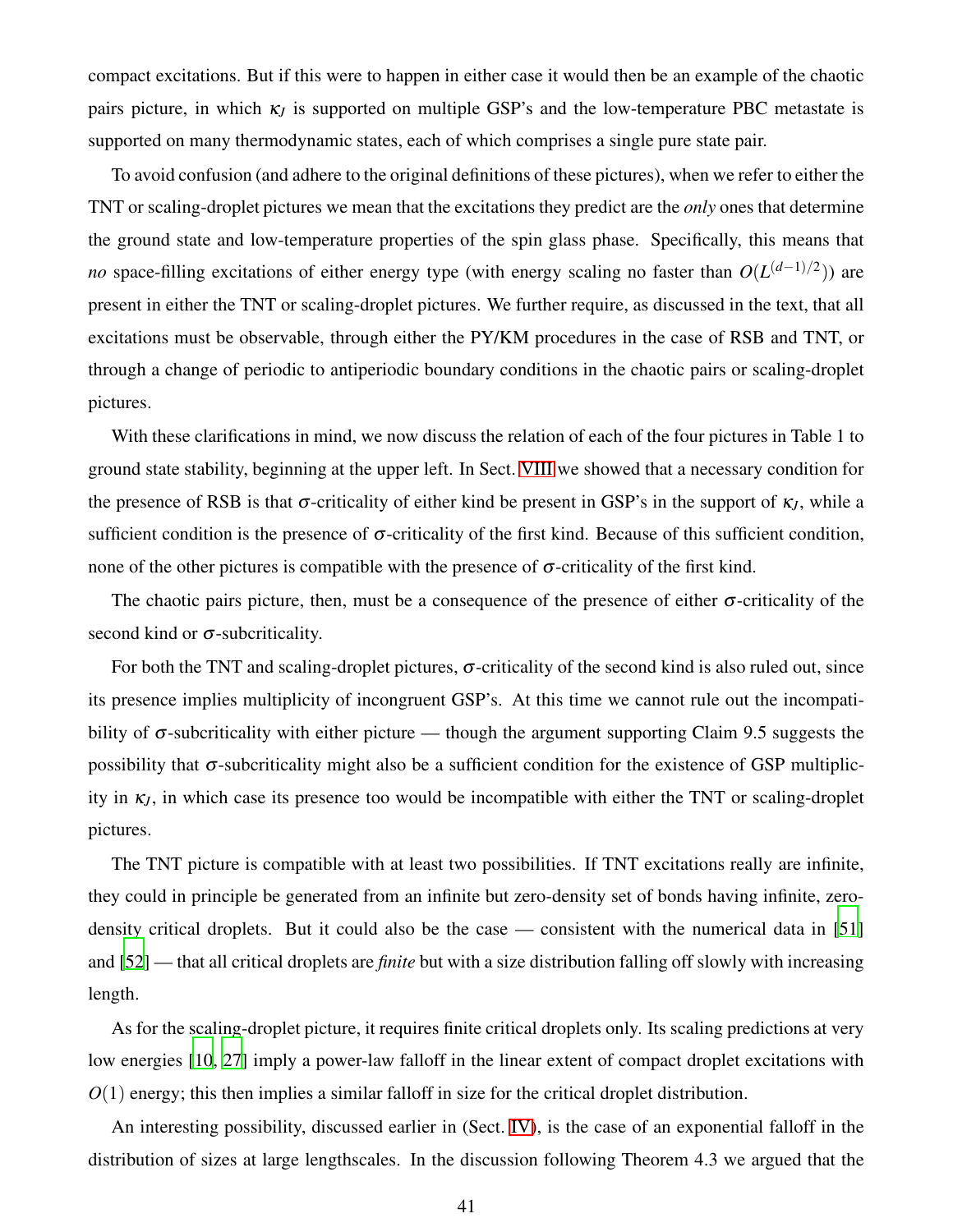compact excitations. But if this were to happen in either case it would then be an example of the chaotic pairs picture, in which  $\kappa$ <sub>*I*</sub> is supported on multiple GSP's and the low-temperature PBC metastate is supported on many thermodynamic states, each of which comprises a single pure state pair.

To avoid confusion (and adhere to the original definitions of these pictures), when we refer to either the TNT or scaling-droplet pictures we mean that the excitations they predict are the *only* ones that determine the ground state and low-temperature properties of the spin glass phase. Specifically, this means that *no* space-filling excitations of either energy type (with energy scaling no faster than  $O(L^{(d-1)/2})$ ) are present in either the TNT or scaling-droplet pictures. We further require, as discussed in the text, that all excitations must be observable, through either the PY/KM procedures in the case of RSB and TNT, or through a change of periodic to antiperiodic boundary conditions in the chaotic pairs or scaling-droplet pictures.

With these clarifications in mind, we now discuss the relation of each of the four pictures in Table 1 to ground state stability, beginning at the upper left. In Sect. [VIII](#page-28-0) we showed that a necessary condition for the presence of RSB is that  $\sigma$ -criticality of either kind be present in GSP's in the support of  $\kappa$ <sup>*I*</sup>, while a sufficient condition is the presence of  $\sigma$ -criticality of the first kind. Because of this sufficient condition, none of the other pictures is compatible with the presence of  $\sigma$ -criticality of the first kind.

The chaotic pairs picture, then, must be a consequence of the presence of either  $\sigma$ -criticality of the second kind or  $\sigma$ -subcriticality.

For both the TNT and scaling-droplet pictures,  $\sigma$ -criticality of the second kind is also ruled out, since its presence implies multiplicity of incongruent GSP's. At this time we cannot rule out the incompatibility of  $\sigma$ -subcriticality with either picture — though the argument supporting Claim 9.5 suggests the possibility that  $\sigma$ -subcriticality might also be a sufficient condition for the existence of GSP multiplicity in  $\kappa_l$ , in which case its presence too would be incompatible with either the TNT or scaling-droplet pictures.

The TNT picture is compatible with at least two possibilities. If TNT excitations really are infinite, they could in principle be generated from an infinite but zero-density set of bonds having infinite, zero-density critical droplets. But it could also be the case — consistent with the numerical data in [\[51](#page-43-19)] and [\[52\]](#page-43-20) — that all critical droplets are *finite* but with a size distribution falling off slowly with increasing length.

As for the scaling-droplet picture, it requires finite critical droplets only. Its scaling predictions at very low energies [\[10,](#page-42-14) [27](#page-43-0)] imply a power-law falloff in the linear extent of compact droplet excitations with  $O(1)$  energy; this then implies a similar falloff in size for the critical droplet distribution.

An interesting possibility, discussed earlier in (Sect. [IV\)](#page-14-0), is the case of an exponential falloff in the distribution of sizes at large lengthscales. In the discussion following Theorem 4.3 we argued that the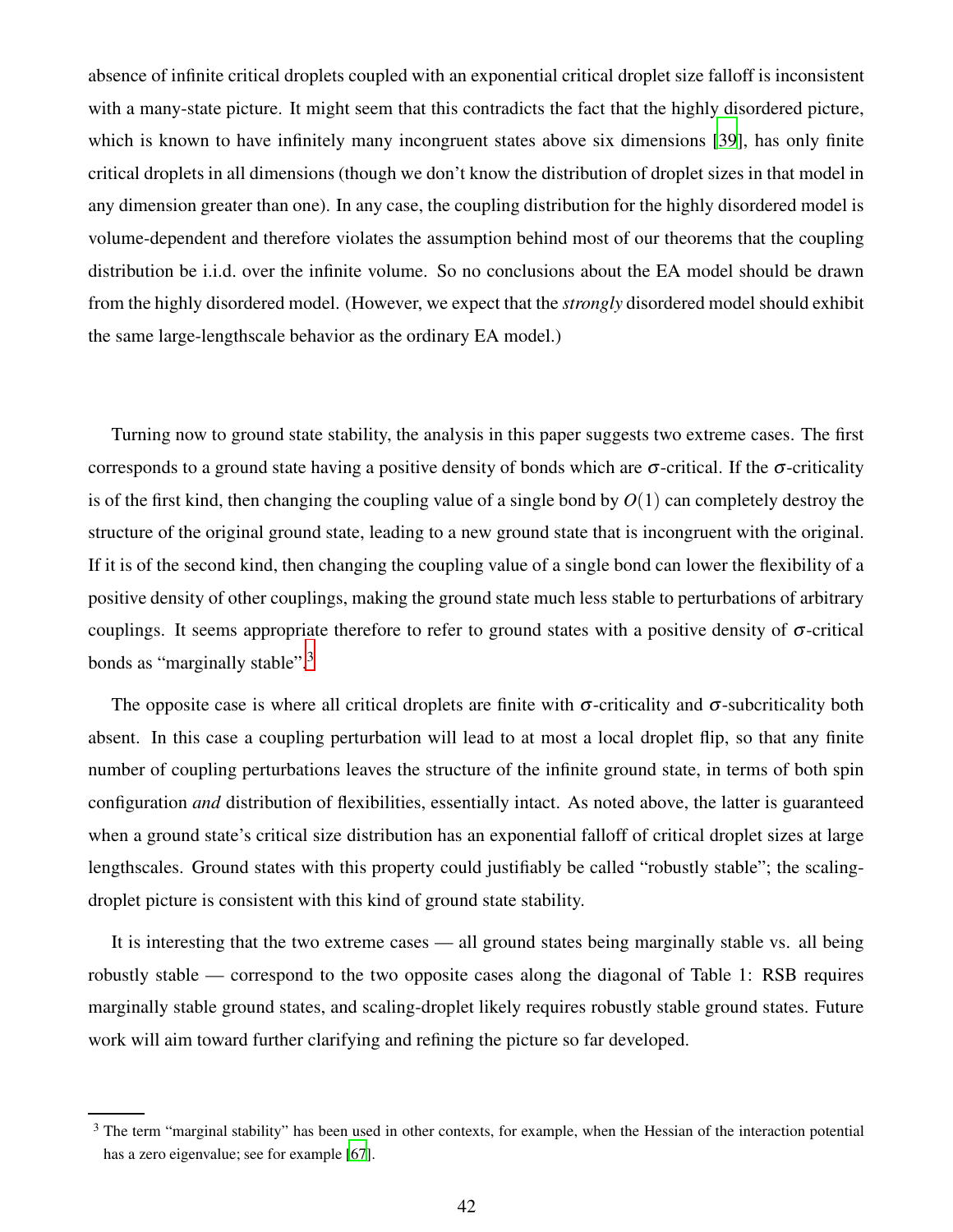absence of infinite critical droplets coupled with an exponential critical droplet size falloff is inconsistent with a many-state picture. It might seem that this contradicts the fact that the highly disordered picture, which is known to have infinitely many incongruent states above six dimensions [\[39\]](#page-43-8), has only finite critical droplets in all dimensions (though we don't know the distribution of droplet sizes in that model in any dimension greater than one). In any case, the coupling distribution for the highly disordered model is volume-dependent and therefore violates the assumption behind most of our theorems that the coupling distribution be i.i.d. over the infinite volume. So no conclusions about the EA model should be drawn from the highly disordered model. (However, we expect that the *strongly* disordered model should exhibit the same large-lengthscale behavior as the ordinary EA model.)

Turning now to ground state stability, the analysis in this paper suggests two extreme cases. The first corresponds to a ground state having a positive density of bonds which are  $\sigma$ -critical. If the  $\sigma$ -criticality is of the first kind, then changing the coupling value of a single bond by  $O(1)$  can completely destroy the structure of the original ground state, leading to a new ground state that is incongruent with the original. If it is of the second kind, then changing the coupling value of a single bond can lower the flexibility of a positive density of other couplings, making the ground state much less stable to perturbations of arbitrary couplings. It seems appropriate therefore to refer to ground states with a positive density of  $\sigma$ -critical bonds as "marginally stable".<sup>3</sup>

The opposite case is where all critical droplets are finite with  $\sigma$ -criticality and  $\sigma$ -subcriticality both absent. In this case a coupling perturbation will lead to at most a local droplet flip, so that any finite number of coupling perturbations leaves the structure of the infinite ground state, in terms of both spin configuration *and* distribution of flexibilities, essentially intact. As noted above, the latter is guaranteed when a ground state's critical size distribution has an exponential falloff of critical droplet sizes at large lengthscales. Ground states with this property could justifiably be called "robustly stable"; the scalingdroplet picture is consistent with this kind of ground state stability.

It is interesting that the two extreme cases — all ground states being marginally stable vs. all being robustly stable — correspond to the two opposite cases along the diagonal of Table 1: RSB requires marginally stable ground states, and scaling-droplet likely requires robustly stable ground states. Future work will aim toward further clarifying and refining the picture so far developed.

 $3$  The term "marginal stability" has been used in other contexts, for example, when the Hessian of the interaction potential has a zero eigenvalue; see for example [\[67\]](#page-44-11).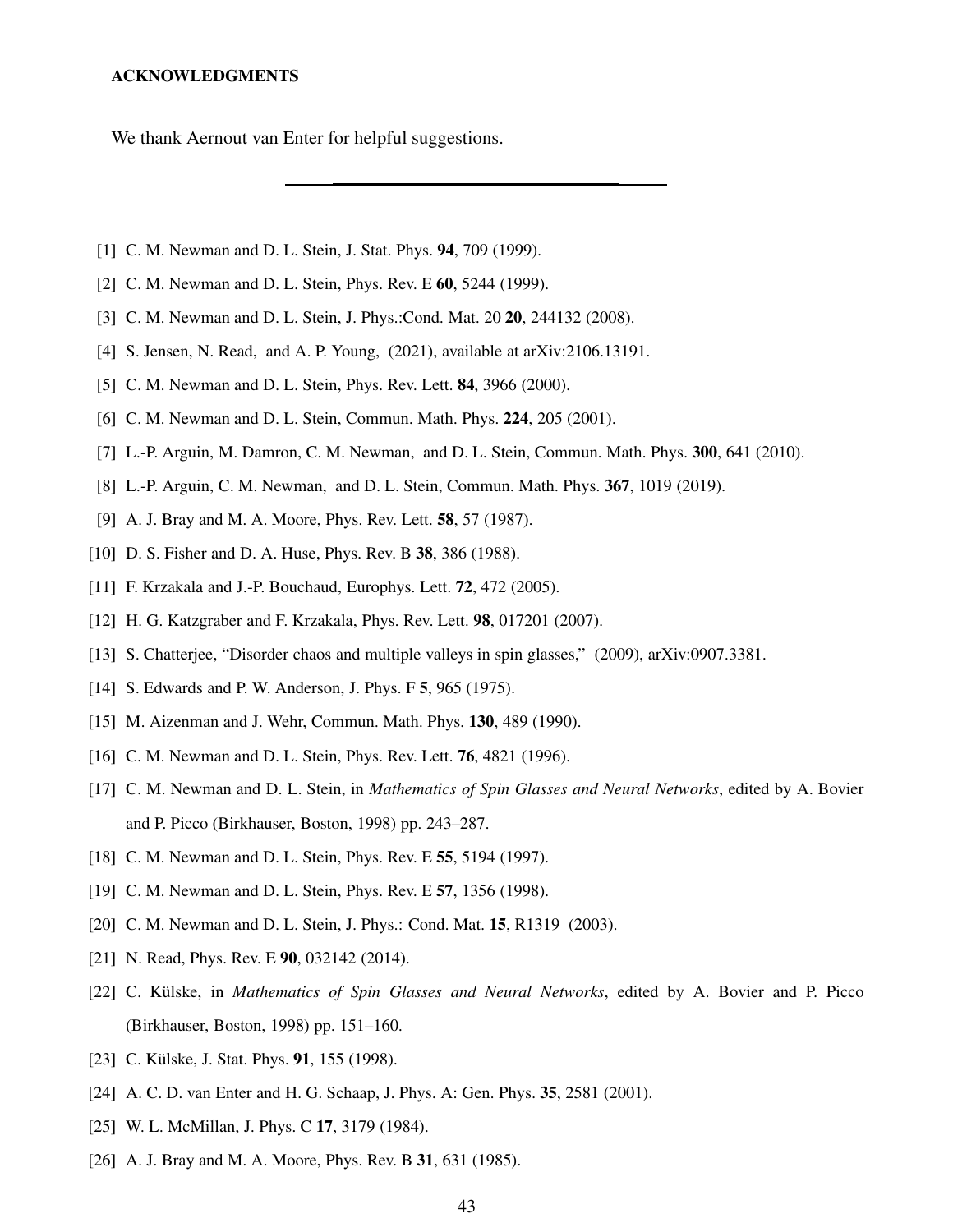### ACKNOWLEDGMENTS

We thank Aernout van Enter for helpful suggestions.

- <span id="page-42-0"></span>[1] C. M. Newman and D. L. Stein, J. Stat. Phys. 94, 709 (1999).
- [2] C. M. Newman and D. L. Stein, Phys. Rev. E 60, 5244 (1999).
- <span id="page-42-1"></span>[3] C. M. Newman and D. L. Stein, J. Phys.:Cond. Mat. 20 **20**, 244132 (2008).
- <span id="page-42-2"></span>[4] S. Jensen, N. Read, and A. P. Young, (2021), available at arXiv:2106.13191.
- [5] C. M. Newman and D. L. Stein, Phys. Rev. Lett. **84**, 3966 (2000).
- <span id="page-42-6"></span>[6] C. M. Newman and D. L. Stein, Commun. Math. Phys. 224, 205 (2001).
- [7] L.-P. Arguin, M. Damron, C. M. Newman, and D. L. Stein, Commun. Math. Phys. 300, 641 (2010).
- <span id="page-42-16"></span><span id="page-42-3"></span>[8] L.-P. Arguin, C. M. Newman, and D. L. Stein, Commun. Math. Phys. 367, 1019 (2019).
- [9] A. J. Bray and M. A. Moore, Phys. Rev. Lett. **58**, 57 (1987).
- <span id="page-42-14"></span>[10] D. S. Fisher and D. A. Huse, Phys. Rev. B 38, 386 (1988).
- <span id="page-42-17"></span>[11] F. Krzakala and J.-P. Bouchaud, Europhys. Lett. **72**, 472 (2005).
- [12] H. G. Katzgraber and F. Krzakala, Phys. Rev. Lett. **98**, 017201 (2007).
- <span id="page-42-4"></span>[13] S. Chatterjee, "Disorder chaos and multiple valleys in spin glasses," (2009), arXiv:0907.3381.
- <span id="page-42-7"></span><span id="page-42-5"></span>[14] S. Edwards and P. W. Anderson, J. Phys. F 5, 965 (1975).
- [15] M. Aizenman and J. Wehr, Commun. Math. Phys. **130**, 489 (1990).
- <span id="page-42-9"></span>[16] C. M. Newman and D. L. Stein, Phys. Rev. Lett. **76**, 4821 (1996).
- <span id="page-42-13"></span>[17] C. M. Newman and D. L. Stein, in *Mathematics of Spin Glasses and Neural Networks*, edited by A. Bovier and P. Picco (Birkhauser, Boston, 1998) pp. 243–287.
- <span id="page-42-19"></span>[18] C. M. Newman and D. L. Stein, Phys. Rev. E 55, 5194 (1997).
- <span id="page-42-20"></span>[19] C. M. Newman and D. L. Stein, Phys. Rev. E 57, 1356 (1998).
- <span id="page-42-18"></span>[20] C. M. Newman and D. L. Stein, J. Phys.: Cond. Mat. 15, R1319 (2003).
- <span id="page-42-8"></span>[21] N. Read, Phys. Rev. E 90, 032142 (2014).
- <span id="page-42-10"></span>[22] C. Külske, in *Mathematics of Spin Glasses and Neural Networks*, edited by A. Bovier and P. Picco (Birkhauser, Boston, 1998) pp. 151–160.
- <span id="page-42-11"></span>[23] C. Külske, J. Stat. Phys. **91**, 155 (1998).
- <span id="page-42-12"></span>[24] A. C. D. van Enter and H. G. Schaap, J. Phys. A: Gen. Phys. 35, 2581 (2001).
- <span id="page-42-15"></span>[25] W. L. McMillan, J. Phys. C 17, 3179 (1984).
- [26] A. J. Bray and M. A. Moore, Phys. Rev. B 31, 631 (1985).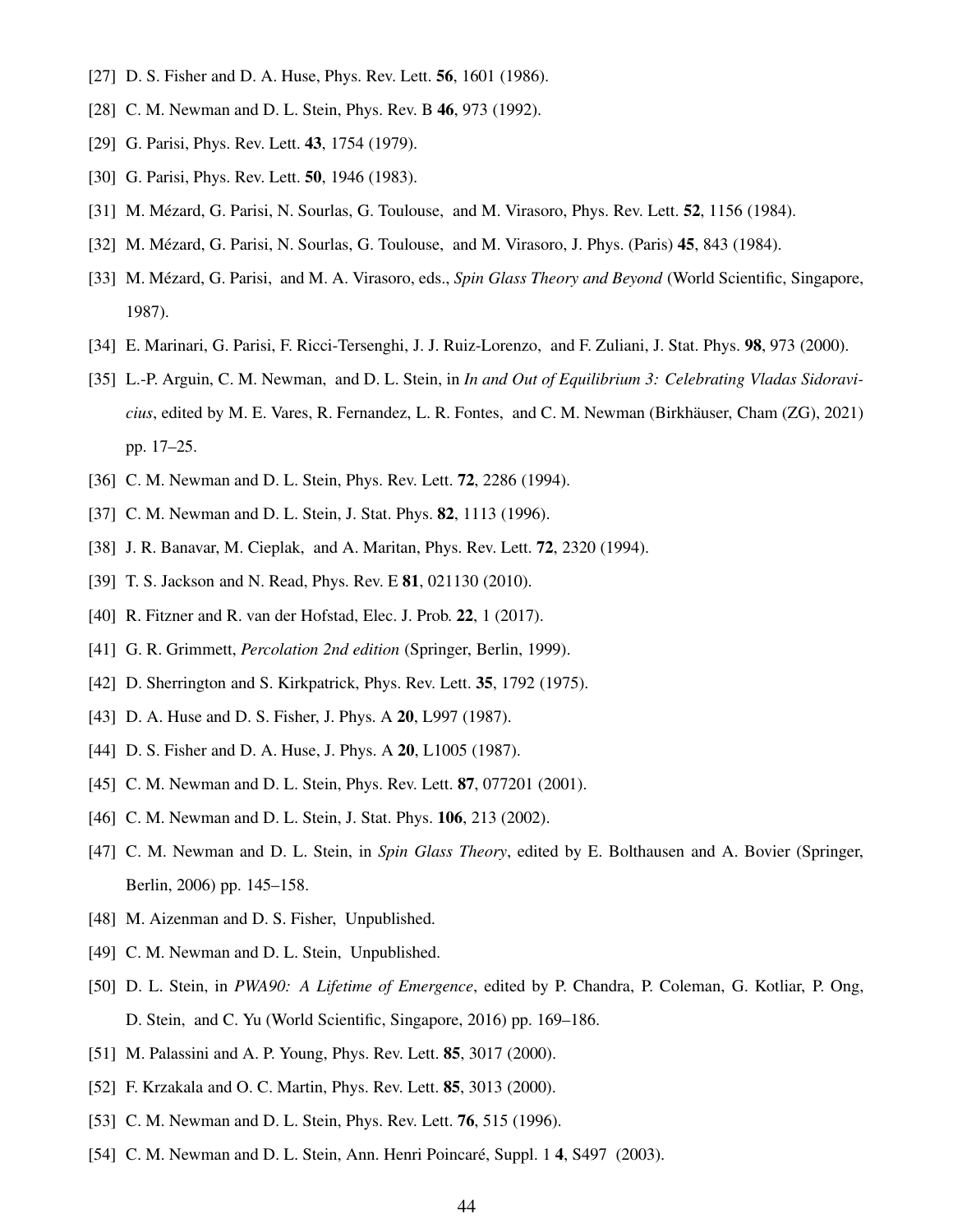- <span id="page-43-1"></span><span id="page-43-0"></span>[27] D. S. Fisher and D. A. Huse, Phys. Rev. Lett. **56**, 1601 (1986).
- <span id="page-43-2"></span>[28] C. M. Newman and D. L. Stein, Phys. Rev. B 46, 973 (1992).
- <span id="page-43-25"></span>[29] G. Parisi, Phys. Rev. Lett. **43**, 1754 (1979).
- [30] G. Parisi, Phys. Rev. Lett. **50**, 1946 (1983).
- [31] M. Mézard, G. Parisi, N. Sourlas, G. Toulouse, and M. Virasoro, Phys. Rev. Lett. 52, 1156 (1984).
- <span id="page-43-24"></span>[32] M. Mézard, G. Parisi, N. Sourlas, G. Toulouse, and M. Virasoro, J. Phys. (Paris) 45, 843 (1984).
- [33] M. Mézard, G. Parisi, and M. A. Virasoro, eds., *Spin Glass Theory and Beyond* (World Scientific, Singapore, 1987).
- <span id="page-43-4"></span><span id="page-43-3"></span>[34] E. Marinari, G. Parisi, F. Ricci-Tersenghi, J. J. Ruiz-Lorenzo, and F. Zuliani, J. Stat. Phys. 98, 973 (2000).
- [35] L.-P. Arguin, C. M. Newman, and D. L. Stein, in *In and Out of Equilibrium 3: Celebrating Vladas Sidoravicius*, edited by M. E. Vares, R. Fernandez, L. R. Fontes, and C. M. Newman (Birkhäuser, Cham (ZG), 2021) pp. 17–25.
- <span id="page-43-7"></span><span id="page-43-5"></span>[36] C. M. Newman and D. L. Stein, Phys. Rev. Lett. **72**, 2286 (1994).
- <span id="page-43-6"></span>[37] C. M. Newman and D. L. Stein, J. Stat. Phys. **82**, 1113 (1996).
- [38] J. R. Banavar, M. Cieplak, and A. Maritan, Phys. Rev. Lett. **72**, 2320 (1994).
- <span id="page-43-8"></span>[39] T. S. Jackson and N. Read, Phys. Rev. E **81**, 021130 (2010).
- <span id="page-43-9"></span>[40] R. Fitzner and R. van der Hofstad, Elec. J. Prob. 22, 1 (2017).
- <span id="page-43-10"></span>[41] G. R. Grimmett, *Percolation 2nd edition* (Springer, Berlin, 1999).
- <span id="page-43-11"></span>[42] D. Sherrington and S. Kirkpatrick, Phys. Rev. Lett. **35**, 1792 (1975).
- <span id="page-43-12"></span>[43] D. A. Huse and D. S. Fisher, J. Phys. A **20**, L997 (1987).
- <span id="page-43-14"></span><span id="page-43-13"></span>[44] D. S. Fisher and D. A. Huse, J. Phys. A **20**, L1005 (1987).
- [45] C. M. Newman and D. L. Stein, Phys. Rev. Lett. **87**, 077201 (2001).
- <span id="page-43-23"></span>[46] C. M. Newman and D. L. Stein, J. Stat. Phys. **106**, 213 (2002).
- <span id="page-43-15"></span>[47] C. M. Newman and D. L. Stein, in *Spin Glass Theory*, edited by E. Bolthausen and A. Bovier (Springer, Berlin, 2006) pp. 145–158.
- <span id="page-43-16"></span>[48] M. Aizenman and D. S. Fisher, Unpublished.
- <span id="page-43-17"></span>[49] C. M. Newman and D. L. Stein, Unpublished.
- <span id="page-43-18"></span>[50] D. L. Stein, in *PWA90: A Lifetime of Emergence*, edited by P. Chandra, P. Coleman, G. Kotliar, P. Ong, D. Stein, and C. Yu (World Scientific, Singapore, 2016) pp. 169–186.
- <span id="page-43-19"></span>[51] M. Palassini and A. P. Young, Phys. Rev. Lett. **85**, 3017 (2000).
- <span id="page-43-20"></span>[52] F. Krzakala and O. C. Martin, Phys. Rev. Lett. **85**, 3013 (2000).
- <span id="page-43-21"></span>[53] C. M. Newman and D. L. Stein, Phys. Rev. Lett. **76**, 515 (1996).
- <span id="page-43-22"></span>[54] C. M. Newman and D. L. Stein, Ann. Henri Poincaré, Suppl. 1 4, S497 (2003).